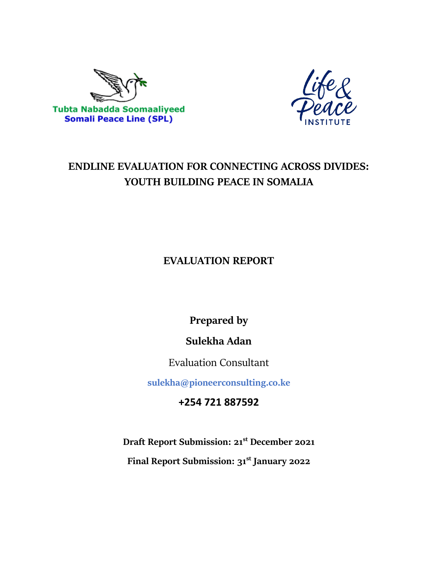



# **ENDLINE EVALUATION FOR CONNECTING ACROSS DIVIDES: YOUTH BUILDING PEACE IN SOMALIA**

# **EVALUATION REPORT**

**Prepared by** 

**Sulekha Adan**

Evaluation Consultant

**sulekha@pioneerconsulting.co.ke**

**+254 721 887592**

**Draft Report Submission: 21st December 2021**

**Final Report Submission: 31st January 2022**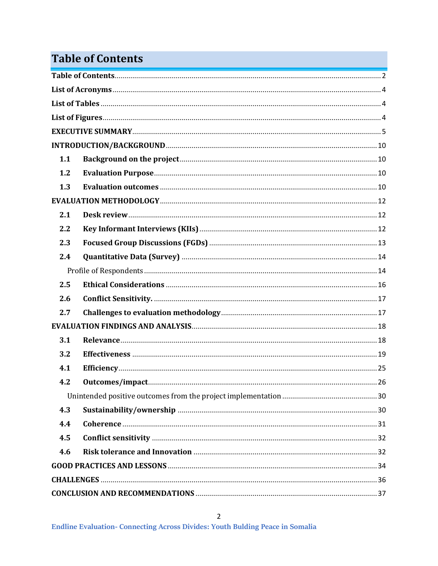# <span id="page-1-0"></span>**Table of Contents**

| 1.1 |  |
|-----|--|
| 1.2 |  |
| 1.3 |  |
|     |  |
| 2.1 |  |
| 2.2 |  |
| 2.3 |  |
| 2.4 |  |
|     |  |
| 2.5 |  |
| 2.6 |  |
| 2.7 |  |
|     |  |
| 3.1 |  |
| 3.2 |  |
| 4.1 |  |
| 4.2 |  |
|     |  |
| 4.3 |  |
| 4.4 |  |
| 4.5 |  |
| 4.6 |  |
|     |  |
|     |  |
|     |  |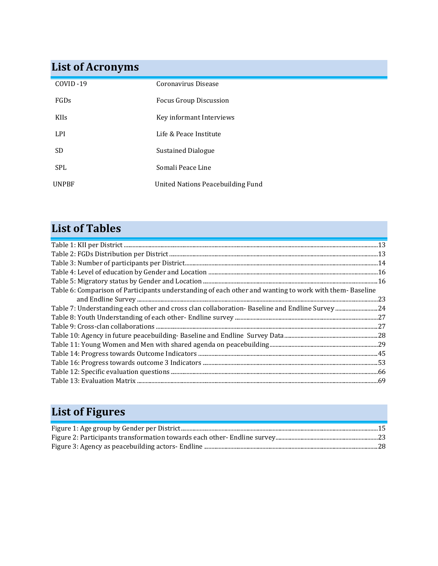# <span id="page-3-0"></span>**List of Acronyms**

| COVID-19    | Coronavirus Disease                      |
|-------------|------------------------------------------|
| FGDs        | Focus Group Discussion                   |
| <b>KIIs</b> | Key informant Interviews                 |
| LPI.        | Life & Peace Institute                   |
| SD.         | Sustained Dialogue                       |
| <b>SPL</b>  | Somali Peace Line                        |
| UNPBF       | <b>United Nations Peacebuilding Fund</b> |

# <span id="page-3-1"></span>**List of Tables**

| Table 6: Comparison of Participants understanding of each other and wanting to work with them-Baseline |  |
|--------------------------------------------------------------------------------------------------------|--|
|                                                                                                        |  |
|                                                                                                        |  |
|                                                                                                        |  |
|                                                                                                        |  |
|                                                                                                        |  |
|                                                                                                        |  |
|                                                                                                        |  |
|                                                                                                        |  |
|                                                                                                        |  |
|                                                                                                        |  |
|                                                                                                        |  |

# <span id="page-3-2"></span>**List of Figures**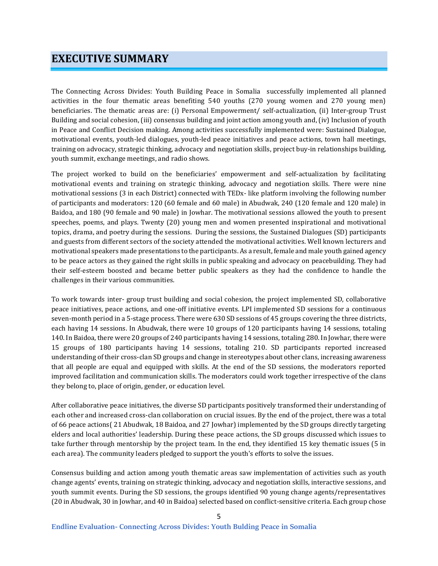# <span id="page-4-0"></span>**EXECUTIVE SUMMARY**

The Connecting Across Divides: Youth Building Peace in Somalia successfully implemented all planned activities in the four thematic areas benefiting 540 youths (270 young women and 270 young men) beneficiaries. The thematic areas are: (i) Personal Empowerment/ self-actualization, (ii) Inter-group Trust Building and social cohesion, (iii) consensus building and joint action among youth and, (iv) Inclusion of youth in Peace and Conflict Decision making. Among activities successfully implemented were: Sustained Dialogue, motivational events, youth-led dialogues, youth-led peace initiatives and peace actions, town hall meetings, training on advocacy, strategic thinking, advocacy and negotiation skills, project buy-in relationships building, youth summit, exchange meetings, and radio shows.

The project worked to build on the beneficiaries' empowerment and self-actualization by facilitating motivational events and training on strategic thinking, advocacy and negotiation skills. There were nine motivational sessions (3 in each District) connected with TEDx- like platform involving the following number of participants and moderators: 120 (60 female and 60 male) in Abudwak, 240 (120 female and 120 male) in Baidoa, and 180 (90 female and 90 male) in Jowhar. The motivational sessions allowed the youth to present speeches, poems, and plays. Twenty (20) young men and women presented inspirational and motivational topics, drama, and poetry during the sessions. During the sessions, the Sustained Dialogues (SD) participants and guests from different sectors of the society attended the motivational activities. Well known lecturers and motivational speakers made presentations to the participants. As a result, female and male youth gained agency to be peace actors as they gained the right skills in public speaking and advocacy on peacebuilding. They had their self-esteem boosted and became better public speakers as they had the confidence to handle the challenges in their various communities.

To work towards inter- group trust building and social cohesion, the project implemented SD, collaborative peace initiatives, peace actions, and one-off initiative events. LPI implemented SD sessions for a continuous seven-month period in a 5-stage process. There were 630 SD sessions of 45 groups covering the three districts, each having 14 sessions. In Abudwak, there were 10 groups of 120 participants having 14 sessions, totaling 140. In Baidoa, there were 20 groups of 240 participants having 14 sessions, totaling 280. In Jowhar, there were 15 groups of 180 participants having 14 sessions, totaling 210. SD participants reported increased understanding of their cross-clan SD groups and change in stereotypes about other clans, increasing awareness that all people are equal and equipped with skills. At the end of the SD sessions, the moderators reported improved facilitation and communication skills. The moderators could work together irrespective of the clans they belong to, place of origin, gender, or education level.

After collaborative peace initiatives, the diverse SD participants positively transformed their understanding of each other and increased cross-clan collaboration on crucial issues. By the end of the project, there was a total of 66 peace actions( 21 Abudwak, 18 Baidoa, and 27 Jowhar) implemented by the SD groups directly targeting elders and local authorities' leadership. During these peace actions, the SD groups discussed which issues to take further through mentorship by the project team. In the end, they identified 15 key thematic issues (5 in each area). The community leaders pledged to support the youth's efforts to solve the issues.

Consensus building and action among youth thematic areas saw implementation of activities such as youth change agents' events, training on strategic thinking, advocacy and negotiation skills, interactive sessions, and youth summit events. During the SD sessions, the groups identified 90 young change agents/representatives (20 in Abudwak, 30 in Jowhar, and 40 in Baidoa) selected based on conflict-sensitive criteria. Each group chose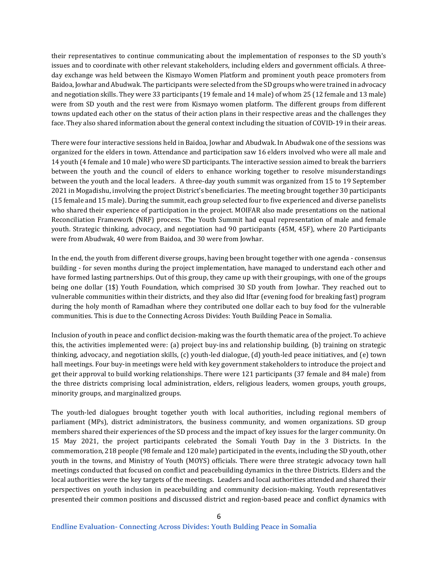their representatives to continue communicating about the implementation of responses to the SD youth's issues and to coordinate with other relevant stakeholders, including elders and government officials. A threeday exchange was held between the Kismayo Women Platform and prominent youth peace promoters from Baidoa, Jowhar and Abudwak. The participants were selected from the SD groups who were trained in advocacy and negotiation skills. They were 33 participants (19 female and 14 male) of whom 25 (12 female and 13 male) were from SD youth and the rest were from Kismayo women platform. The different groups from different towns updated each other on the status of their action plans in their respective areas and the challenges they face. They also shared information about the general context including the situation of COVID-19 in their areas.

There were four interactive sessions held in Baidoa, Jowhar and Abudwak. In Abudwak one of the sessions was organized for the elders in town. Attendance and participation saw 16 elders involved who were all male and 14 youth (4 female and 10 male) who were SD participants. The interactive session aimed to break the barriers between the youth and the council of elders to enhance working together to resolve misunderstandings between the youth and the local leaders. A three-day youth summit was organized from 15 to 19 September 2021 in Mogadishu, involving the project District's beneficiaries. The meeting brought together 30 participants (15 female and 15 male). During the summit, each group selected four to five experienced and diverse panelists who shared their experience of participation in the project. MOIFAR also made presentations on the national Reconciliation Framework (NRF) process. The Youth Summit had equal representation of male and female youth. Strategic thinking, advocacy, and negotiation had 90 participants (45M, 45F), where 20 Participants were from Abudwak, 40 were from Baidoa, and 30 were from Jowhar.

In the end, the youth from different diverse groups, having been brought together with one agenda - consensus building - for seven months during the project implementation, have managed to understand each other and have formed lasting partnerships. Out of this group, they came up with their groupings, with one of the groups being one dollar (1\$) Youth Foundation, which comprised 30 SD youth from Jowhar. They reached out to vulnerable communities within their districts, and they also did Iftar (evening food for breaking fast) program during the holy month of Ramadhan where they contributed one dollar each to buy food for the vulnerable communities. This is due to the Connecting Across Divides: Youth Building Peace in Somalia.

Inclusion of youth in peace and conflict decision-making was the fourth thematic area of the project. To achieve this, the activities implemented were: (a) project buy-ins and relationship building, (b) training on strategic thinking, advocacy, and negotiation skills, (c) youth-led dialogue, (d) youth-led peace initiatives, and (e) town hall meetings. Four buy-in meetings were held with key government stakeholders to introduce the project and get their approval to build working relationships. There were 121 participants (37 female and 84 male) from the three districts comprising local administration, elders, religious leaders, women groups, youth groups, minority groups, and marginalized groups.

The youth-led dialogues brought together youth with local authorities, including regional members of parliament (MPs), district administrators, the business community, and women organizations. SD group members shared their experiences of the SD process and the impact of key issues for the larger community. On 15 May 2021, the project participants celebrated the Somali Youth Day in the 3 Districts. In the commemoration, 218 people (98 female and 120 male) participated in the events, including the SD youth, other youth in the towns, and Ministry of Youth (MOYS) officials. There were three strategic advocacy town hall meetings conducted that focused on conflict and peacebuilding dynamics in the three Districts. Elders and the local authorities were the key targets of the meetings. Leaders and local authorities attended and shared their perspectives on youth inclusion in peacebuilding and community decision-making. Youth representatives presented their common positions and discussed district and region-based peace and conflict dynamics with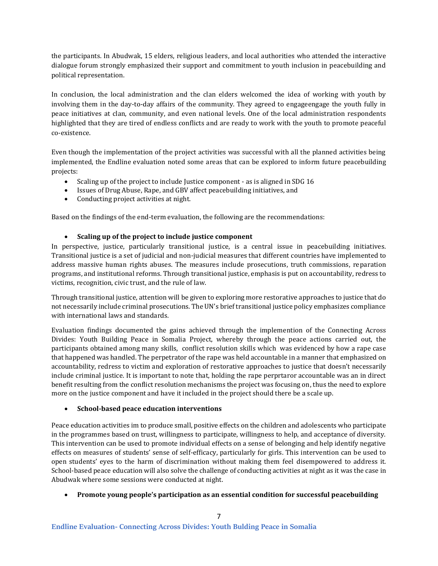the participants. In Abudwak, 15 elders, religious leaders, and local authorities who attended the interactive dialogue forum strongly emphasized their support and commitment to youth inclusion in peacebuilding and political representation.

In conclusion, the local administration and the clan elders welcomed the idea of working with youth by involving them in the day-to-day affairs of the community. They agreed to engageengage the youth fully in peace initiatives at clan, community, and even national levels. One of the local administration respondents highlighted that they are tired of endless conflicts and are ready to work with the youth to promote peaceful co-existence.

Even though the implementation of the project activities was successful with all the planned activities being implemented, the Endline evaluation noted some areas that can be explored to inform future peacebuilding projects:

- Scaling up of the project to include Justice component as is aligned in SDG 16
- Issues of Drug Abuse, Rape, and GBV affect peacebuilding initiatives, and
- Conducting project activities at night.

Based on the findings of the end-term evaluation, the following are the recommendations:

#### • **Scaling up of the project to include justice component**

In perspective, justice, particularly transitional justice, is a central issue in peacebuilding initiatives. Transitional justice is a set of judicial and non-judicial measures that different countries have implemented to address massive human rights abuses. The measures include prosecutions, truth commissions, reparation programs, and institutional reforms. Through transitional justice, emphasis is put on accountability, redress to victims, recognition, civic trust, and the rule of law.

Through transitional justice, attention will be given to exploring more restorative approaches to justice that do not necessarily include criminal prosecutions. The UN's brief transitional justice policy emphasizes compliance with international laws and standards.

Evaluation findings documented the gains achieved through the implemention of the Connecting Across Divides: Youth Building Peace in Somalia Project, whereby through the peace actions carried out, the participants obtained among many skills, conflict resolution skills which was evidenced by how a rape case that happened was handled. The perpetrator of the rape was held accountable in a manner that emphasized on accountability, redress to victim and exploration of restorative approaches to justice that doesn't necessarily include criminal justice. It is important to note that, holding the rape perprtaror accountable was an in direct benefit resulting from the conflict resolution mechanisms the project was focusing on, thus the need to explore more on the justice component and have it included in the project should there be a scale up.

#### • **School-based peace education interventions**

Peace education activities im to produce small, positive effects on the children and adolescents who participate in the programmes based on trust, willingness to participate, willingness to help, and acceptance of diversity. This intervention can be used to promote individual effects on a sense of belonging and help identify negative effects on measures of students' sense of self-efficacy, particularly for girls. This intervention can be used to open students' eyes to the harm of discrimination without making them feel disempowered to address it. School-based peace education will also solve the challenge of conducting activities at night as it was the case in Abudwak where some sessions were conducted at night.

• **Promote young people's participation as an essential condition for successful peacebuilding**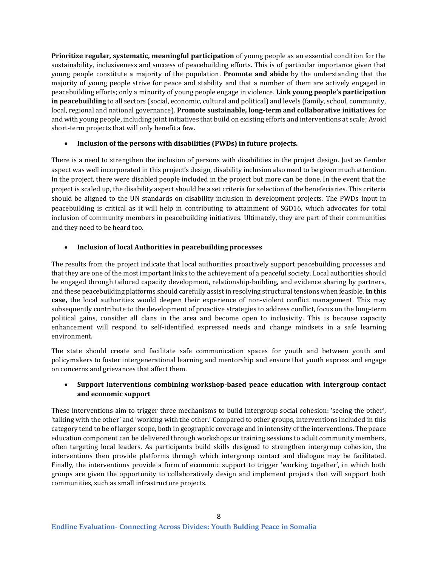**Prioritize regular, systematic, meaningful participation** of young people as an essential condition for the sustainability, inclusiveness and success of peacebuilding efforts. This is of particular importance given that young people constitute a majority of the population. **Promote and abide** by the understanding that the majority of young people strive for peace and stability and that a number of them are actively engaged in peacebuilding efforts; only a minority of young people engage in violence. **Link young people's participation in peacebuilding** to all sectors (social, economic, cultural and political) and levels (family, school, community, local, regional and national governance). **Promote sustainable, long-term and collaborative initiatives** for and with young people, including joint initiatives that build on existing efforts and interventions at scale; Avoid short-term projects that will only benefit a few.

#### • **Inclusion of the persons with disabilities (PWDs) in future projects.**

There is a need to strengthen the inclusion of persons with disabilities in the project design. Just as Gender aspect was well incorporated in this project's design, disability inclusion also need to be given much attention. In the project, there were disabled people included in the project but more can be done. In the event that the project is scaled up, the disability aspect should be a set criteria for selection of the benefeciaries. This criteria should be aligned to the UN standards on disability inclusion in development projects. The PWDs input in peacebuilding is critical as it will help in contributing to attainment of SGD16, which advocates for total inclusion of community members in peacebuilding initiatives. Ultimately, they are part of their communities and they need to be heard too.

#### • **Inclusion of local Authorities in peacebuilding processes**

The results from the project indicate that local authorities proactively support peacebuilding processes and that they are one of the most important links to the achievement of a peaceful society. Local authorities should be engaged through tailored capacity development, relationship-building, and evidence sharing by partners, and these peacebuilding platforms should carefully assist in resolving structural tensions when feasible. **In this case,** the local authorities would deepen their experience of non-violent conflict management. This may subsequently contribute to the development of proactive strategies to address conflict, focus on the long-term political gains, consider all clans in the area and become open to inclusivity. This is because capacity enhancement will respond to self-identified expressed needs and change mindsets in a safe learning environment.

The state should create and facilitate safe communication spaces for youth and between youth and policymakers to foster intergenerational learning and mentorship and ensure that youth express and engage on concerns and grievances that affect them.

### • **Support Interventions combining workshop-based peace education with intergroup contact and economic support**

These interventions aim to trigger three mechanisms to build intergroup social cohesion: 'seeing the other', 'talking with the other' and 'working with the other.' Compared to other groups, interventions included in this category tend to be of larger scope, both in geographic coverage and in intensity of the interventions. The peace education component can be delivered through workshops or training sessions to adult community members, often targeting local leaders. As participants build skills designed to strengthen intergroup cohesion, the interventions then provide platforms through which intergroup contact and dialogue may be facilitated. Finally, the interventions provide a form of economic support to trigger 'working together', in which both groups are given the opportunity to collaboratively design and implement projects that will support both communities, such as small infrastructure projects.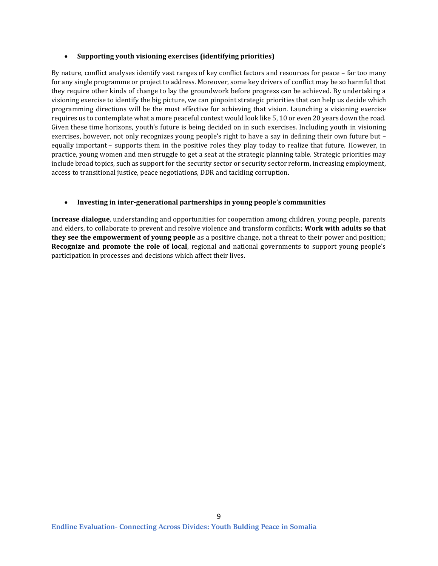#### • **Supporting youth visioning exercises (identifying priorities)**

By nature, conflict analyses identify vast ranges of key conflict factors and resources for peace – far too many for any single programme or project to address. Moreover, some key drivers of conflict may be so harmful that they require other kinds of change to lay the groundwork before progress can be achieved. By undertaking a visioning exercise to identify the big picture, we can pinpoint strategic priorities that can help us decide which programming directions will be the most effective for achieving that vision. Launching a visioning exercise requires us to contemplate what a more peaceful context would look like 5, 10 or even 20 years down the road. Given these time horizons, youth's future is being decided on in such exercises. Including youth in visioning exercises, however, not only recognizes young people's right to have a say in defining their own future but – equally important – supports them in the positive roles they play today to realize that future. However, in practice, young women and men struggle to get a seat at the strategic planning table. Strategic priorities may include broad topics, such as support for the security sector or security sector reform, increasing employment, access to transitional justice, peace negotiations, DDR and tackling corruption.

#### • **Investing in inter-generational partnerships in young people's communities**

**Increase dialogue**, understanding and opportunities for cooperation among children, young people, parents and elders, to collaborate to prevent and resolve violence and transform conflicts; **Work with adults so that they see the empowerment of young people** as a positive change, not a threat to their power and position; **Recognize and promote the role of local**, regional and national governments to support young people's participation in processes and decisions which affect their lives.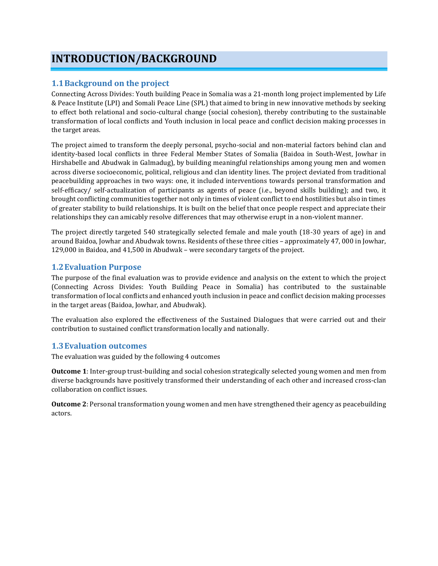# <span id="page-9-0"></span>**INTRODUCTION/BACKGROUND**

# <span id="page-9-1"></span>**1.1Background on the project**

Connecting Across Divides: Youth building Peace in Somalia was a 21-month long project implemented by Life & Peace Institute (LPI) and Somali Peace Line (SPL) that aimed to bring in new innovative methods by seeking to effect both relational and socio-cultural change (social cohesion), thereby contributing to the sustainable transformation of local conflicts and Youth inclusion in local peace and conflict decision making processes in the target areas.

The project aimed to transform the deeply personal, psycho-social and non-material factors behind clan and identity-based local conflicts in three Federal Member States of Somalia (Baidoa in South-West, Jowhar in Hirshabelle and Abudwak in Galmadug), by building meaningful relationships among young men and women across diverse socioeconomic, political, religious and clan identity lines. The project deviated from traditional peacebuilding approaches in two ways: one, it included interventions towards personal transformation and self-efficacy/ self-actualization of participants as agents of peace (i.e., beyond skills building); and two, it brought conflicting communities together not only in times of violent conflict to end hostilities but also in times of greater stability to build relationships. It is built on the belief that once people respect and appreciate their relationships they can amicably resolve differences that may otherwise erupt in a non-violent manner.

The project directly targeted 540 strategically selected female and male youth (18-30 years of age) in and around Baidoa, Jowhar and Abudwak towns. Residents of these three cities – approximately 47, 000 in Jowhar, 129,000 in Baidoa, and 41,500 in Abudwak – were secondary targets of the project.

# <span id="page-9-2"></span>**1.2Evaluation Purpose**

The purpose of the final evaluation was to provide evidence and analysis on the extent to which the project (Connecting Across Divides: Youth Building Peace in Somalia) has contributed to the sustainable transformation of local conflicts and enhanced youth inclusion in peace and conflict decision making processes in the target areas (Baidoa, Jowhar, and Abudwak).

The evaluation also explored the effectiveness of the Sustained Dialogues that were carried out and their contribution to sustained conflict transformation locally and nationally.

# <span id="page-9-3"></span>**1.3Evaluation outcomes**

The evaluation was guided by the following 4 outcomes

**Outcome 1**: Inter-group trust-building and social cohesion strategically selected young women and men from diverse backgrounds have positively transformed their understanding of each other and increased cross-clan collaboration on conflict issues.

**Outcome 2**: Personal transformation young women and men have strengthened their agency as peacebuilding actors.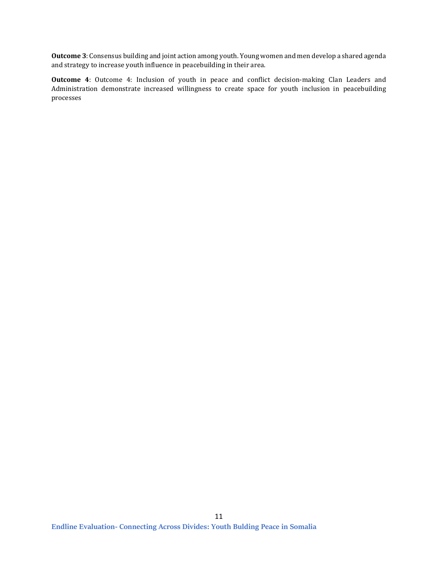**Outcome 3**: Consensus building and joint action among youth. Young women and men develop a shared agenda and strategy to increase youth influence in peacebuilding in their area.

**Outcome 4**: Outcome 4: Inclusion of youth in peace and conflict decision-making Clan Leaders and Administration demonstrate increased willingness to create space for youth inclusion in peacebuilding processes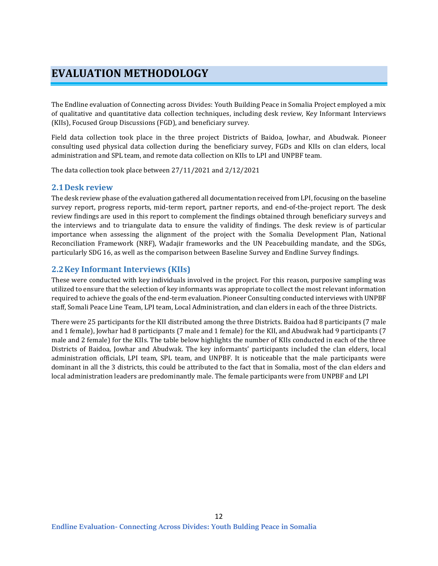# <span id="page-11-0"></span>**EVALUATION METHODOLOGY**

The Endline evaluation of Connecting across Divides: Youth Building Peace in Somalia Project employed a mix of qualitative and quantitative data collection techniques, including desk review, Key Informant Interviews (KIIs), Focused Group Discussions (FGD), and beneficiary survey.

Field data collection took place in the three project Districts of Baidoa, Jowhar, and Abudwak. Pioneer consulting used physical data collection during the beneficiary survey, FGDs and KIIs on clan elders, local administration and SPL team, and remote data collection on KIIs to LPI and UNPBF team.

The data collection took place between 27/11/2021 and 2/12/2021

#### <span id="page-11-1"></span>**2.1Desk review**

The desk review phase of the evaluation gathered all documentation received from LPI, focusing on the baseline survey report, progress reports, mid-term report, partner reports, and end-of-the-project report. The desk review findings are used in this report to complement the findings obtained through beneficiary surveys and the interviews and to triangulate data to ensure the validity of findings. The desk review is of particular importance when assessing the alignment of the project with the Somalia Development Plan, National Reconciliation Framework (NRF), Wadajir frameworks and the UN Peacebuilding mandate, and the SDGs, particularly SDG 16, as well as the comparison between Baseline Survey and Endline Survey findings.

### <span id="page-11-2"></span>**2.2Key Informant Interviews (KIIs)**

These were conducted with key individuals involved in the project. For this reason, purposive sampling was utilized to ensure that the selection of key informants was appropriate to collect the most relevant information required to achieve the goals of the end-term evaluation. Pioneer Consulting conducted interviews with UNPBF staff, Somali Peace Line Team, LPI team, Local Administration, and clan elders in each of the three Districts.

There were 25 participants for the KII distributed among the three Districts. Baidoa had 8 participants (7 male and 1 female), Jowhar had 8 participants (7 male and 1 female) for the KII, and Abudwak had 9 participants (7 male and 2 female) for the KIIs. The table below highlights the number of KIIs conducted in each of the three Districts of Baidoa, Jowhar and Abudwak. The key informants' participants included the clan elders, local administration officials, LPI team, SPL team, and UNPBF. It is noticeable that the male participants were dominant in all the 3 districts, this could be attributed to the fact that in Somalia, most of the clan elders and local administration leaders are predominantly male. The female participants were from UNPBF and LPI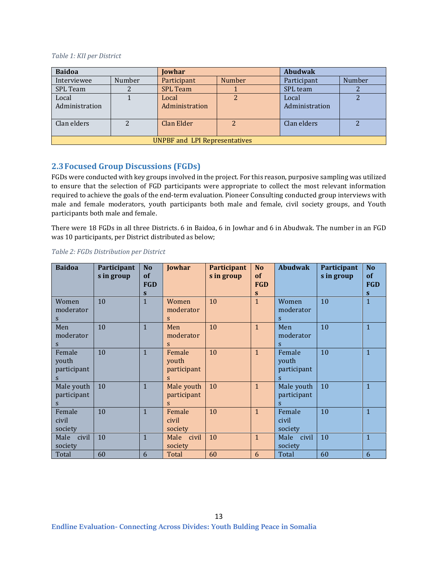#### <span id="page-12-1"></span>*Table 1: KII per District*

| <b>Baidoa</b>                        |        | <b>Jowhar</b>   |        | <b>Abudwak</b> |        |  |
|--------------------------------------|--------|-----------------|--------|----------------|--------|--|
| Interviewee                          | Number | Participant     | Number | Participant    | Number |  |
| <b>SPL</b> Team                      |        | <b>SPL Team</b> |        | SPL team       |        |  |
| Local                                |        | Local           |        | Local          |        |  |
| Administration                       |        | Administration  |        | Administration |        |  |
| Clan elders                          | າ      | Clan Elder      |        | Clan elders    |        |  |
|                                      |        |                 |        |                |        |  |
| <b>UNPBF and LPI Representatives</b> |        |                 |        |                |        |  |

# <span id="page-12-0"></span>**2.3Focused Group Discussions (FGDs)**

FGDs were conducted with key groups involved in the project. For this reason, purposive sampling was utilized to ensure that the selection of FGD participants were appropriate to collect the most relevant information required to achieve the goals of the end-term evaluation. Pioneer Consulting conducted group interviews with male and female moderators, youth participants both male and female, civil society groups, and Youth participants both male and female.

There were 18 FGDs in all three Districts. 6 in Baidoa, 6 in Jowhar and 6 in Abudwak. The number in an FGD was 10 participants, per District distributed as below;

| <b>Baidoa</b>                       | Participant<br>s in group | N <sub>o</sub><br><b>of</b><br><b>FGD</b><br>$\mathbf{s}$ | Jowhar                              | Participant<br>s in group | N <sub>o</sub><br><b>of</b><br><b>FGD</b><br>S | <b>Abudwak</b>                      | Participant<br>s in group | No<br><b>of</b><br><b>FGD</b><br>S |
|-------------------------------------|---------------------------|-----------------------------------------------------------|-------------------------------------|---------------------------|------------------------------------------------|-------------------------------------|---------------------------|------------------------------------|
| Women<br>moderator<br>S             | 10                        | $\mathbf{1}$                                              | Women<br>moderator<br>S             | 10                        | $\mathbf{1}$                                   | Women<br>moderator<br>S             | 10                        | $\mathbf{1}$                       |
| Men<br>moderator<br>S               | 10                        | $\overline{1}$                                            | Men<br>moderator<br>$\mathbf S$     | 10                        | $\mathbf{1}$                                   | Men<br>moderator<br>S               | 10                        | $\mathbf{1}$                       |
| Female<br>youth<br>participant<br>S | 10                        | $\mathbf{1}$                                              | Female<br>youth<br>participant<br>S | 10                        | $\mathbf{1}$                                   | Female<br>youth<br>participant<br>S | 10                        | $\mathbf{1}$                       |
| Male youth<br>participant<br>S      | 10                        | $\mathbf{1}$                                              | Male youth<br>participant<br>S      | 10                        | $\mathbf{1}$                                   | Male youth<br>participant<br>S      | 10                        | $\mathbf{1}$                       |
| Female<br>civil<br>society          | 10                        | $\mathbf{1}$                                              | Female<br>civil<br>society          | 10                        | $\mathbf{1}$                                   | Female<br>civil<br>society          | 10                        | $\mathbf{1}$                       |
| civil<br>Male<br>society            | 10                        | $\mathbf{1}$                                              | Male<br>civil<br>society            | 10                        | $\mathbf{1}$                                   | Male<br>civil<br>society            | 10                        | $\mathbf{1}$                       |
| Total                               | 60                        | 6                                                         | Total                               | 60                        | 6                                              | Total                               | 60                        | 6                                  |

#### <span id="page-12-2"></span>*Table 2: FGDs Distribution per District*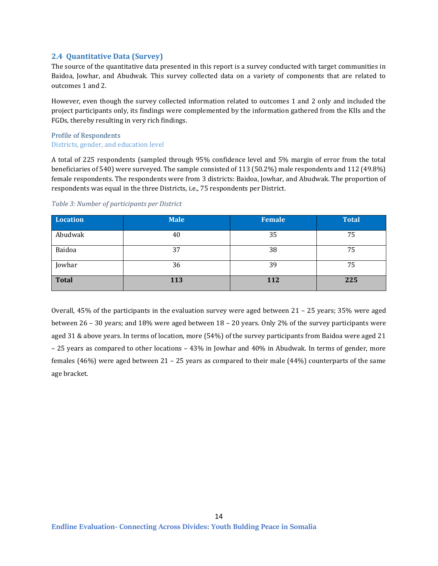#### <span id="page-13-0"></span>**2.4 Quantitative Data (Survey)**

The source of the quantitative data presented in this report is a survey conducted with target communities in Baidoa, Jowhar, and Abudwak. This survey collected data on a variety of components that are related to outcomes 1 and 2.

However, even though the survey collected information related to outcomes 1 and 2 only and included the project participants only, its findings were complemented by the information gathered from the KIIs and the FGDs, thereby resulting in very rich findings.

#### <span id="page-13-1"></span>Profile of Respondents Districts, gender, and education level

A total of 225 respondents (sampled through 95% confidence level and 5% margin of error from the total beneficiaries of 540) were surveyed. The sample consisted of 113 (50.2%) male respondents and 112 (49.8%) female respondents. The respondents were from 3 districts: Baidoa, Jowhar, and Abudwak. The proportion of respondents was equal in the three Districts, i.e., 75 respondents per District.

| Location     | <b>Male</b> | <b>Female</b> | <b>Total</b> |
|--------------|-------------|---------------|--------------|
| Abudwak      | 40          | 35            | 75           |
| Baidoa       | 37          | 38            | 75           |
| Jowhar       | 36          | 39            | 75           |
| <b>Total</b> | 113         | <b>112</b>    | 225          |

#### <span id="page-13-2"></span>*Table 3: Number of participants per District*

Overall, 45% of the participants in the evaluation survey were aged between 21 – 25 years; 35% were aged between 26 – 30 years; and 18% were aged between 18 – 20 years. Only 2% of the survey participants were aged 31 & above years. In terms of location, more (54%) of the survey participants from Baidoa were aged 21 – 25 years as compared to other locations – 43% in Jowhar and 40% in Abudwak. In terms of gender, more females (46%) were aged between 21 – 25 years as compared to their male (44%) counterparts of the same age bracket.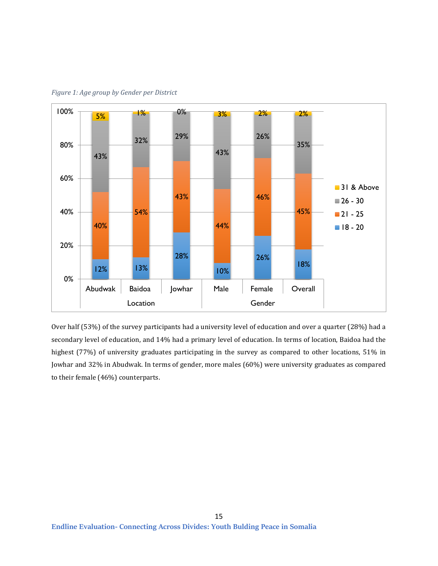

<span id="page-14-0"></span>*Figure 1: Age group by Gender per District*

Over half (53%) of the survey participants had a university level of education and over a quarter (28%) had a secondary level of education, and 14% had a primary level of education. In terms of location, Baidoa had the highest (77%) of university graduates participating in the survey as compared to other locations, 51% in Jowhar and 32% in Abudwak. In terms of gender, more males (60%) were university graduates as compared to their female (46%) counterparts.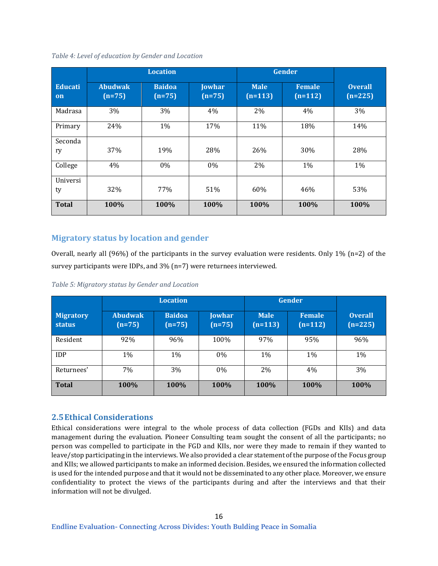|                | <b>Location</b>            |                           |                           | <b>Gender</b>            |                            |                             |
|----------------|----------------------------|---------------------------|---------------------------|--------------------------|----------------------------|-----------------------------|
| Educati<br>on  | <b>Abudwak</b><br>$(n=75)$ | <b>Baidoa</b><br>$(n=75)$ | <b>Jowhar</b><br>$(n=75)$ | <b>Male</b><br>$(n=113)$ | <b>Female</b><br>$(n=112)$ | <b>Overall</b><br>$(n=225)$ |
| Madrasa        | 3%                         | 3%                        | 4%                        | 2%                       | 4%                         | 3%                          |
| Primary        | 24%                        | 1%                        | 17%                       | 11%                      | 18%                        | 14%                         |
| Seconda<br>ry  | 37%                        | 19%                       | 28%                       | 26%                      | 30%                        | 28%                         |
| College        | 4%                         | 0%                        | 0%                        | 2%                       | 1%                         | 1%                          |
| Universi<br>ty | 32%                        | 77%                       | 51%                       | 60%                      | 46%                        | 53%                         |
| <b>Total</b>   | 100%                       | 100%                      | 100%                      | 100%                     | 100%                       | 100%                        |

<span id="page-15-1"></span>*Table 4: Level of education by Gender and Location*

# **Migratory status by location and gender**

Overall, nearly all (96%) of the participants in the survey evaluation were residents. Only 1% (n=2) of the survey participants were IDPs, and 3% (n=7) were returnees interviewed.

|                                   | <b>Location</b>            |                           |                    | Gender                   |                            |                             |
|-----------------------------------|----------------------------|---------------------------|--------------------|--------------------------|----------------------------|-----------------------------|
| <b>Migratory</b><br><b>status</b> | <b>Abudwak</b><br>$(n=75)$ | <b>Baidoa</b><br>$(n=75)$ | Jowhar<br>$(n=75)$ | <b>Male</b><br>$(n=113)$ | <b>Female</b><br>$(n=112)$ | <b>Overall</b><br>$(n=225)$ |
| Resident                          | 92%                        | 96%                       | 100%               | 97%                      | 95%                        | 96%                         |
| <b>IDP</b>                        | 1%                         | 1%                        | $0\%$              | 1%                       | 1%                         | 1%                          |
| Returnees'                        | 7%                         | 3%                        | $0\%$              | 2%                       | 4%                         | 3%                          |
| <b>Total</b>                      | 100%                       | 100%                      | 100%               | 100%                     | 100%                       | 100%                        |

<span id="page-15-2"></span>*Table 5: Migratory status by Gender and Location*

# <span id="page-15-0"></span>**2.5Ethical Considerations**

Ethical considerations were integral to the whole process of data collection (FGDs and KIIs) and data management during the evaluation. Pioneer Consulting team sought the consent of all the participants; no person was compelled to participate in the FGD and KIIs, nor were they made to remain if they wanted to leave/stop participating in the interviews. We also provided a clear statement of the purpose of the Focus group and KIIs; we allowed participants to make an informed decision. Besides, we ensured the information collected is used for the intended purpose and that it would not be disseminated to any other place. Moreover, we ensure confidentiality to protect the views of the participants during and after the interviews and that their information will not be divulged.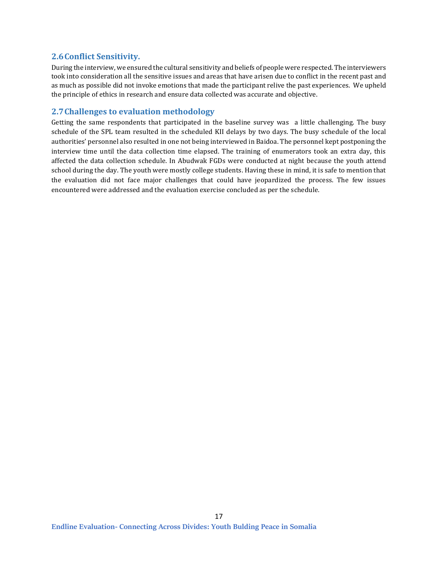### <span id="page-16-0"></span>**2.6Conflict Sensitivity.**

During the interview, we ensured the cultural sensitivity and beliefs of people were respected. The interviewers took into consideration all the sensitive issues and areas that have arisen due to conflict in the recent past and as much as possible did not invoke emotions that made the participant relive the past experiences. We upheld the principle of ethics in research and ensure data collected was accurate and objective.

### <span id="page-16-1"></span>**2.7Challenges to evaluation methodology**

Getting the same respondents that participated in the baseline survey was a little challenging. The busy schedule of the SPL team resulted in the scheduled KII delays by two days. The busy schedule of the local authorities' personnel also resulted in one not being interviewed in Baidoa. The personnel kept postponing the interview time until the data collection time elapsed. The training of enumerators took an extra day, this affected the data collection schedule. In Abudwak FGDs were conducted at night because the youth attend school during the day. The youth were mostly college students. Having these in mind, it is safe to mention that the evaluation did not face major challenges that could have jeopardized the process. The few issues encountered were addressed and the evaluation exercise concluded as per the schedule.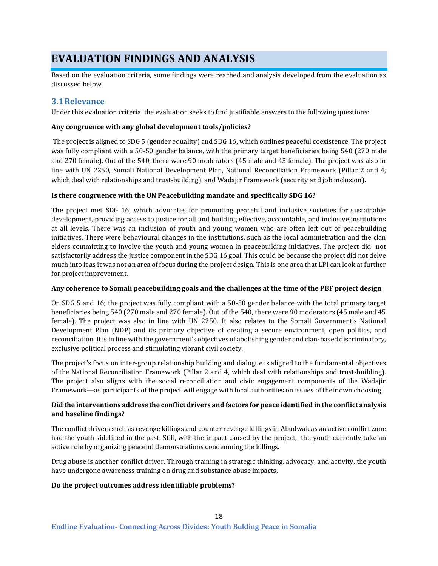# <span id="page-17-0"></span>**EVALUATION FINDINGS AND ANALYSIS**

Based on the evaluation criteria, some findings were reached and analysis developed from the evaluation as discussed below.

### <span id="page-17-1"></span>**3.1Relevance**

Under this evaluation criteria, the evaluation seeks to find justifiable answers to the following questions:

#### **Any congruence with any global development tools/policies?**

The project is aligned to SDG 5 (gender equality) and SDG 16, which outlines peaceful coexistence. The project was fully compliant with a 50-50 gender balance, with the primary target beneficiaries being 540 (270 male and 270 female). Out of the 540, there were 90 moderators (45 male and 45 female). The project was also in line with UN 2250, Somali National Development Plan, National Reconciliation Framework (Pillar 2 and 4, which deal with relationships and trust-building), and Wadajir Framework (security and job inclusion).

#### **Is there congruence with the UN Peacebuilding mandate and specifically SDG 16?**

The project met SDG 16, which advocates for promoting peaceful and inclusive societies for sustainable development, providing access to justice for all and building effective, accountable, and inclusive institutions at all levels. There was an inclusion of youth and young women who are often left out of peacebuilding initiatives. There were behavioural changes in the institutions, such as the local administration and the clan elders committing to involve the youth and young women in peacebuilding initiatives. The project did not satisfactorily address the justice component in the SDG 16 goal. This could be because the project did not delve much into it as it was not an area of focus during the project design. This is one area that LPI can look at further for project improvement.

#### **Any coherence to Somali peacebuilding goals and the challenges at the time of the PBF project design**

On SDG 5 and 16; the project was fully compliant with a 50-50 gender balance with the total primary target beneficiaries being 540 (270 male and 270 female). Out of the 540, there were 90 moderators (45 male and 45 female). The project was also in line with UN 2250. It also relates to the Somali Government's National Development Plan (NDP) and its primary objective of creating a secure environment, open politics, and reconciliation. It is in line with the government's objectives of abolishing gender and clan-based discriminatory, exclusive political process and stimulating vibrant civil society.

The project's focus on inter-group relationship building and dialogue is aligned to the fundamental objectives of the National Reconciliation Framework (Pillar 2 and 4, which deal with relationships and trust-building). The project also aligns with the social reconciliation and civic engagement components of the Wadajir Framework—as participants of the project will engage with local authorities on issues of their own choosing.

#### **Did the interventions address the conflict drivers and factors for peace identified in the conflict analysis and baseline findings?**

The conflict drivers such as revenge killings and counter revenge killings in Abudwak as an active conflict zone had the youth sidelined in the past. Still, with the impact caused by the project, the youth currently take an active role by organizing peaceful demonstrations condemning the killings.

Drug abuse is another conflict driver. Through training in strategic thinking, advocacy, and activity, the youth have undergone awareness training on drug and substance abuse impacts.

#### **Do the project outcomes address identifiable problems?**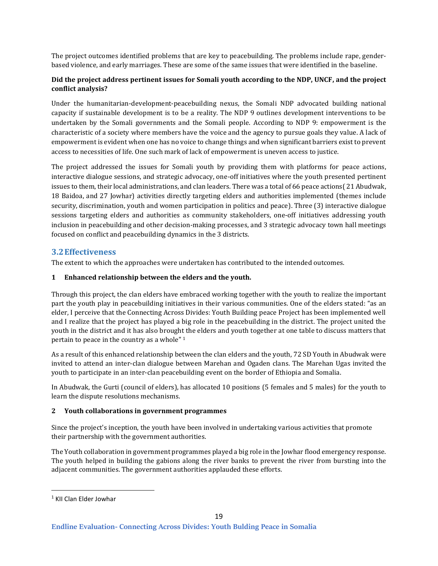The project outcomes identified problems that are key to peacebuilding. The problems include rape, genderbased violence, and early marriages. These are some of the same issues that were identified in the baseline.

### **Did the project address pertinent issues for Somali youth according to the NDP, UNCF, and the project conflict analysis?**

Under the humanitarian-development-peacebuilding nexus, the Somali NDP advocated building national capacity if sustainable development is to be a reality. The NDP 9 outlines development interventions to be undertaken by the Somali governments and the Somali people. According to NDP 9: empowerment is the characteristic of a society where members have the voice and the agency to pursue goals they value. A lack of empowerment is evident when one has no voice to change things and when significant barriers exist to prevent access to necessities of life. One such mark of lack of empowerment is uneven access to justice.

The project addressed the issues for Somali youth by providing them with platforms for peace actions, interactive dialogue sessions, and strategic advocacy, one-off initiatives where the youth presented pertinent issues to them, their local administrations, and clan leaders. There was a total of 66 peace actions( 21 Abudwak, 18 Baidoa, and 27 Jowhar) activities directly targeting elders and authorities implemented (themes include security, discrimination, youth and women participation in politics and peace). Three (3) interactive dialogue sessions targeting elders and authorities as community stakeholders, one-off initiatives addressing youth inclusion in peacebuilding and other decision-making processes, and 3 strategic advocacy town hall meetings focused on conflict and peacebuilding dynamics in the 3 districts.

# <span id="page-18-0"></span>**3.2Effectiveness**

The extent to which the approaches were undertaken has contributed to the intended outcomes.

#### **1 Enhanced relationship between the elders and the youth.**

Through this project, the clan elders have embraced working together with the youth to realize the important part the youth play in peacebuilding initiatives in their various communities. One of the elders stated: "as an elder, I perceive that the Connecting Across Divides: Youth Building peace Project has been implemented well and I realize that the project has played a big role in the peacebuilding in the district. The project united the youth in the district and it has also brought the elders and youth together at one table to discuss matters that pertain to peace in the country as a whole" <sup>1</sup>

As a result of this enhanced relationship between the clan elders and the youth, 72 SD Youth in Abudwak were invited to attend an inter-clan dialogue between Marehan and Ogaden clans. The Marehan Ugas invited the youth to participate in an inter-clan peacebuilding event on the border of Ethiopia and Somalia.

In Abudwak, the Gurti (council of elders), has allocated 10 positions (5 females and 5 males) for the youth to learn the dispute resolutions mechanisms.

#### **2 Youth collaborations in government programmes**

Since the project's inception, the youth have been involved in undertaking various activities that promote their partnership with the government authorities.

The Youth collaboration in government programmes played a big role in the Jowhar flood emergency response. The youth helped in building the gabions along the river banks to prevent the river from bursting into the adjacent communities. The government authorities applauded these efforts.

<sup>1</sup> KII Clan Elder Jowhar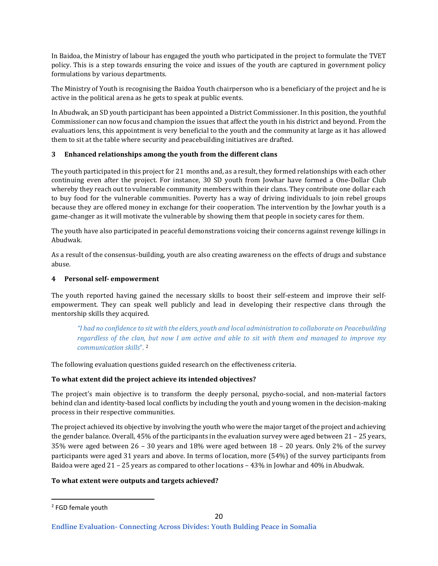In Baidoa, the Ministry of labour has engaged the youth who participated in the project to formulate the TVET policy. This is a step towards ensuring the voice and issues of the youth are captured in government policy formulations by various departments.

The Ministry of Youth is recognising the Baidoa Youth chairperson who is a beneficiary of the project and he is active in the political arena as he gets to speak at public events.

In Abudwak, an SD youth participant has been appointed a District Commissioner. In this position, the youthful Commissioner can now focus and champion the issues that affect the youth in his district and beyond. From the evaluatiors lens, this appointment is very beneficial to the youth and the community at large as it has allowed them to sit at the table where security and peacebuilding initiatives are drafted.

#### **3 Enhanced relationships among the youth from the different clans**

The youth participated in this project for 21 months and, as a result, they formed relationships with each other continuing even after the project. For instance, 30 SD youth from Jowhar have formed a One-Dollar Club whereby they reach out to vulnerable community members within their clans. They contribute one dollar each to buy food for the vulnerable communities. Poverty has a way of driving individuals to join rebel groups because they are offered money in exchange for their cooperation. The intervention by the Jowhar youth is a game-changer as it will motivate the vulnerable by showing them that people in society cares for them.

The youth have also participated in peaceful demonstrations voicing their concerns against revenge killings in Abudwak.

As a result of the consensus-building, youth are also creating awareness on the effects of drugs and substance abuse.

#### **4 Personal self- empowerment**

The youth reported having gained the necessary skills to boost their self-esteem and improve their selfempowerment. They can speak well publicly and lead in developing their respective clans through the mentorship skills they acquired.

*"I had no confidence to sit with the elders, youth and local administration to collaborate on Peacebuilding regardless of the clan, but now I am active and able to sit with them and managed to improve my communication skills*". <sup>2</sup>

The following evaluation questions guided research on the effectiveness criteria.

#### **To what extent did the project achieve its intended objectives?**

The project's main objective is to transform the deeply personal, psycho-social, and non-material factors behind clan and identity-based local conflicts by including the youth and young women in the decision-making process in their respective communities.

The project achieved its objective by involving the youth who were the major target of the project and achieving the gender balance. Overall, 45% of the participants in the evaluation survey were aged between 21 – 25 years, 35% were aged between 26 – 30 years and 18% were aged between 18 – 20 years. Only 2% of the survey participants were aged 31 years and above. In terms of location, more (54%) of the survey participants from Baidoa were aged 21 – 25 years as compared to other locations – 43% in Jowhar and 40% in Abudwak.

#### **To what extent were outputs and targets achieved?**

<sup>2</sup> FGD female youth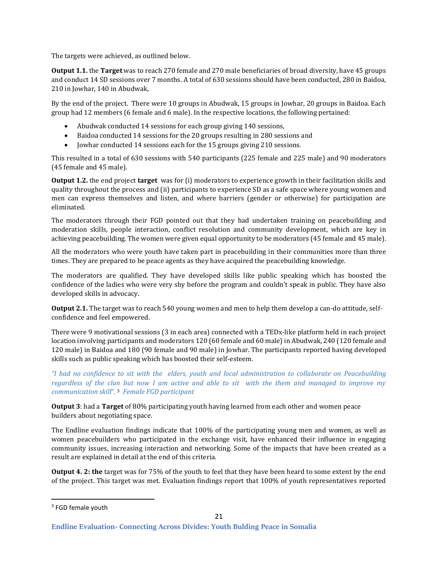The targets were achieved, as outlined below.

**Output 1.1.** the **Target** was to reach 270 female and 270 male beneficiaries of broad diversity, have 45 groups and conduct 14 SD sessions over 7 months. A total of 630 sessions should have been conducted, 280 in Baidoa, 210 in Jowhar, 140 in Abudwak,

By the end of the project. There were 10 groups in Abudwak, 15 groups in Jowhar, 20 groups in Baidoa. Each group had 12 members (6 female and 6 male). In the respective locations, the following pertained:

- Abudwak conducted 14 sessions for each group giving 140 sessions,
- Baidoa conducted 14 sessions for the 20 groups resulting in 280 sessions and
- Jowhar conducted 14 sessions each for the 15 groups giving 210 sessions.

This resulted in a total of 630 sessions with 540 participants (225 female and 225 male) and 90 moderators (45 female and 45 male).

**Output 1.2.** the end project **target** was for (i) moderators to experience growth in their facilitation skills and quality throughout the process and (ii) participants to experience SD as a safe space where young women and men can express themselves and listen, and where barriers (gender or otherwise) for participation are eliminated.

The moderators through their FGD pointed out that they had undertaken training on peacebuilding and moderation skills, people interaction, conflict resolution and community development, which are key in achieving peacebuilding. The women were given equal opportunity to be moderators (45 female and 45 male).

All the moderators who were youth have taken part in peacebuilding in their communities more than three times. They are prepared to be peace agents as they have acquired the peacebuilding knowledge.

The moderators are qualified. They have developed skills like public speaking which has boosted the confidence of the ladies who were very shy before the program and couldn't speak in public. They have also developed skills in advocacy.

**Output 2.1.** The target was to reach 540 young women and men to help them develop a can-do attitude, selfconfidence and feel empowered.

There were 9 motivational sessions (3 in each area) connected with a TEDx-like platform held in each project location involving participants and moderators 120 (60 female and 60 male) in Abudwak, 240 (120 female and 120 male) in Baidoa and 180 (90 female and 90 male) in Jowhar. The participants reported having developed skills such as public speaking which has boosted their self-esteem.

*"I had no confidence to sit with the elders, youth and local administration to collaborate on Peacebuilding regardless of the clan but now I am active and able to sit with the them and managed to improve my communication skill*". <sup>3</sup> *Female FGD participant*

**Output 3**: had a **Target** of 80% participating youth having learned from each other and women peace builders about negotiating space.

The Endline evaluation findings indicate that 100% of the participating young men and women, as well as women peacebuilders who participated in the exchange visit, have enhanced their influence in engaging community issues, increasing interaction and networking. Some of the impacts that have been created as a result are explained in detail at the end of this criteria.

**Output 4. 2: the** target was for 75% of the youth to feel that they have been heard to some extent by the end of the project. This target was met. Evaluation findings report that 100% of youth representatives reported

<sup>3</sup> FGD female youth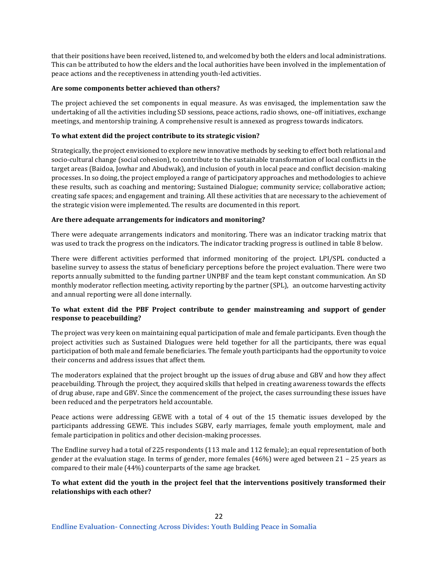that their positions have been received, listened to, and welcomed by both the elders and local administrations. This can be attributed to how the elders and the local authorities have been involved in the implementation of peace actions and the receptiveness in attending youth-led activities.

#### **Are some components better achieved than others?**

The project achieved the set components in equal measure. As was envisaged, the implementation saw the undertaking of all the activities including SD sessions, peace actions, radio shows, one-off initiatives, exchange meetings, and mentorship training. A comprehensive result is annexed as progress towards indicators.

#### **To what extent did the project contribute to its strategic vision?**

Strategically, the project envisioned to explore new innovative methods by seeking to effect both relational and socio-cultural change (social cohesion), to contribute to the sustainable transformation of local conflicts in the target areas (Baidoa, Jowhar and Abudwak), and inclusion of youth in local peace and conflict decision-making processes. In so doing, the project employed a range of participatory approaches and methodologies to achieve these results, such as coaching and mentoring; Sustained Dialogue; community service; collaborative action; creating safe spaces; and engagement and training. All these activities that are necessary to the achievement of the strategic vision were implemented. The results are documented in this report.

#### **Are there adequate arrangements for indicators and monitoring?**

There were adequate arrangements indicators and monitoring. There was an indicator tracking matrix that was used to track the progress on the indicators. The indicator tracking progress is outlined in table 8 below.

There were different activities performed that informed monitoring of the project. LPI/SPL conducted a baseline survey to assess the status of beneficiary perceptions before the project evaluation. There were two reports annually submitted to the funding partner UNPBF and the team kept constant communication. An SD monthly moderator reflection meeting, activity reporting by the partner (SPL), an outcome harvesting activity and annual reporting were all done internally.

#### **To what extent did the PBF Project contribute to gender mainstreaming and support of gender response to peacebuilding?**

The project was very keen on maintaining equal participation of male and female participants. Even though the project activities such as Sustained Dialogues were held together for all the participants, there was equal participation of both male and female beneficiaries. The female youth participants had the opportunity to voice their concerns and address issues that affect them.

The moderators explained that the project brought up the issues of drug abuse and GBV and how they affect peacebuilding. Through the project, they acquired skills that helped in creating awareness towards the effects of drug abuse, rape and GBV. Since the commencement of the project, the cases surrounding these issues have been reduced and the perpetrators held accountable.

Peace actions were addressing GEWE with a total of 4 out of the 15 thematic issues developed by the participants addressing GEWE. This includes SGBV, early marriages, female youth employment, male and female participation in politics and other decision-making processes.

The Endline survey had a total of 225 respondents (113 male and 112 female); an equal representation of both gender at the evaluation stage. In terms of gender, more females (46%) were aged between 21 – 25 years as compared to their male (44%) counterparts of the same age bracket.

#### **To what extent did the youth in the project feel that the interventions positively transformed their relationships with each other?**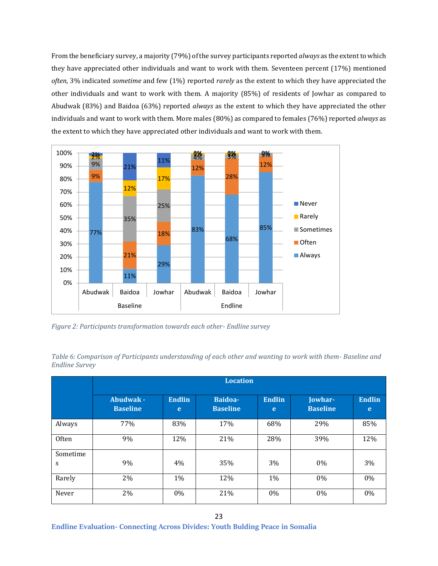From the beneficiary survey, a majority (79%) of the survey participants reported *always* as the extent to which they have appreciated other individuals and want to work with them. Seventeen percent (17%) mentioned *often*, 3% indicated *sometime* and few (1%) reported *rarely* as the extent to which they have appreciated the other individuals and want to work with them. A majority (85%) of residents of Jowhar as compared to Abudwak (83%) and Baidoa (63%) reported *always* as the extent to which they have appreciated the other individuals and want to work with them. More males (80%) as compared to females (76%) reported *always* as the extent to which they have appreciated other individuals and want to work with them.



<span id="page-22-1"></span>*Figure 2: Participants transformation towards each other- Endline survey*

|               | <b>Location</b>              |                    |                            |                    |                            |                    |  |  |
|---------------|------------------------------|--------------------|----------------------------|--------------------|----------------------------|--------------------|--|--|
|               | Abudwak -<br><b>Baseline</b> | <b>Endlin</b><br>e | Baidoa-<br><b>Baseline</b> | <b>Endlin</b><br>e | Jowhar-<br><b>Baseline</b> | <b>Endlin</b><br>e |  |  |
| Always        | 77%                          | 83%                | 17%                        | 68%                | 29%                        | 85%                |  |  |
| <b>Often</b>  | 9%                           | 12%                | 21%                        | 28%                | 39%                        | 12%                |  |  |
| Sometime<br>S | 9%                           | 4%                 | 35%                        | 3%                 | $0\%$                      | 3%                 |  |  |
| Rarely        | 2%                           | $1\%$              | 12%                        | 1%                 | $0\%$                      | 0%                 |  |  |
| Never         | 2%                           | $0\%$              | 21%                        | 0%                 | $0\%$                      | 0%                 |  |  |

<span id="page-22-0"></span>*Table 6: Comparison of Participants understanding of each other and wanting to work with them- Baseline and Endline Survey*

**Endline Evaluation- Connecting Across Divides: Youth Bulding Peace in Somalia**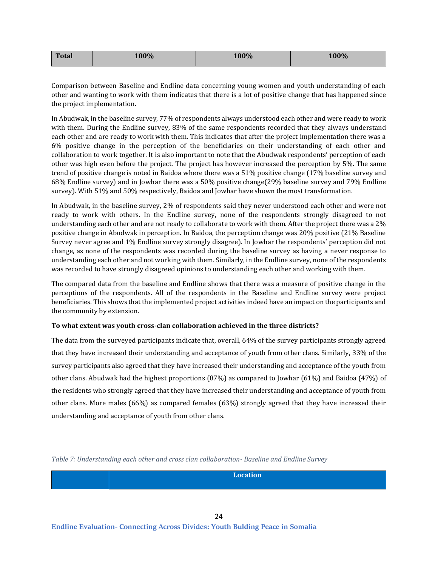| <b>Total</b> | 100% | 100% | 100% |
|--------------|------|------|------|
|              |      |      |      |

Comparison between Baseline and Endline data concerning young women and youth understanding of each other and wanting to work with them indicates that there is a lot of positive change that has happened since the project implementation.

In Abudwak, in the baseline survey, 77% of respondents always understood each other and were ready to work with them. During the Endline survey, 83% of the same respondents recorded that they always understand each other and are ready to work with them. This indicates that after the project implementation there was a 6% positive change in the perception of the beneficiaries on their understanding of each other and collaboration to work together. It is also important to note that the Abudwak respondents' perception of each other was high even before the project. The project has however increased the perception by 5%. The same trend of positive change is noted in Baidoa where there was a 51% positive change (17% baseline survey and 68% Endline survey) and in Jowhar there was a 50% positive change(29% baseline survey and 79% Endline survey). With 51% and 50% respectively, Baidoa and Jowhar have shown the most transformation.

In Abudwak, in the baseline survey, 2% of respondents said they never understood each other and were not ready to work with others. In the Endline survey, none of the respondents strongly disagreed to not understanding each other and are not ready to collaborate to work with them. After the project there was a 2% positive change in Abudwak in perception. In Baidoa, the perception change was 20% positive (21% Baseline Survey never agree and 1% Endline survey strongly disagree). In Jowhar the respondents' perception did not change, as none of the respondents was recorded during the baseline survey as having a never response to understanding each other and not working with them. Similarly, in the Endline survey, none of the respondents was recorded to have strongly disagreed opinions to understanding each other and working with them.

The compared data from the baseline and Endline shows that there was a measure of positive change in the perceptions of the respondents. All of the respondents in the Baseline and Endline survey were project beneficiaries. This shows that the implemented project activities indeed have an impact on the participants and the community by extension.

#### **To what extent was youth cross-clan collaboration achieved in the three districts?**

The data from the surveyed participants indicate that, overall, 64% of the survey participants strongly agreed that they have increased their understanding and acceptance of youth from other clans. Similarly, 33% of the survey participants also agreed that they have increased their understanding and acceptance of the youth from other clans. Abudwak had the highest proportions (87%) as compared to Jowhar (61%) and Baidoa (47%) of the residents who strongly agreed that they have increased their understanding and acceptance of youth from other clans. More males (66%) as compared females (63%) strongly agreed that they have increased their understanding and acceptance of youth from other clans.

<span id="page-23-0"></span>*Table 7: Understanding each other and cross clan collaboration- Baseline and Endline Survey*

| Location |
|----------|
|          |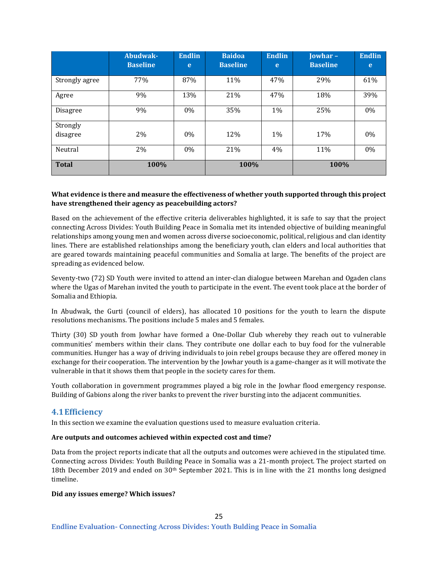|                      | Abudwak-<br><b>Baseline</b> | <b>Endlin</b><br>e | <b>Baidoa</b><br><b>Baseline</b> | <b>Endlin</b><br>e | <b>Jowhar-</b><br><b>Baseline</b> | <b>Endlin</b><br>e |
|----------------------|-----------------------------|--------------------|----------------------------------|--------------------|-----------------------------------|--------------------|
| Strongly agree       | 77%                         | 87%                | 11%                              | 47%                | 29%                               | 61%                |
| Agree                | 9%                          | 13%                | 21%                              | 47%                | 18%                               | 39%                |
| <b>Disagree</b>      | 9%                          | $0\%$              | 35%                              | $1\%$              | 25%                               | 0%                 |
| Strongly<br>disagree | 2%                          | $0\%$              | 12%                              | 1%                 | 17%                               | 0%                 |
| Neutral              | 2%                          | $0\%$              | 21%                              | 4%                 | 11%                               | 0%                 |
| <b>Total</b>         | 100%                        |                    | 100%                             |                    | 100%                              |                    |

#### **What evidence is there and measure the effectiveness of whether youth supported through this project have strengthened their agency as peacebuilding actors?**

Based on the achievement of the effective criteria deliverables highlighted, it is safe to say that the project connecting Across Divides: Youth Building Peace in Somalia met its intended objective of building meaningful relationships among young men and women across diverse socioeconomic, political, religious and clan identity lines. There are established relationships among the beneficiary youth, clan elders and local authorities that are geared towards maintaining peaceful communities and Somalia at large. The benefits of the project are spreading as evidenced below.

Seventy-two (72) SD Youth were invited to attend an inter-clan dialogue between Marehan and Ogaden clans where the Ugas of Marehan invited the youth to participate in the event. The event took place at the border of Somalia and Ethiopia.

In Abudwak, the Gurti (council of elders), has allocated 10 positions for the youth to learn the dispute resolutions mechanisms. The positions include 5 males and 5 females.

Thirty (30) SD youth from Jowhar have formed a One-Dollar Club whereby they reach out to vulnerable communities' members within their clans. They contribute one dollar each to buy food for the vulnerable communities. Hunger has a way of driving individuals to join rebel groups because they are offered money in exchange for their cooperation. The intervention by the Jowhar youth is a game-changer as it will motivate the vulnerable in that it shows them that people in the society cares for them.

Youth collaboration in government programmes played a big role in the Jowhar flood emergency response. Building of Gabions along the river banks to prevent the river bursting into the adjacent communities.

#### <span id="page-24-0"></span>**4.1Efficiency**

In this section we examine the evaluation questions used to measure evaluation criteria.

#### **Are outputs and outcomes achieved within expected cost and time?**

Data from the project reports indicate that all the outputs and outcomes were achieved in the stipulated time. Connecting across Divides: Youth Building Peace in Somalia was a 21-month project. The project started on 18th December 2019 and ended on 30<sup>th</sup> September 2021. This is in line with the 21 months long designed timeline.

#### **Did any issues emerge? Which issues?**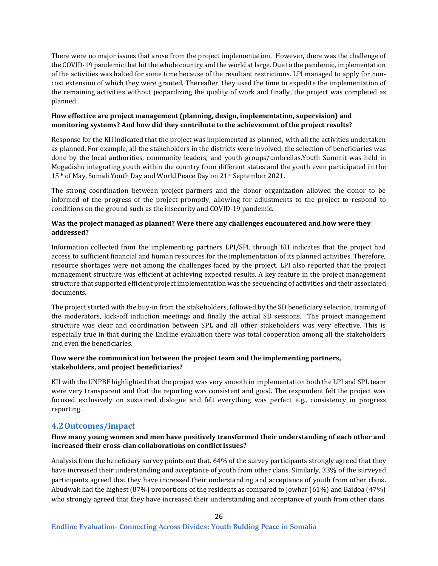There were no major issues that arose from the project implementation. However, there was the challenge of the COVID-19 pandemic that hit the whole country and the world at large. Due to the pandemic, implementation of the activities was halted for some time because of the resultant restrictions. LPI managed to apply for noncost extension of which they were granted. Thereafter, they used the time to expedite the implementation of the remaining activities without jeopardizing the quality of work and finally, the project was completed as planned.

#### **How effective are project management (planning, design, implementation, supervision) and monitoring systems? And how did they contribute to the achievement of the project results?**

Response for the KII indicated that the project was implemented as planned, with all the activities undertaken as planned. For example, all the stakeholders in the districts were involved, the selection of beneficiaries was done by the local authorities, community leaders, and youth groups/umbrellas.Youth Summit was held in Mogadishu integrating youth within the country from different states and the youth even participated in the 15<sup>th</sup> of May, Somali Youth Day and World Peace Day on 21st September 2021.

The strong coordination between project partners and the donor organization allowed the donor to be informed of the progress of the project promptly, allowing for adjustments to the project to respond to conditions on the ground such as the insecurity and COVID-19 pandemic.

#### **Was the project managed as planned? Were there any challenges encountered and how were they addressed?**

Information collected from the implementing partners LPI/SPL through KII indicates that the project had access to sufficient financial and human resources for the implementation of its planned activities. Therefore, resource shortages were not among the challenges faced by the project. LPI also reported that the project management structure was efficient at achieving expected results. A key feature in the project management structure that supported efficient project implementation was the sequencing of activities and their associated documents.

The project started with the buy-in from the stakeholders, followed by the SD beneficiary selection, training of the moderators, kick-off induction meetings and finally the actual SD sessions. The project management structure was clear and coordination between SPL and all other stakeholders was very effective. This is especially true in that during the Endline evaluation there was total cooperation among all the stakeholders and even the beneficiaries.

#### **How were the communication between the project team and the implementing partners, stakeholders, and project beneficiaries?**

KII with the UNPBF highlighted that the project was very smooth in implementation both the LPI and SPL team were very transparent and that the reporting was consistent and good. The respondent felt the project was focused exclusively on sustained dialogue and felt everything was perfect e.g., consistency in progress reporting.

# <span id="page-25-0"></span>**4.2Outcomes/impact**

#### **How many young women and men have positively transformed their understanding of each other and increased their cross-clan collaborations on conflict issues?**

Analysis from the beneficiary survey points out that, 64% of the survey participants strongly agreed that they have increased their understanding and acceptance of youth from other clans. Similarly, 33% of the surveyed participants agreed that they have increased their understanding and acceptance of youth from other clans. Abudwak had the highest (87%) proportions of the residents as compared to Jowhar (61%) and Baidoa (47%) who strongly agreed that they have increased their understanding and acceptance of youth from other clans.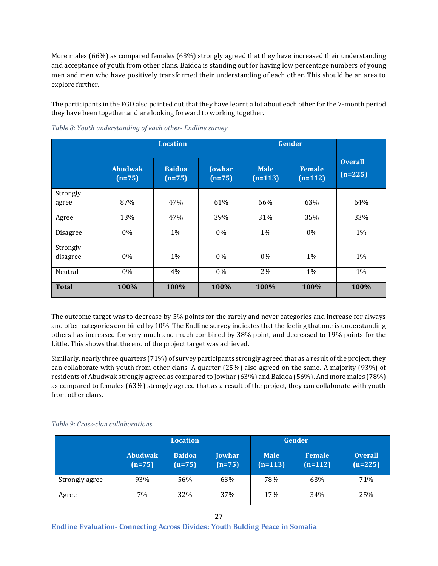More males (66%) as compared females (63%) strongly agreed that they have increased their understanding and acceptance of youth from other clans. Baidoa is standing out for having low percentage numbers of young men and men who have positively transformed their understanding of each other. This should be an area to explore further.

The participants in the FGD also pointed out that they have learnt a lot about each other for the 7-month period they have been together and are looking forward to working together.

|                      |                            | <b>Location</b>           |                           | <b>Gender</b>            |                            |                             |
|----------------------|----------------------------|---------------------------|---------------------------|--------------------------|----------------------------|-----------------------------|
|                      | <b>Abudwak</b><br>$(n=75)$ | <b>Baidoa</b><br>$(n=75)$ | <b>Jowhar</b><br>$(n=75)$ | <b>Male</b><br>$(n=113)$ | <b>Female</b><br>$(n=112)$ | <b>Overall</b><br>$(n=225)$ |
| Strongly<br>agree    | 87%                        | 47%                       | 61%                       | 66%                      | 63%                        | 64%                         |
| Agree                | 13%                        | 47%                       | 39%                       | 31%                      | 35%                        | 33%                         |
| <b>Disagree</b>      | 0%                         | $1\%$                     | 0%                        | 1%                       | 0%                         | 1%                          |
| Strongly<br>disagree | 0%                         | 1%                        | 0%                        | 0%                       | 1%                         | 1%                          |
| Neutral              | 0%                         | 4%                        | 0%                        | 2%                       | 1%                         | 1%                          |
| <b>Total</b>         | 100%                       | 100%                      | 100%                      | 100%                     | 100%                       | 100%                        |

<span id="page-26-0"></span>*Table 8: Youth understanding of each other- Endline survey*

The outcome target was to decrease by 5% points for the rarely and never categories and increase for always and often categories combined by 10%. The Endline survey indicates that the feeling that one is understanding others has increased for very much and much combined by 38% point, and decreased to 19% points for the Little. This shows that the end of the project target was achieved.

Similarly, nearly three quarters (71%) of survey participants strongly agreed that as a result of the project, they can collaborate with youth from other clans. A quarter (25%) also agreed on the same. A majority (93%) of residents of Abudwak strongly agreed as compared to Jowhar (63%) and Baidoa (56%). And more males (78%) as compared to females (63%) strongly agreed that as a result of the project, they can collaborate with youth from other clans.

<span id="page-26-1"></span>

|  |  | Table 9: Cross-clan collaborations |
|--|--|------------------------------------|
|--|--|------------------------------------|

|                | <b>Location</b>            |                           |                           | Gender                   |                            |                             |
|----------------|----------------------------|---------------------------|---------------------------|--------------------------|----------------------------|-----------------------------|
|                | <b>Abudwak</b><br>$(n=75)$ | <b>Baidoa</b><br>$(n=75)$ | <b>Jowhar</b><br>$(n=75)$ | <b>Male</b><br>$(n=113)$ | <b>Female</b><br>$(n=112)$ | <b>Overall</b><br>$(n=225)$ |
| Strongly agree | 93%                        | 56%                       | 63%                       | 78%                      | 63%                        | 71%                         |
| Agree          | 7%                         | 32%                       | 37%                       | 17%                      | 34%                        | 25%                         |

**Endline Evaluation- Connecting Across Divides: Youth Bulding Peace in Somalia**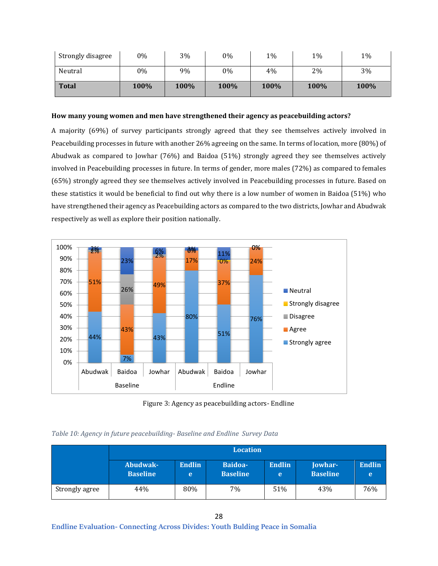| Strongly disagree | 0%   | 3%   | 0%   | 1%   | 1%   | 1%   |
|-------------------|------|------|------|------|------|------|
| Neutral           | 0%   | 9%   | 0%   | 4%   | 2%   | 3%   |
| <b>Total</b>      | 100% | 100% | 100% | 100% | 100% | 100% |

#### **How many young women and men have strengthened their agency as peacebuilding actors?**

A majority (69%) of survey participants strongly agreed that they see themselves actively involved in Peacebuilding processes in future with another 26% agreeing on the same. In terms of location, more (80%) of Abudwak as compared to Jowhar (76%) and Baidoa (51%) strongly agreed they see themselves actively involved in Peacebuilding processes in future. In terms of gender, more males (72%) as compared to females (65%) strongly agreed they see themselves actively involved in Peacebuilding processes in future. Based on these statistics it would be beneficial to find out why there is a low number of women in Baidoa (51%) who have strengthened their agency as Peacebuilding actors as compared to the two districts, Jowhar and Abudwak respectively as well as explore their position nationally.



Figure 3: Agency as peacebuilding actors- Endline

# <span id="page-27-1"></span><span id="page-27-0"></span>*Table 10: Agency in future peacebuilding- Baseline and Endline Survey Data*

|                | <b>Location</b>             |                    |                            |                    |                            |                    |  |  |
|----------------|-----------------------------|--------------------|----------------------------|--------------------|----------------------------|--------------------|--|--|
|                | Abudwak-<br><b>Baseline</b> | <b>Endlin</b><br>e | Baidoa-<br><b>Baseline</b> | <b>Endlin</b><br>e | Jowhar-<br><b>Baseline</b> | <b>Endlin</b><br>e |  |  |
| Strongly agree | 44%                         | 80%                | 7%                         | 51%                | 43%                        | 76%                |  |  |

**Endline Evaluation- Connecting Across Divides: Youth Bulding Peace in Somalia**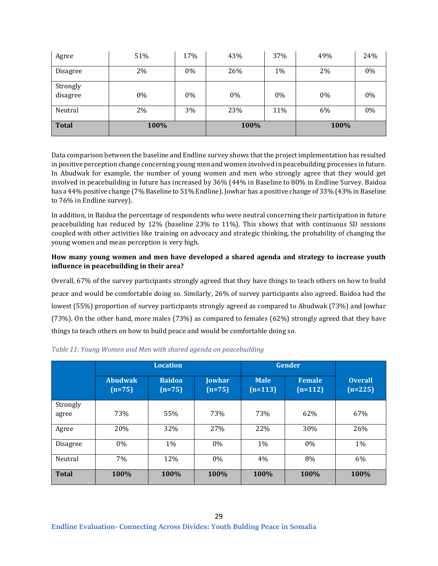| Agree                | 51%  | 17% | 43%  | 37% | 49%   | 24%   |
|----------------------|------|-----|------|-----|-------|-------|
| <b>Disagree</b>      | 2%   | 0%  | 26%  | 1%  | 2%    | 0%    |
| Strongly<br>disagree | 0%   | 0%  | 0%   | 0%  | $0\%$ | $0\%$ |
| Neutral              | 2%   | 3%  | 23%  | 11% | 6%    | 0%    |
| <b>Total</b>         | 100% |     | 100% |     | 100%  |       |

Data comparison between the baseline and Endline survey shows that the project implementation has resulted in positive perception change concerning young men and women involved in peacebuilding processes in future. In Abudwak for example, the number of young women and men who strongly agree that they would get involved in peacebuilding in future has increased by 36% (44% in Baseline to 80% in Endline Survey. Baidoa has a 44% positive change (7% Baseline to 51% Endline). Jowhar has a positive change of 33% (43% in Baseline to 76% in Endline survey).

In addition, in Baidoa the percentage of respondents who were neutral concerning their participation in future peacebuilding has reduced by 12% (baseline 23% to 11%). This shows that with continuous SD sessions coupled with other activities like training on advocacy and strategic thinking, the probability of changing the young women and mean perception is very high.

#### **How many young women and men have developed a shared agenda and strategy to increase youth influence in peacebuilding in their area?**

Overall, 67% of the survey participants strongly agreed that they have things to teach others on how to build peace and would be comfortable doing so. Similarly, 26% of survey participants also agreed. Baidoa had the lowest (55%) proportion of survey participants strongly agreed as compared to Abudwak (73%) and Jowhar (73%). On the other hand, more males (73%) as compared to females (62%) strongly agreed that they have things to teach others on how to build peace and would be comfortable doing so.

|                   |                            | <b>Location</b>           |                           | <b>Gender</b>            |                     |                             |
|-------------------|----------------------------|---------------------------|---------------------------|--------------------------|---------------------|-----------------------------|
|                   | <b>Abudwak</b><br>$(n=75)$ | <b>Baidoa</b><br>$(n=75)$ | <b>Jowhar</b><br>$(n=75)$ | <b>Male</b><br>$(n=113)$ | Female<br>$(n=112)$ | <b>Overall</b><br>$(n=225)$ |
| Strongly<br>agree | 73%                        | 55%                       | 73%                       | 73%                      | 62%                 | 67%                         |
| Agree             | 20%                        | 32%                       | 27%                       | 22%                      | 30%                 | 26%                         |
| Disagree          | $0\%$                      | 1%                        | $0\%$                     | 1%                       | $0\%$               | 1%                          |
| Neutral           | 7%                         | 12%                       | 0%                        | 4%                       | 8%                  | 6%                          |
| <b>Total</b>      | 100%                       | 100%                      | 100%                      | 100%                     | 100%                | 100%                        |

#### <span id="page-28-0"></span>*Table 11: Young Women and Men with shared agenda on peacebuilding*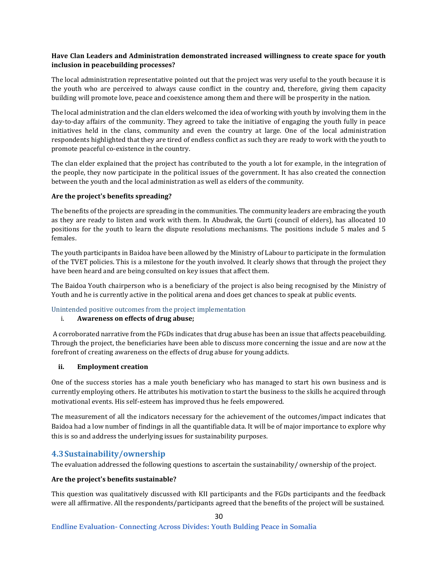#### **Have Clan Leaders and Administration demonstrated increased willingness to create space for youth inclusion in peacebuilding processes?**

The local administration representative pointed out that the project was very useful to the youth because it is the youth who are perceived to always cause conflict in the country and, therefore, giving them capacity building will promote love, peace and coexistence among them and there will be prosperity in the nation.

The local administration and the clan elders welcomed the idea of working with youth by involving them in the day-to-day affairs of the community. They agreed to take the initiative of engaging the youth fully in peace initiatives held in the clans, community and even the country at large. One of the local administration respondents highlighted that they are tired of endless conflict as such they are ready to work with the youth to promote peaceful co-existence in the country.

The clan elder explained that the project has contributed to the youth a lot for example, in the integration of the people, they now participate in the political issues of the government. It has also created the connection between the youth and the local administration as well as elders of the community.

#### **Are the project's benefits spreading?**

The benefits of the projects are spreading in the communities. The community leaders are embracing the youth as they are ready to listen and work with them. In Abudwak, the Gurti (council of elders), has allocated 10 positions for the youth to learn the dispute resolutions mechanisms. The positions include 5 males and 5 females.

The youth participants in Baidoa have been allowed by the Ministry of Labour to participate in the formulation of the TVET policies. This is a milestone for the youth involved. It clearly shows that through the project they have been heard and are being consulted on key issues that affect them.

The Baidoa Youth chairperson who is a beneficiary of the project is also being recognised by the Ministry of Youth and he is currently active in the political arena and does get chances to speak at public events.

#### <span id="page-29-0"></span>Unintended positive outcomes from the project implementation

#### i. **Awareness on effects of drug abuse;**

A corroborated narrative from the FGDs indicates that drug abuse has been an issue that affects peacebuilding. Through the project, the beneficiaries have been able to discuss more concerning the issue and are now at the forefront of creating awareness on the effects of drug abuse for young addicts.

#### **ii. Employment creation**

One of the success stories has a male youth beneficiary who has managed to start his own business and is currently employing others. He attributes his motivation to start the business to the skills he acquired through motivational events. His self-esteem has improved thus he feels empowered.

The measurement of all the indicators necessary for the achievement of the outcomes/impact indicates that Baidoa had a low number of findings in all the quantifiable data. It will be of major importance to explore why this is so and address the underlying issues for sustainability purposes.

# <span id="page-29-1"></span>**4.3Sustainability/ownership**

The evaluation addressed the following questions to ascertain the sustainability/ ownership of the project.

#### **Are the project's benefits sustainable?**

This question was qualitatively discussed with KII participants and the FGDs participants and the feedback were all affirmative. All the respondents/participants agreed that the benefits of the project will be sustained.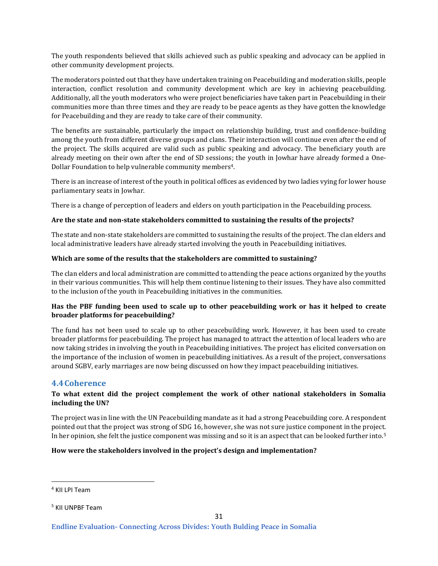The youth respondents believed that skills achieved such as public speaking and advocacy can be applied in other community development projects.

The moderators pointed out that they have undertaken training on Peacebuilding and moderation skills, people interaction, conflict resolution and community development which are key in achieving peacebuilding. Additionally, all the youth moderators who were project beneficiaries have taken part in Peacebuilding in their communities more than three times and they are ready to be peace agents as they have gotten the knowledge for Peacebuilding and they are ready to take care of their community.

The benefits are sustainable, particularly the impact on relationship building, trust and confidence-building among the youth from different diverse groups and clans. Their interaction will continue even after the end of the project. The skills acquired are valid such as public speaking and advocacy. The beneficiary youth are already meeting on their own after the end of SD sessions; the youth in Jowhar have already formed a One-Dollar Foundation to help vulnerable community members<sup>4</sup>.

There is an increase of interest of the youth in political offices as evidenced by two ladies vying for lower house parliamentary seats in Jowhar.

There is a change of perception of leaders and elders on youth participation in the Peacebuilding process.

#### **Are the state and non-state stakeholders committed to sustaining the results of the projects?**

The state and non-state stakeholders are committed to sustaining the results of the project. The clan elders and local administrative leaders have already started involving the youth in Peacebuilding initiatives.

#### **Which are some of the results that the stakeholders are committed to sustaining?**

The clan elders and local administration are committed to attending the peace actions organized by the youths in their various communities. This will help them continue listening to their issues. They have also committed to the inclusion of the youth in Peacebuilding initiatives in the communities.

#### **Has the PBF funding been used to scale up to other peacebuilding work or has it helped to create broader platforms for peacebuilding?**

The fund has not been used to scale up to other peacebuilding work. However, it has been used to create broader platforms for peacebuilding. The project has managed to attract the attention of local leaders who are now taking strides in involving the youth in Peacebuilding initiatives. The project has elicited conversation on the importance of the inclusion of women in peacebuilding initiatives. As a result of the project, conversations around SGBV, early marriages are now being discussed on how they impact peacebuilding initiatives.

#### <span id="page-30-0"></span>**4.4Coherence**

#### **To what extent did the project complement the work of other national stakeholders in Somalia including the UN?**

The project was in line with the UN Peacebuilding mandate as it had a strong Peacebuilding core. A respondent pointed out that the project was strong of SDG 16, however, she was not sure justice component in the project. In her opinion, she felt the justice component was missing and so it is an aspect that can be looked further into.<sup>5</sup>

#### **How were the stakeholders involved in the project's design and implementation?**

<sup>4</sup> KII LPI Team

<sup>&</sup>lt;sup>5</sup> KII UNPBF Team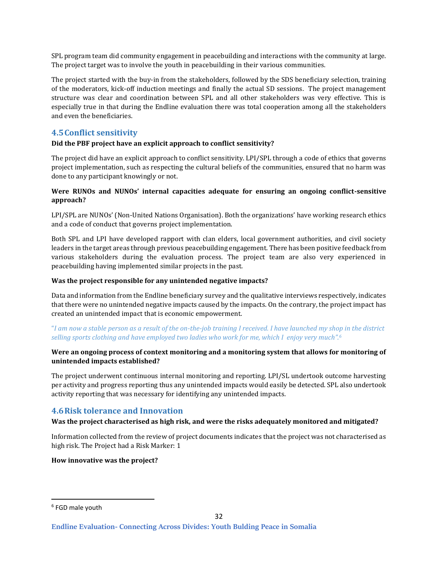SPL program team did community engagement in peacebuilding and interactions with the community at large. The project target was to involve the youth in peacebuilding in their various communities.

The project started with the buy-in from the stakeholders, followed by the SDS beneficiary selection, training of the moderators, kick-off induction meetings and finally the actual SD sessions. The project management structure was clear and coordination between SPL and all other stakeholders was very effective. This is especially true in that during the Endline evaluation there was total cooperation among all the stakeholders and even the beneficiaries.

# <span id="page-31-0"></span>**4.5Conflict sensitivity**

#### **Did the PBF project have an explicit approach to conflict sensitivity?**

The project did have an explicit approach to conflict sensitivity. LPI/SPL through a code of ethics that governs project implementation, such as respecting the cultural beliefs of the communities, ensured that no harm was done to any participant knowingly or not.

#### **Were RUNOs and NUNOs' internal capacities adequate for ensuring an ongoing conflict-sensitive approach?**

LPI/SPL are NUNOs' (Non-United Nations Organisation). Both the organizations' have working research ethics and a code of conduct that governs project implementation.

Both SPL and LPI have developed rapport with clan elders, local government authorities, and civil society leaders in the target areas through previous peacebuilding engagement. There has been positive feedback from various stakeholders during the evaluation process. The project team are also very experienced in peacebuilding having implemented similar projects in the past.

#### **Was the project responsible for any unintended negative impacts?**

Data and information from the Endline beneficiary survey and the qualitative interviews respectively, indicates that there were no unintended negative impacts caused by the impacts. On the contrary, the project impact has created an unintended impact that is economic empowerment.

"*I am now a stable person as a result of the on-the-job training I received. I have launched my shop in the district selling sports clothing and have employed two ladies who work for me, which I enjoy very much".<sup>6</sup>*

#### **Were an ongoing process of context monitoring and a monitoring system that allows for monitoring of unintended impacts established?**

The project underwent continuous internal monitoring and reporting. LPI/SL undertook outcome harvesting per activity and progress reporting thus any unintended impacts would easily be detected. SPL also undertook activity reporting that was necessary for identifying any unintended impacts.

# <span id="page-31-1"></span>**4.6Risk tolerance and Innovation**

#### **Was the project characterised as high risk, and were the risks adequately monitored and mitigated?**

Information collected from the review of project documents indicates that the project was not characterised as high risk. The Project had a Risk Marker: 1

#### **How innovative was the project?**

<sup>6</sup> FGD male youth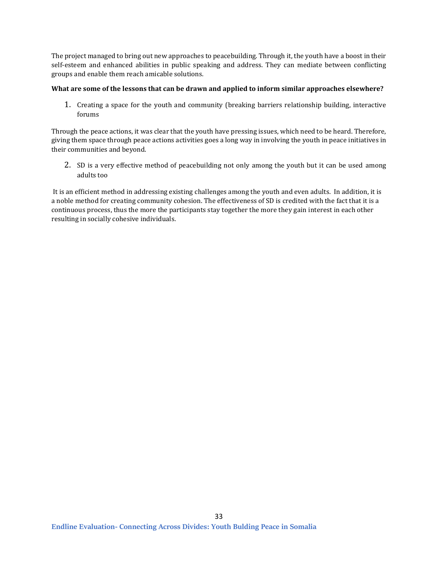The project managed to bring out new approaches to peacebuilding. Through it, the youth have a boost in their self-esteem and enhanced abilities in public speaking and address. They can mediate between conflicting groups and enable them reach amicable solutions.

#### **What are some of the lessons that can be drawn and applied to inform similar approaches elsewhere?**

1. Creating a space for the youth and community (breaking barriers relationship building, interactive forums

Through the peace actions, it was clear that the youth have pressing issues, which need to be heard. Therefore, giving them space through peace actions activities goes a long way in involving the youth in peace initiatives in their communities and beyond.

2. SD is a very effective method of peacebuilding not only among the youth but it can be used among adults too

It is an efficient method in addressing existing challenges among the youth and even adults. In addition, it is a noble method for creating community cohesion. The effectiveness of SD is credited with the fact that it is a continuous process, thus the more the participants stay together the more they gain interest in each other resulting in socially cohesive individuals.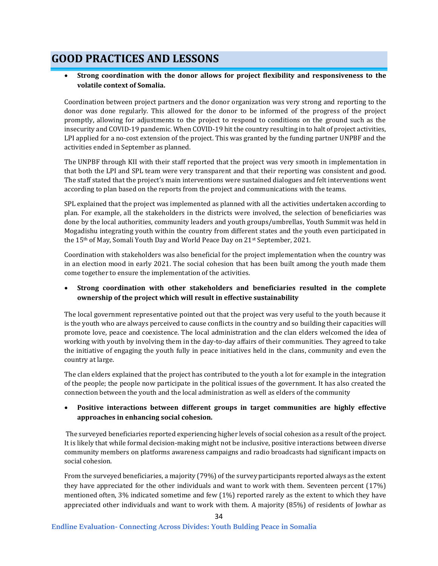# <span id="page-33-0"></span>**GOOD PRACTICES AND LESSONS**

### • **Strong coordination with the donor allows for project flexibility and responsiveness to the volatile context of Somalia.**

Coordination between project partners and the donor organization was very strong and reporting to the donor was done regularly. This allowed for the donor to be informed of the progress of the project promptly, allowing for adjustments to the project to respond to conditions on the ground such as the insecurity and COVID-19 pandemic. When COVID-19 hit the country resulting in to halt of project activities, LPI applied for a no-cost extension of the project. This was granted by the funding partner UNPBF and the activities ended in September as planned.

The UNPBF through KII with their staff reported that the project was very smooth in implementation in that both the LPI and SPL team were very transparent and that their reporting was consistent and good. The staff stated that the project's main interventions were sustained dialogues and felt interventions went according to plan based on the reports from the project and communications with the teams.

SPL explained that the project was implemented as planned with all the activities undertaken according to plan. For example, all the stakeholders in the districts were involved, the selection of beneficiaries was done by the local authorities, community leaders and youth groups/umbrellas, Youth Summit was held in Mogadishu integrating youth within the country from different states and the youth even participated in the 15<sup>th</sup> of May, Somali Youth Day and World Peace Day on 21<sup>st</sup> September, 2021.

Coordination with stakeholders was also beneficial for the project implementation when the country was in an election mood in early 2021. The social cohesion that has been built among the youth made them come together to ensure the implementation of the activities.

### • **Strong coordination with other stakeholders and beneficiaries resulted in the complete ownership of the project which will result in effective sustainability**

The local government representative pointed out that the project was very useful to the youth because it is the youth who are always perceived to cause conflicts in the country and so building their capacities will promote love, peace and coexistence. The local administration and the clan elders welcomed the idea of working with youth by involving them in the day-to-day affairs of their communities. They agreed to take the initiative of engaging the youth fully in peace initiatives held in the clans, community and even the country at large.

The clan elders explained that the project has contributed to the youth a lot for example in the integration of the people; the people now participate in the political issues of the government. It has also created the connection between the youth and the local administration as well as elders of the community

### • **Positive interactions between different groups in target communities are highly effective approaches in enhancing social cohesion.**

The surveyed beneficiaries reported experiencing higher levels of social cohesion as a result of the project. It is likely that while formal decision-making might not be inclusive, positive interactions between diverse community members on platforms awareness campaigns and radio broadcasts had significant impacts on social cohesion.

From the surveyed beneficiaries, a majority (79%) of the survey participants reported always as the extent they have appreciated for the other individuals and want to work with them. Seventeen percent (17%) mentioned often, 3% indicated sometime and few (1%) reported rarely as the extent to which they have appreciated other individuals and want to work with them. A majority (85%) of residents of Jowhar as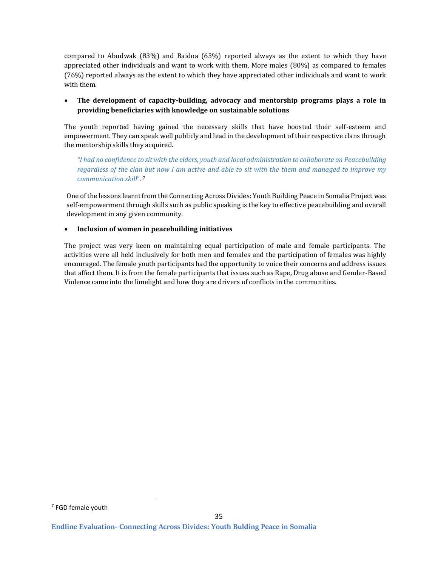compared to Abudwak (83%) and Baidoa (63%) reported always as the extent to which they have appreciated other individuals and want to work with them. More males (80%) as compared to females (76%) reported always as the extent to which they have appreciated other individuals and want to work with them.

### • **The development of capacity-building, advocacy and mentorship programs plays a role in providing beneficiaries with knowledge on sustainable solutions**

The youth reported having gained the necessary skills that have boosted their self-esteem and empowerment. They can speak well publicly and lead in the development of their respective clans through the mentorship skills they acquired.

*"I had no confidence to sit with the elders, youth and local administration to collaborate on Peacebuilding regardless of the clan but now I am active and able to sit with the them and managed to improve my communication skill*". <sup>7</sup>

One of the lessons learnt from the Connecting Across Divides: Youth Building Peace in Somalia Project was self-empowerment through skills such as public speaking is the key to effective peacebuilding and overall development in any given community.

#### • **Inclusion of women in peacebuilding initiatives**

The project was very keen on maintaining equal participation of male and female participants. The activities were all held inclusively for both men and females and the participation of females was highly encouraged. The female youth participants had the opportunity to voice their concerns and address issues that affect them. It is from the female participants that issues such as Rape, Drug abuse and Gender-Based Violence came into the limelight and how they are drivers of conflicts in the communities.

<sup>7</sup> FGD female youth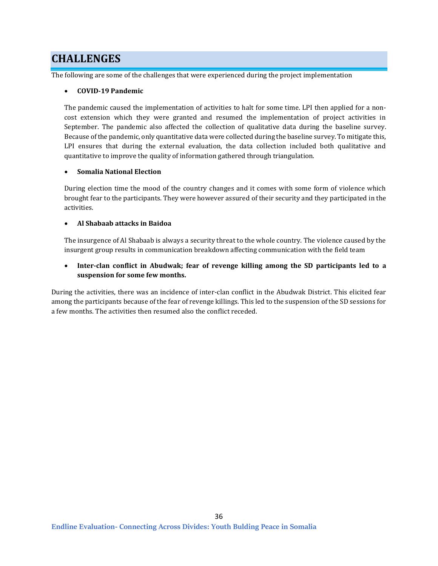# <span id="page-35-0"></span>**CHALLENGES**

The following are some of the challenges that were experienced during the project implementation

#### • **COVID-19 Pandemic**

The pandemic caused the implementation of activities to halt for some time. LPI then applied for a noncost extension which they were granted and resumed the implementation of project activities in September. The pandemic also affected the collection of qualitative data during the baseline survey. Because of the pandemic, only quantitative data were collected during the baseline survey. To mitigate this, LPI ensures that during the external evaluation, the data collection included both qualitative and quantitative to improve the quality of information gathered through triangulation.

#### • **Somalia National Election**

During election time the mood of the country changes and it comes with some form of violence which brought fear to the participants. They were however assured of their security and they participated in the activities.

#### • **Al Shabaab attacks in Baidoa**

The insurgence of Al Shabaab is always a security threat to the whole country. The violence caused by the insurgent group results in communication breakdown affecting communication with the field team

• **Inter-clan conflict in Abudwak; fear of revenge killing among the SD participants led to a suspension for some few months.**

During the activities, there was an incidence of inter-clan conflict in the Abudwak District. This elicited fear among the participants because of the fear of revenge killings. This led to the suspension of the SD sessions for a few months. The activities then resumed also the conflict receded.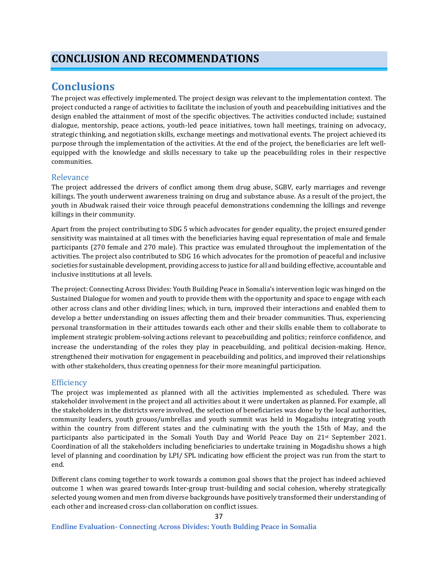# **Conclusions**

The project was effectively implemented. The project design was relevant to the implementation context. The project conducted a range of activities to facilitate the inclusion of youth and peacebuilding initiatives and the design enabled the attainment of most of the specific objectives. The activities conducted include; sustained dialogue, mentorship, peace actions, youth-led peace initiatives, town hall meetings, training on advocacy, strategic thinking, and negotiation skills, exchange meetings and motivational events. The project achieved its purpose through the implementation of the activities. At the end of the project, the beneficiaries are left wellequipped with the knowledge and skills necessary to take up the peacebuilding roles in their respective communities.

## Relevance

The project addressed the drivers of conflict among them drug abuse, SGBV, early marriages and revenge killings. The youth underwent awareness training on drug and substance abuse. As a result of the project, the youth in Abudwak raised their voice through peaceful demonstrations condemning the killings and revenge killings in their community.

Apart from the project contributing to SDG 5 which advocates for gender equality, the project ensured gender sensitivity was maintained at all times with the beneficiaries having equal representation of male and female participants (270 female and 270 male). This practice was emulated throughout the implementation of the activities. The project also contributed to SDG 16 which advocates for the promotion of peaceful and inclusive societies for sustainable development, providing access to justice for all and building effective, accountable and inclusive institutions at all levels.

The project: Connecting Across Divides: Youth Building Peace in Somalia's intervention logic was hinged on the Sustained Dialogue for women and youth to provide them with the opportunity and space to engage with each other across clans and other dividing lines; which, in turn, improved their interactions and enabled them to develop a better understanding on issues affecting them and their broader communities. Thus, experiencing personal transformation in their attitudes towards each other and their skills enable them to collaborate to implement strategic problem-solving actions relevant to peacebuilding and politics; reinforce confidence, and increase the understanding of the roles they play in peacebuilding, and political decision-making. Hence, strengthened their motivation for engagement in peacebuilding and politics, and improved their relationships with other stakeholders, thus creating openness for their more meaningful participation.

### **Efficiency**

The project was implemented as planned with all the activities implemented as scheduled. There was stakeholder involvement in the project and all activities about it were undertaken as planned. For example, all the stakeholders in the districts were involved, the selection of beneficiaries was done by the local authorities, community leaders, youth grouos/umbrellas and youth summit was held in Mogadishu integrating youth within the country from different states and the culminating with the youth the 15th of May, and the participants also participated in the Somali Youth Day and World Peace Day on 21st September 2021. Coordination of all the stakeholders including beneficiaries to undertake training in Mogadishu shows a high level of planning and coordination by LPI/ SPL indicating how efficient the project was run from the start to end.

Different clans coming together to work towards a common goal shows that the project has indeed achieved outcome 1 when was geared towards Inter-group trust-building and social cohesion, whereby strategically selected young women and men from diverse backgrounds have positively transformed their understanding of each other and increased cross-clan collaboration on conflict issues.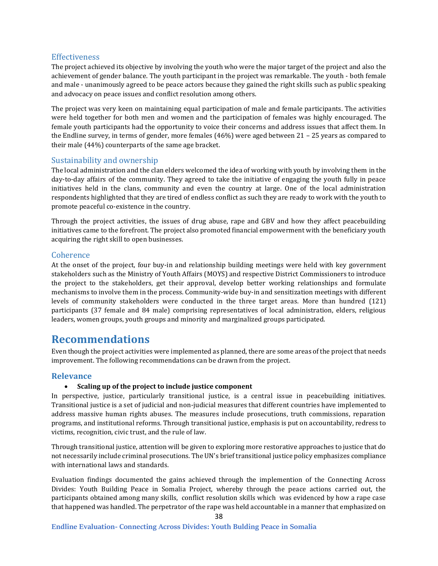### **Effectiveness**

The project achieved its objective by involving the youth who were the major target of the project and also the achievement of gender balance. The youth participant in the project was remarkable. The youth - both female and male - unanimously agreed to be peace actors because they gained the right skills such as public speaking and advocacy on peace issues and conflict resolution among others.

The project was very keen on maintaining equal participation of male and female participants. The activities were held together for both men and women and the participation of females was highly encouraged. The female youth participants had the opportunity to voice their concerns and address issues that affect them. In the Endline survey, in terms of gender, more females (46%) were aged between 21 – 25 years as compared to their male (44%) counterparts of the same age bracket.

### Sustainability and ownership

The local administration and the clan elders welcomed the idea of working with youth by involving them in the day-to-day affairs of the community. They agreed to take the initiative of engaging the youth fully in peace initiatives held in the clans, community and even the country at large. One of the local administration respondents highlighted that they are tired of endless conflict as such they are ready to work with the youth to promote peaceful co-existence in the country.

Through the project activities, the issues of drug abuse, rape and GBV and how they affect peacebuilding initiatives came to the forefront. The project also promoted financial empowerment with the beneficiary youth acquiring the right skill to open businesses.

### **Coherence**

At the onset of the project, four buy-in and relationship building meetings were held with key government stakeholders such as the Ministry of Youth Affairs (MOYS) and respective District Commissioners to introduce the project to the stakeholders, get their approval, develop better working relationships and formulate mechanisms to involve them in the process. Community-wide buy-in and sensitization meetings with different levels of community stakeholders were conducted in the three target areas. More than hundred (121) participants (37 female and 84 male) comprising representatives of local administration, elders, religious leaders, women groups, youth groups and minority and marginalized groups participated.

## **Recommendations**

Even though the project activities were implemented as planned, there are some areas of the project that needs improvement. The following recommendations can be drawn from the project.

### **Relevance**

### • **Scaling up of the project to include justice component**

In perspective, justice, particularly transitional justice, is a central issue in peacebuilding initiatives. Transitional justice is a set of judicial and non-judicial measures that different countries have implemented to address massive human rights abuses. The measures include prosecutions, truth commissions, reparation programs, and institutional reforms. Through transitional justice, emphasis is put on accountability, redress to victims, recognition, civic trust, and the rule of law.

Through transitional justice, attention will be given to exploring more restorative approaches to justice that do not necessarily include criminal prosecutions. The UN's brief transitional justice policy emphasizes compliance with international laws and standards.

Evaluation findings documented the gains achieved through the implemention of the Connecting Across Divides: Youth Building Peace in Somalia Project, whereby through the peace actions carried out, the participants obtained among many skills, conflict resolution skills which was evidenced by how a rape case that happened was handled. The perpetrator of the rape was held accountable in a manner that emphasized on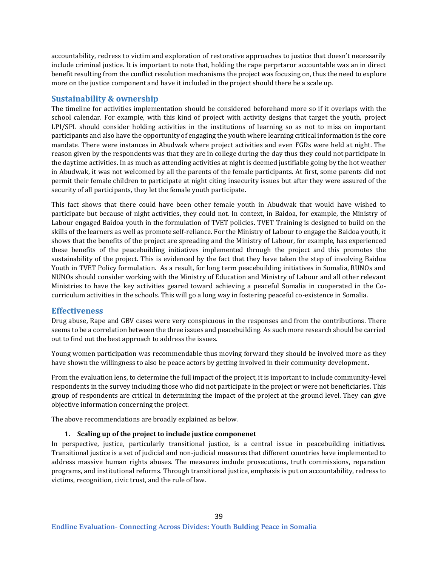accountability, redress to victim and exploration of restorative approaches to justice that doesn't necessarily include criminal justice. It is important to note that, holding the rape perprtaror accountable was an in direct benefit resulting from the conflict resolution mechanisms the project was focusing on, thus the need to explore more on the justice component and have it included in the project should there be a scale up.

## **Sustainability & ownership**

The timeline for activities implementation should be considered beforehand more so if it overlaps with the school calendar. For example, with this kind of project with activity designs that target the youth, project LPI/SPL should consider holding activities in the institutions of learning so as not to miss on important participants and also have the opportunity of engaging the youth where learning critical information is the core mandate. There were instances in Abudwak where project activities and even FGDs were held at night. The reason given by the respondents was that they are in college during the day thus they could not participate in the daytime activities. In as much as attending activities at night is deemed justifiable going by the hot weather in Abudwak, it was not welcomed by all the parents of the female participants. At first, some parents did not permit their female children to participate at night citing insecurity issues but after they were assured of the security of all participants, they let the female youth participate.

This fact shows that there could have been other female youth in Abudwak that would have wished to participate but because of night activities, they could not. In context, in Baidoa, for example, the Ministry of Labour engaged Baidoa youth in the formulation of TVET policies. TVET Training is designed to build on the skills of the learners as well as promote self-reliance. For the Ministry of Labour to engage the Baidoa youth, it shows that the benefits of the project are spreading and the Ministry of Labour, for example, has experienced these benefits of the peacebuilding initiatives implemented through the project and this promotes the sustainability of the project. This is evidenced by the fact that they have taken the step of involving Baidoa Youth in TVET Policy formulation. As a result, for long term peacebuilding initiatives in Somalia, RUNOs and NUNOs should consider working with the Ministry of Education and Ministry of Labour and all other relevant Ministries to have the key activities geared toward achieving a peaceful Somalia in cooperated in the Cocurriculum activities in the schools. This will go a long way in fostering peaceful co-existence in Somalia.

### **Effectiveness**

Drug abuse, Rape and GBV cases were very conspicuous in the responses and from the contributions. There seems to be a correlation between the three issues and peacebuilding. As such more research should be carried out to find out the best approach to address the issues.

Young women participation was recommendable thus moving forward they should be involved more as they have shown the willingness to also be peace actors by getting involved in their community development.

From the evaluation lens, to determine the full impact of the project, it is important to include community-level respondents in the survey including those who did not participate in the project or were not beneficiaries. This group of respondents are critical in determining the impact of the project at the ground level. They can give objective information concerning the project.

The above recommendations are broadly explained as below.

### **1. Scaling up of the project to include justice componenet**

In perspective, justice, particularly transitional justice, is a central issue in peacebuilding initiatives. Transitional justice is a set of judicial and non-judicial measures that different countries have implemented to address massive human rights abuses. The measures include prosecutions, truth commissions, reparation programs, and institutional reforms. Through transitional justice, emphasis is put on accountability, redress to victims, recognition, civic trust, and the rule of law.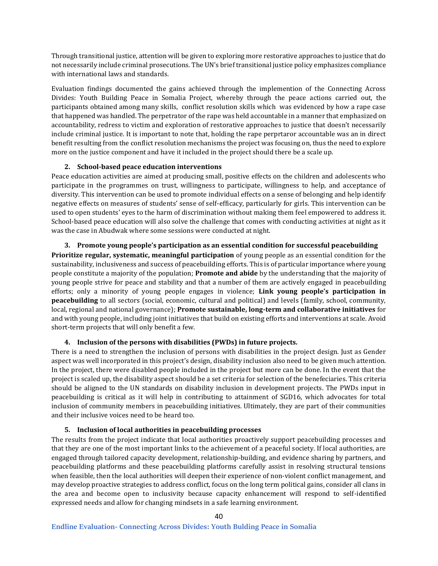Through transitional justice, attention will be given to exploring more restorative approaches to justice that do not necessarily include criminal prosecutions. The UN's brief transitional justice policy emphasizes compliance with international laws and standards.

Evaluation findings documented the gains achieved through the implemention of the Connecting Across Divides: Youth Building Peace in Somalia Project, whereby through the peace actions carried out, the participants obtained among many skills, conflict resolution skills which was evidenced by how a rape case that happened was handled. The perpetrator of the rape was held accountable in a manner that emphasized on accountability, redress to victim and exploration of restorative approaches to justice that doesn't necessarily include criminal justice. It is important to note that, holding the rape perprtaror accountable was an in direct benefit resulting from the conflict resolution mechanisms the project was focusing on, thus the need to explore more on the justice component and have it included in the project should there be a scale up.

### **2. School-based peace education interventions**

Peace education activities are aimed at producing small, positive effects on the children and adolescents who participate in the programmes on trust, willingness to participate, willingness to help, and acceptance of diversity. This intervention can be used to promote individual effects on a sense of belonging and help identify negative effects on measures of students' sense of self-efficacy, particularly for girls. This intervention can be used to open students' eyes to the harm of discrimination without making them feel empowered to address it. School-based peace education will also solve the challenge that comes with conducting activities at night as it was the case in Abudwak where some sessions were conducted at night.

### **3. Promote young people's participation as an essential condition for successful peacebuilding**

**Prioritize regular, systematic, meaningful participation** of young people as an essential condition for the sustainability, inclusiveness and success of peacebuilding efforts. This is of particular importance where young people constitute a majority of the population; **Promote and abide** by the understanding that the majority of young people strive for peace and stability and that a number of them are actively engaged in peacebuilding efforts; only a minority of young people engages in violence; **Link young people's participation in peacebuilding** to all sectors (social, economic, cultural and political) and levels (family, school, community, local, regional and national governance); **Promote sustainable, long-term and collaborative initiatives** for and with young people, including joint initiatives that build on existing efforts and interventions at scale. Avoid short-term projects that will only benefit a few.

### **4. Inclusion of the persons with disabilities (PWDs) in future projects.**

There is a need to strengthen the inclusion of persons with disabilities in the project design. Just as Gender aspect was well incorporated in this project's design, disability inclusion also need to be given much attention. In the project, there were disabled people included in the project but more can be done. In the event that the project is scaled up, the disability aspect should be a set criteria for selection of the benefeciaries. This criteria should be aligned to the UN standards on disability inclusion in development projects. The PWDs input in peacebuilding is critical as it will help in contributing to attainment of SGD16, which advocates for total inclusion of community members in peacebuilding initiatives. Ultimately, they are part of their communities and their inclusive voices need to be heard too.

### **5. Inclusion of local authorities in peacebuilding processes**

The results from the project indicate that local authorities proactively support peacebuilding processes and that they are one of the most important links to the achievement of a peaceful society. If local authorities, are engaged through tailored capacity development, relationship-building, and evidence sharing by partners, and peacebuilding platforms and these peacebuilding platforms carefully assist in resolving structural tensions when feasible, then the local authorities will deepen their experience of non-violent conflict management, and may develop proactive strategies to address conflict, focus on the long term political gains, consider all clans in the area and become open to inclusivity because capacity enhancement will respond to self-identified expressed needs and allow for changing mindsets in a safe learning environment.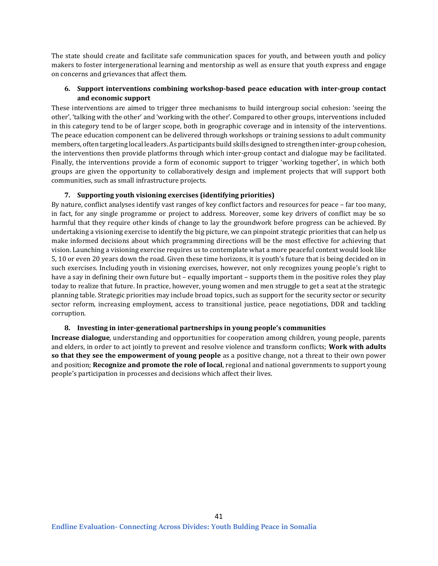The state should create and facilitate safe communication spaces for youth, and between youth and policy makers to foster intergenerational learning and mentorship as well as ensure that youth express and engage on concerns and grievances that affect them.

### **6. Support interventions combining workshop-based peace education with inter-group contact and economic support**

These interventions are aimed to trigger three mechanisms to build intergroup social cohesion: 'seeing the other', 'talking with the other' and 'working with the other'. Compared to other groups, interventions included in this category tend to be of larger scope, both in geographic coverage and in intensity of the interventions. The peace education component can be delivered through workshops or training sessions to adult community members, often targeting local leaders. As participants build skills designed to strengthen inter-group cohesion, the interventions then provide platforms through which inter-group contact and dialogue may be facilitated. Finally, the interventions provide a form of economic support to trigger 'working together', in which both groups are given the opportunity to collaboratively design and implement projects that will support both communities, such as small infrastructure projects.

### **7. Supporting youth visioning exercises (identifying priorities)**

By nature, conflict analyses identify vast ranges of key conflict factors and resources for peace – far too many, in fact, for any single programme or project to address. Moreover, some key drivers of conflict may be so harmful that they require other kinds of change to lay the groundwork before progress can be achieved. By undertaking a visioning exercise to identify the big picture, we can pinpoint strategic priorities that can help us make informed decisions about which programming directions will be the most effective for achieving that vision. Launching a visioning exercise requires us to contemplate what a more peaceful context would look like 5, 10 or even 20 years down the road. Given these time horizons, it is youth's future that is being decided on in such exercises. Including youth in visioning exercises, however, not only recognizes young people's right to have a say in defining their own future but – equally important – supports them in the positive roles they play today to realize that future. In practice, however, young women and men struggle to get a seat at the strategic planning table. Strategic priorities may include broad topics, such as support for the security sector or security sector reform, increasing employment, access to transitional justice, peace negotiations, DDR and tackling corruption.

### **8. Investing in inter-generational partnerships in young people's communities**

**Increase dialogue**, understanding and opportunities for cooperation among children, young people, parents and elders, in order to act jointly to prevent and resolve violence and transform conflicts; **Work with adults so that they see the empowerment of young people** as a positive change, not a threat to their own power and position; **Recognize and promote the role of local**, regional and national governments to support young people's participation in processes and decisions which affect their lives.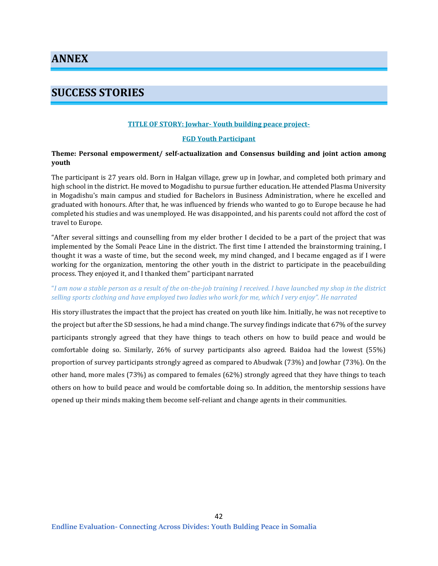**ANNEX**

# **SUCCESS STORIES**

### **TITLE OF STORY: Jowhar- Youth building peace project-**

#### **FGD Youth Participant**

### **Theme: Personal empowerment/ self-actualization and Consensus building and joint action among youth**

The participant is 27 years old. Born in Halgan village, grew up in Jowhar, and completed both primary and high school in the district. He moved to Mogadishu to pursue further education. He attended Plasma University in Mogadishu's main campus and studied for Bachelors in Business Administration, where he excelled and graduated with honours. After that, he was influenced by friends who wanted to go to Europe because he had completed his studies and was unemployed. He was disappointed, and his parents could not afford the cost of travel to Europe.

"After several sittings and counselling from my elder brother I decided to be a part of the project that was implemented by the Somali Peace Line in the district. The first time I attended the brainstorming training, I thought it was a waste of time, but the second week, my mind changed, and I became engaged as if I were working for the organization, mentoring the other youth in the district to participate in the peacebuilding process. They enjoyed it, and I thanked them" participant narrated

### "*I am now a stable person as a result of the on-the-job training I received. I have launched my shop in the district selling sports clothing and have employed two ladies who work for me, which I very enjoy". He narrated*

His story illustrates the impact that the project has created on youth like him. Initially, he was not receptive to the project but after the SD sessions, he had a mind change. The survey findings indicate that 67% of the survey participants strongly agreed that they have things to teach others on how to build peace and would be comfortable doing so. Similarly, 26% of survey participants also agreed. Baidoa had the lowest (55%) proportion of survey participants strongly agreed as compared to Abudwak (73%) and Jowhar (73%). On the other hand, more males (73%) as compared to females (62%) strongly agreed that they have things to teach others on how to build peace and would be comfortable doing so. In addition, the mentorship sessions have opened up their minds making them become self-reliant and change agents in their communities.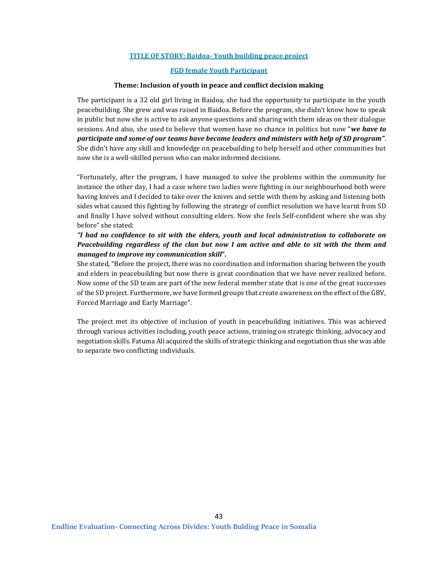### **TITLE OF STORY: Baidoa- Youth building peace project**

### **FGD female Youth Participant**

#### **Theme: Inclusion of youth in peace and conflict decision making**

The participant is a 32 old girl living in Baidoa, she had the opportunity to participate in the youth peacebuilding. She grew and was raised in Baidoa. Before the program, she didn't know how to speak in public but now she is active to ask anyone questions and sharing with them ideas on their dialogue sessions. And also, she used to believe that women have no chance in politics but now "*we have to participate and some of our teams have become leaders and ministers with help of SD program"*. She didn't have any skill and knowledge on peacebuilding to help herself and other communities but now she is a well-skilled person who can make informed decisions.

"Fortunately, after the program, I have managed to solve the problems within the community for instance the other day, I had a case where two ladies were fighting in our neighbourhood both were having knives and I decided to take over the knives and settle with them by asking and listening both sides what caused this fighting by following the strategy of conflict resolution we have learnt from SD and finally I have solved without consulting elders. Now she feels Self-confident where she was shy before" she stated:

### *"I had no confidence to sit with the elders, youth and local administration to collaborate on Peacebuilding regardless of the clan but now I am active and able to sit with the them and managed to improve my communication skill***".**

She stated, "Before the project, there was no coordination and information sharing between the youth and elders in peacebuilding but now there is great coordination that we have never realized before. Now some of the SD team are part of the new federal member state that is one of the great successes of the SD project. Furthermore, we have formed groups that create awareness on the effect of the GBV, Forced Marriage and Early Marriage".

The project met its objective of inclusion of youth in peacebuilding initiatives. This was achieved through various activities including, youth peace actions, training on strategic thinking, advocacy and negotiation skills. Fatuma Ali acquired the skills of strategic thinking and negotiation thus she was able to separate two conflicting individuals.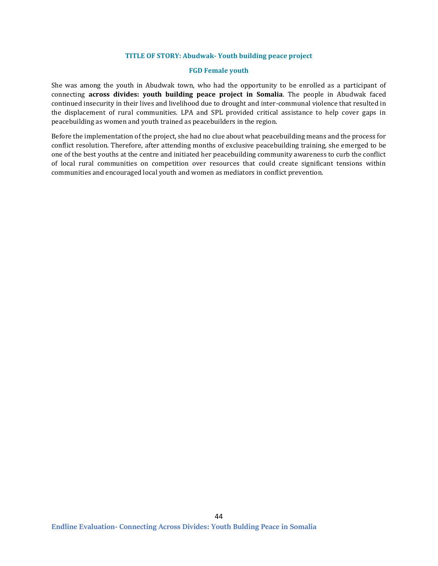### **TITLE OF STORY: Abudwak- Youth building peace project**

### **FGD Female youth**

She was among the youth in Abudwak town, who had the opportunity to be enrolled as a participant of connecting **across divides: youth building peace project in Somalia**. The people in Abudwak faced continued insecurity in their lives and livelihood due to drought and inter-communal violence that resulted in the displacement of rural communities. LPA and SPL provided critical assistance to help cover gaps in peacebuilding as women and youth trained as peacebuilders in the region.

Before the implementation of the project, she had no clue about what peacebuilding means and the process for conflict resolution. Therefore, after attending months of exclusive peacebuilding training, she emerged to be one of the best youths at the centre and initiated her peacebuilding community awareness to curb the conflict of local rural communities on competition over resources that could create significant tensions within communities and encouraged local youth and women as mediators in conflict prevention.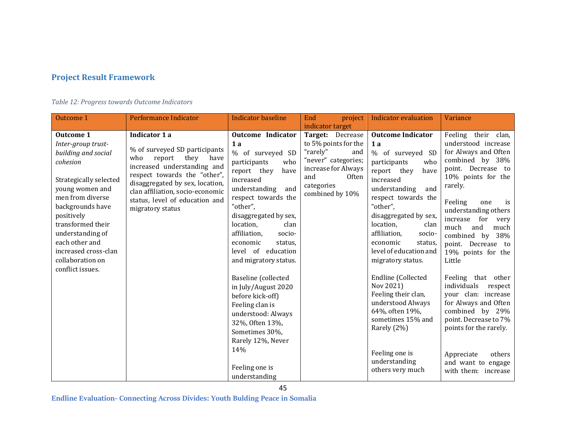# **Project Result Framework**

## *Table 12: Progress towards Outcome Indicators*

| Outcome 1                                                                                                                                                                                                                                                                                               | Performance Indicator                                                                                                                                                                                                                                                       | <b>Indicator baseline</b>                                                                                                                                                                                                                                                                                                                                                                                                                                                                                                             | End<br>project                                                                                                                                                                 | <b>Indicator evaluation</b>                                                                                                                                                                                                                                                                                                                                                                                                                                                                                         | Variance                                                                                                                                                                                                                                                                                                                                                                                                                                                                                                                                                          |
|---------------------------------------------------------------------------------------------------------------------------------------------------------------------------------------------------------------------------------------------------------------------------------------------------------|-----------------------------------------------------------------------------------------------------------------------------------------------------------------------------------------------------------------------------------------------------------------------------|---------------------------------------------------------------------------------------------------------------------------------------------------------------------------------------------------------------------------------------------------------------------------------------------------------------------------------------------------------------------------------------------------------------------------------------------------------------------------------------------------------------------------------------|--------------------------------------------------------------------------------------------------------------------------------------------------------------------------------|---------------------------------------------------------------------------------------------------------------------------------------------------------------------------------------------------------------------------------------------------------------------------------------------------------------------------------------------------------------------------------------------------------------------------------------------------------------------------------------------------------------------|-------------------------------------------------------------------------------------------------------------------------------------------------------------------------------------------------------------------------------------------------------------------------------------------------------------------------------------------------------------------------------------------------------------------------------------------------------------------------------------------------------------------------------------------------------------------|
| <b>Outcome 1</b><br>Inter-group trust-<br>building and social<br>cohesion<br>Strategically selected<br>young women and<br>men from diverse<br>backgrounds have<br>positively<br>transformed their<br>understanding of<br>each other and<br>increased cross-clan<br>collaboration on<br>conflict issues. | Indicator 1 a<br>% of surveyed SD participants<br>who<br>report<br>they<br>have<br>increased understanding and<br>respect towards the "other",<br>disaggregated by sex, location,<br>clan affiliation, socio-economic<br>status, level of education and<br>migratory status | <b>Outcome Indicator</b><br>1a<br>% of surveyed SD<br>participants<br>who<br>report they<br>have<br>increased<br>and<br>understanding<br>respect towards the<br>"other",<br>disaggregated by sex,<br>location,<br>clan<br>affiliation,<br>socio-<br>economic<br>status,<br>level of education<br>and migratory status.<br>Baseline (collected<br>in July/August 2020<br>before kick-off)<br>Feeling clan is<br>understood: Always<br>32%, Often 13%,<br>Sometimes 30%,<br>Rarely 12%, Never<br>14%<br>Feeling one is<br>understanding | indicator target<br>Target: Decrease<br>to 5% points for the<br>"rarely"<br>and<br>"never" categories;<br>increase for Always<br>and<br>Often<br>categories<br>combined by 10% | <b>Outcome Indicator</b><br>1a<br>% of surveyed SD<br>participants<br>who<br>report they<br>have<br>increased<br>understanding<br>and<br>respect towards the<br>"other",<br>disaggregated by sex,<br>location,<br>clan<br>affiliation,<br>socio-<br>economic<br>status,<br>level of education and<br>migratory status.<br>Endline (Collected<br>Nov 2021)<br>Feeling their clan,<br>understood Always<br>64%, often 19%,<br>sometimes 15% and<br>Rarely (2%)<br>Feeling one is<br>understanding<br>others very much | Feeling their clan,<br>understood increase<br>for Always and Often<br>combined by 38%<br>point. Decrease to<br>10% points for the<br>rarely.<br>Feeling<br>one<br>is<br>understanding others<br>increase for<br>very<br>much<br>and<br>much<br>combined by<br>38%<br>point. Decrease to<br>19% points for the<br>Little<br>Feeling that other<br>individuals<br>respect<br>your clan: increase<br>for Always and Often<br>combined by 29%<br>point. Decrease to 7%<br>points for the rarely.<br>Appreciate<br>others<br>and want to engage<br>with them: increase |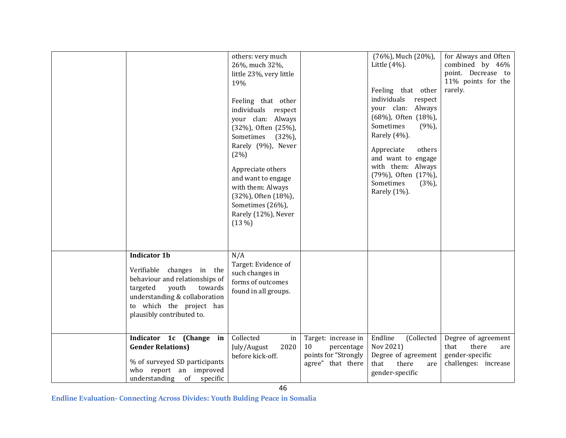|                                                                                                                                                                                                              | others: very much<br>26%, much 32%,<br>little 23%, very little<br>19%<br>Feeling that other<br>individuals respect<br>your clan: Always<br>(32%), Often (25%),<br>Sometimes<br>(32%)<br>Rarely (9%), Never<br>(2%)<br>Appreciate others<br>and want to engage<br>with them: Always<br>(32%), Often (18%),<br>Sometimes (26%),<br>Rarely (12%), Never<br>(13%) |                                                                                      | (76%), Much (20%),<br>Little $(4%)$ .<br>Feeling that other<br>individuals<br>respect<br>your clan: Always<br>(68%), Often (18%),<br>Sometimes<br>$(9\%)$<br>Rarely (4%).<br>Appreciate<br>others<br>and want to engage<br>with them: Always<br>(79%), Often (17%),<br>Sometimes<br>(3%)<br>Rarely (1%). | for Always and Often<br>combined by 46%<br>point. Decrease to<br>11% points for the<br>rarely. |
|--------------------------------------------------------------------------------------------------------------------------------------------------------------------------------------------------------------|---------------------------------------------------------------------------------------------------------------------------------------------------------------------------------------------------------------------------------------------------------------------------------------------------------------------------------------------------------------|--------------------------------------------------------------------------------------|----------------------------------------------------------------------------------------------------------------------------------------------------------------------------------------------------------------------------------------------------------------------------------------------------------|------------------------------------------------------------------------------------------------|
| <b>Indicator 1b</b><br>Verifiable changes in the<br>behaviour and relationships of<br>targeted<br>youth<br>towards<br>understanding & collaboration<br>to which the project has<br>plausibly contributed to. | N/A<br>Target: Evidence of<br>such changes in<br>forms of outcomes<br>found in all groups.                                                                                                                                                                                                                                                                    |                                                                                      |                                                                                                                                                                                                                                                                                                          |                                                                                                |
| Indicator 1c (Change in<br><b>Gender Relations)</b><br>% of surveyed SD participants<br>who report an improved<br>understanding of specific                                                                  | Collected<br>in<br>2020<br>July/August<br>before kick-off.                                                                                                                                                                                                                                                                                                    | Target: increase in<br>10<br>percentage<br>points for "Strongly<br>agree" that there | Endline<br>(Collected<br>Nov 2021)<br>Degree of agreement<br>that<br>there<br>are<br>gender-specific                                                                                                                                                                                                     | Degree of agreement<br>there<br>that<br>are<br>gender-specific<br>challenges: increase         |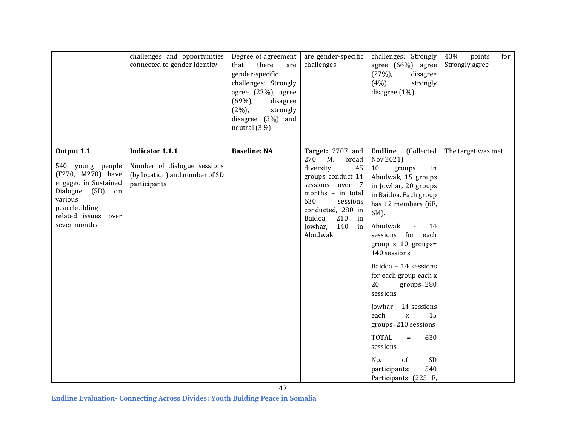|                                                                                                                                                                         | challenges and opportunities<br>connected to gender identity                                            | Degree of agreement<br>that<br>there<br>are<br>gender-specific<br>challenges: Strongly<br>agree (23%), agree<br>(69%)<br>disagree<br>$(2\%)$<br>strongly<br>disagree (3%) and<br>neutral (3%) | are gender-specific<br>challenges                                                                                                                                                                                    | challenges: Strongly<br>agree (66%), agree<br>(27%)<br>disagree<br>(4%)<br>strongly<br>disagree (1%).                                                                                                                                                                                                                                                                                                                                                                                                                                                              | 43%<br>points<br>for<br>Strongly agree |
|-------------------------------------------------------------------------------------------------------------------------------------------------------------------------|---------------------------------------------------------------------------------------------------------|-----------------------------------------------------------------------------------------------------------------------------------------------------------------------------------------------|----------------------------------------------------------------------------------------------------------------------------------------------------------------------------------------------------------------------|--------------------------------------------------------------------------------------------------------------------------------------------------------------------------------------------------------------------------------------------------------------------------------------------------------------------------------------------------------------------------------------------------------------------------------------------------------------------------------------------------------------------------------------------------------------------|----------------------------------------|
| Output 1.1<br>540 young people<br>(F270, M270) have<br>engaged in Sustained<br>Dialogue<br>(SD) on<br>various<br>peacebuilding-<br>related issues, over<br>seven months | <b>Indicator 1.1.1</b><br>Number of dialogue sessions<br>(by location) and number of SD<br>participants | <b>Baseline: NA</b>                                                                                                                                                                           | Target: 270F and<br>270 M,<br>broad<br>diversity,<br>45<br>groups conduct 14<br>sessions over 7<br>months - in total<br>630<br>sessions<br>conducted, 280 in<br>Baidoa,<br>210<br>in<br>Jowhar, 140<br>in<br>Abudwak | Endline<br>(Collected<br>Nov 2021)<br>10<br>groups<br>in<br>Abudwak, 15 groups<br>in Jowhar, 20 groups<br>in Baidoa. Each group<br>has 12 members (6F,<br>6M).<br>Abudwak<br>14<br>$\overline{\phantom{a}}$<br>sessions for each<br>group $x$ 10 groups=<br>140 sessions<br>Baidoa - 14 sessions<br>for each group each x<br>20<br>$groups = 280$<br>sessions<br>Jowhar - 14 sessions<br>each<br>$\mathbf X$<br>15<br>groups=210 sessions<br><b>TOTAL</b><br>630<br>$\equiv$<br>sessions<br><b>SD</b><br>No.<br>of<br>540<br>participants:<br>Participants (225 F, | The target was met                     |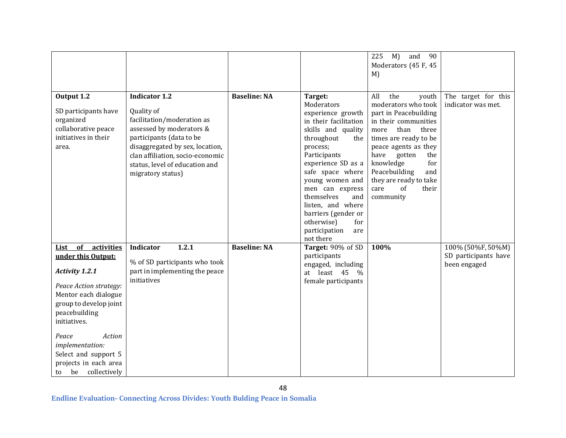|                              |                                  |                     |                                    | 225<br>and<br>90<br>$M$ )         |                                           |
|------------------------------|----------------------------------|---------------------|------------------------------------|-----------------------------------|-------------------------------------------|
|                              |                                  |                     |                                    | Moderators (45 F, 45              |                                           |
|                              |                                  |                     |                                    | $M$ )                             |                                           |
|                              |                                  |                     |                                    |                                   |                                           |
| Output 1.2                   | <b>Indicator 1.2</b>             | <b>Baseline: NA</b> | Target:                            | All<br>the<br>youth               | The target for this                       |
|                              |                                  |                     | Moderators                         | moderators who took               | indicator was met.                        |
| SD participants have         | Quality of                       |                     | experience growth                  | part in Peacebuilding             |                                           |
| organized                    | facilitation/moderation as       |                     | in their facilitation              | in their communities              |                                           |
| collaborative peace          | assessed by moderators &         |                     | skills and quality                 | more<br>than<br>three             |                                           |
| initiatives in their         | participants (data to be         |                     | throughout<br>the                  | times are ready to be             |                                           |
| area.                        | disaggregated by sex, location,  |                     | process;                           | peace agents as they<br>have      |                                           |
|                              | clan affiliation, socio-economic |                     | Participants<br>experience SD as a | gotten<br>the<br>for<br>knowledge |                                           |
|                              | status, level of education and   |                     | safe space where                   | Peacebuilding<br>and              |                                           |
|                              | migratory status)                |                     | young women and                    | they are ready to take            |                                           |
|                              |                                  |                     | men can express                    | care<br>of<br>their               |                                           |
|                              |                                  |                     | themselves<br>and                  | community                         |                                           |
|                              |                                  |                     | listen, and where                  |                                   |                                           |
|                              |                                  |                     | barriers (gender or                |                                   |                                           |
|                              |                                  |                     | otherwise)<br>for                  |                                   |                                           |
|                              |                                  |                     | participation<br>are               |                                   |                                           |
|                              |                                  |                     | not there                          |                                   |                                           |
| of activities<br><u>List</u> | 1.2.1<br>Indicator               | <b>Baseline: NA</b> | Target: 90% of SD                  | 100%                              | 100% (50%F, 50%M)<br>SD participants have |
| under this Output:           | % of SD participants who took    |                     | participants<br>engaged, including |                                   | been engaged                              |
| <b>Activity 1.2.1</b>        | part in implementing the peace   |                     | at least 45 %                      |                                   |                                           |
|                              | initiatives                      |                     | female participants                |                                   |                                           |
| Peace Action strategy:       |                                  |                     |                                    |                                   |                                           |
| Mentor each dialogue         |                                  |                     |                                    |                                   |                                           |
| group to develop joint       |                                  |                     |                                    |                                   |                                           |
| peacebuilding                |                                  |                     |                                    |                                   |                                           |
| initiatives.                 |                                  |                     |                                    |                                   |                                           |
| Action<br>Peace              |                                  |                     |                                    |                                   |                                           |
| implementation:              |                                  |                     |                                    |                                   |                                           |
| Select and support 5         |                                  |                     |                                    |                                   |                                           |
| projects in each area        |                                  |                     |                                    |                                   |                                           |
| be<br>collectively<br>to     |                                  |                     |                                    |                                   |                                           |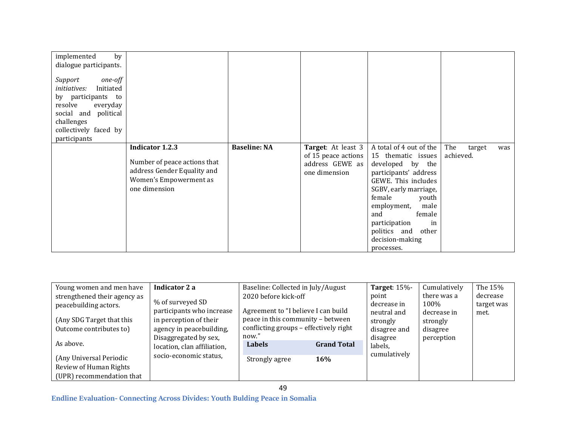| by<br>implemented<br>dialogue participants.<br>Support<br>one-off<br>Initiated<br><i>initiatives:</i><br>by participants to<br>resolve<br>everyday<br>social and political<br>challenges<br>collectively faced by<br>participants |                                                                                                                                  |                     |                                                                               |                                                                                                                                                                                                                                                                                     |                            |     |
|-----------------------------------------------------------------------------------------------------------------------------------------------------------------------------------------------------------------------------------|----------------------------------------------------------------------------------------------------------------------------------|---------------------|-------------------------------------------------------------------------------|-------------------------------------------------------------------------------------------------------------------------------------------------------------------------------------------------------------------------------------------------------------------------------------|----------------------------|-----|
|                                                                                                                                                                                                                                   | <b>Indicator 1.2.3</b><br>Number of peace actions that<br>address Gender Equality and<br>Women's Empowerment as<br>one dimension | <b>Baseline: NA</b> | Target: At least 3<br>of 15 peace actions<br>address GEWE as<br>one dimension | A total of 4 out of the<br>15 thematic issues<br>developed by the<br>participants' address<br>GEWE. This includes<br>SGBV, early marriage,<br>female<br>youth<br>employment,<br>male<br>female<br>and<br>participation<br>in<br>politics and other<br>decision-making<br>processes. | The<br>target<br>achieved. | was |

| Young women and men have                                          | Indicator 2 a                                                                        | Baseline: Collected in July/August                                          |                                  | <b>Target: 15%-</b>                  | Cumulatively                       | The 15%                        |
|-------------------------------------------------------------------|--------------------------------------------------------------------------------------|-----------------------------------------------------------------------------|----------------------------------|--------------------------------------|------------------------------------|--------------------------------|
| strengthened their agency as<br>peacebuilding actors.             | % of surveyed SD<br>participants who increase                                        | 2020 before kick-off<br>Agreement to "I believe I can build                 |                                  | point<br>decrease in<br>neutral and  | there was a<br>100%<br>decrease in | decrease<br>target was<br>met. |
| (Any SDG Target that this<br>Outcome contributes to)<br>As above. | in perception of their<br>agency in peacebuilding,<br>now."<br>Disaggregated by sex, | peace in this community - between<br>conflicting groups - effectively right |                                  | strongly<br>disagree and<br>disagree | strongly<br>disagree<br>perception |                                |
| (Any Universal Periodic                                           | location, clan affiliation,<br>socio-economic status,                                | <b>Labels</b><br>Strongly agree                                             | <b>Grand Total</b><br><b>16%</b> | labels,<br>cumulatively              |                                    |                                |
| Review of Human Rights<br>(UPR) recommendation that               |                                                                                      |                                                                             |                                  |                                      |                                    |                                |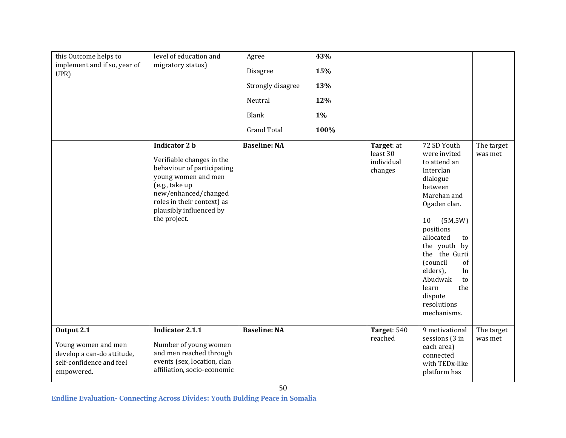| this Outcome helps to<br>implement and if so, year of<br>UPR)                                             | level of education and<br>migratory status)                                                                                                                                                                               | Agree<br>Disagree<br>Strongly disagree<br>Neutral<br><b>Blank</b><br><b>Grand Total</b> | 43%<br>15%<br>13%<br>12%<br>$1\%$<br>100% |                                                 |                                                                                                                                                                                                                                                                                                                |                       |
|-----------------------------------------------------------------------------------------------------------|---------------------------------------------------------------------------------------------------------------------------------------------------------------------------------------------------------------------------|-----------------------------------------------------------------------------------------|-------------------------------------------|-------------------------------------------------|----------------------------------------------------------------------------------------------------------------------------------------------------------------------------------------------------------------------------------------------------------------------------------------------------------------|-----------------------|
|                                                                                                           | <b>Indicator 2 b</b><br>Verifiable changes in the<br>behaviour of participating<br>young women and men<br>(e.g., take up<br>new/enhanced/changed<br>roles in their context) as<br>plausibly influenced by<br>the project. | <b>Baseline: NA</b>                                                                     |                                           | Target: at<br>least 30<br>individual<br>changes | 72 SD Youth<br>were invited<br>to attend an<br>Interclan<br>dialogue<br>between<br>Marehan and<br>Ogaden clan.<br>10<br>(5M,5W)<br>positions<br>allocated<br>to<br>the youth by<br>the the Gurti<br>(council<br>of<br>elders),<br>In<br>Abudwak<br>to<br>learn<br>the<br>dispute<br>resolutions<br>mechanisms. | The target<br>was met |
| Output 2.1<br>Young women and men<br>develop a can-do attitude,<br>self-confidence and feel<br>empowered. | <b>Indicator 2.1.1</b><br>Number of young women<br>and men reached through<br>events (sex, location, clan<br>affiliation, socio-economic                                                                                  | <b>Baseline: NA</b>                                                                     |                                           | Target: 540<br>reached                          | 9 motivational<br>sessions (3 in<br>each area)<br>connected<br>with TEDx-like<br>platform has                                                                                                                                                                                                                  | The target<br>was met |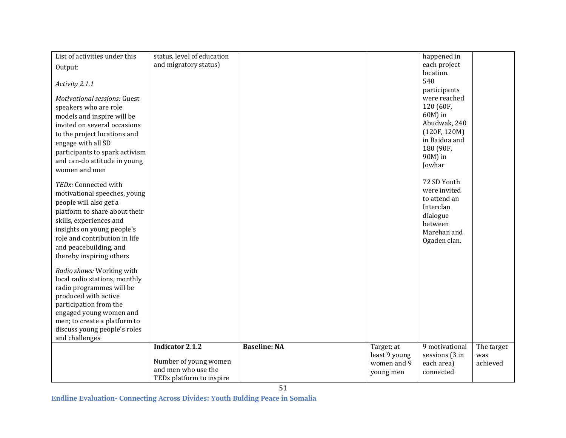| List of activities under this       | status, level of education           |                     |               | happened in    |            |
|-------------------------------------|--------------------------------------|---------------------|---------------|----------------|------------|
| Output:                             | and migratory status)                |                     |               | each project   |            |
|                                     |                                      |                     |               | location.      |            |
| Activity 2.1.1                      |                                      |                     |               | 540            |            |
|                                     |                                      |                     |               | participants   |            |
| <b>Motivational sessions: Guest</b> |                                      |                     |               | were reached   |            |
| speakers who are role               |                                      |                     |               | 120 (60F,      |            |
| models and inspire will be          |                                      |                     |               | 60M) in        |            |
| invited on several occasions        |                                      |                     |               | Abudwak, 240   |            |
|                                     |                                      |                     |               | (120F, 120M)   |            |
| to the project locations and        |                                      |                     |               | in Baidoa and  |            |
| engage with all SD                  |                                      |                     |               | 180 (90F,      |            |
| participants to spark activism      |                                      |                     |               | 90M) in        |            |
| and can-do attitude in young        |                                      |                     |               | Jowhar         |            |
| women and men                       |                                      |                     |               |                |            |
| TEDx: Connected with                |                                      |                     |               | 72 SD Youth    |            |
|                                     |                                      |                     |               | were invited   |            |
| motivational speeches, young        |                                      |                     |               | to attend an   |            |
| people will also get a              |                                      |                     |               | Interclan      |            |
| platform to share about their       |                                      |                     |               | dialogue       |            |
| skills, experiences and             |                                      |                     |               | between        |            |
| insights on young people's          |                                      |                     |               | Marehan and    |            |
| role and contribution in life       |                                      |                     |               | Ogaden clan.   |            |
| and peacebuilding, and              |                                      |                     |               |                |            |
| thereby inspiring others            |                                      |                     |               |                |            |
|                                     |                                      |                     |               |                |            |
| Radio shows: Working with           |                                      |                     |               |                |            |
| local radio stations, monthly       |                                      |                     |               |                |            |
| radio programmes will be            |                                      |                     |               |                |            |
| produced with active                |                                      |                     |               |                |            |
| participation from the              |                                      |                     |               |                |            |
| engaged young women and             |                                      |                     |               |                |            |
| men; to create a platform to        |                                      |                     |               |                |            |
| discuss young people's roles        |                                      |                     |               |                |            |
| and challenges                      |                                      |                     |               |                |            |
|                                     | <b>Indicator 2.1.2</b>               | <b>Baseline: NA</b> | Target: at    | 9 motivational | The target |
|                                     |                                      |                     | least 9 young | sessions (3 in | was        |
|                                     | Number of young women                |                     | women and 9   | each area)     | achieved   |
|                                     | and men who use the                  |                     | young men     | connected      |            |
|                                     | TED <sub>x</sub> platform to inspire |                     |               |                |            |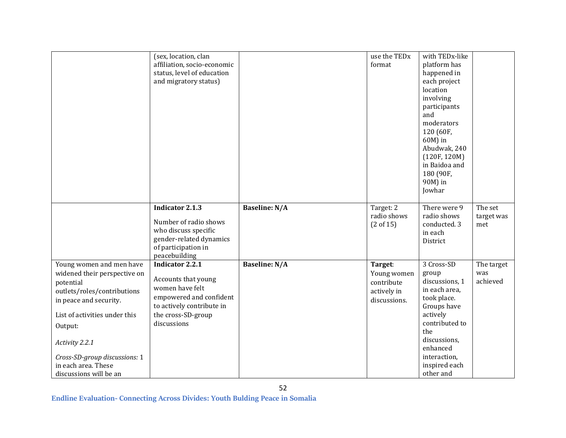|                               | (sex, location, clan        |                      | use the TED <sub>x</sub> | with TEDx-like |            |
|-------------------------------|-----------------------------|----------------------|--------------------------|----------------|------------|
|                               | affiliation, socio-economic |                      | format                   | platform has   |            |
|                               | status, level of education  |                      |                          | happened in    |            |
|                               | and migratory status)       |                      |                          | each project   |            |
|                               |                             |                      |                          |                |            |
|                               |                             |                      |                          | location       |            |
|                               |                             |                      |                          | involving      |            |
|                               |                             |                      |                          | participants   |            |
|                               |                             |                      |                          | and            |            |
|                               |                             |                      |                          | moderators     |            |
|                               |                             |                      |                          | 120 (60F,      |            |
|                               |                             |                      |                          | 60M) in        |            |
|                               |                             |                      |                          | Abudwak, 240   |            |
|                               |                             |                      |                          | (120F, 120M)   |            |
|                               |                             |                      |                          | in Baidoa and  |            |
|                               |                             |                      |                          | 180 (90F,      |            |
|                               |                             |                      |                          | 90M) in        |            |
|                               |                             |                      |                          | Jowhar         |            |
|                               |                             |                      |                          |                |            |
|                               | <b>Indicator 2.1.3</b>      | <b>Baseline: N/A</b> | Target: 2                | There were 9   | The set    |
|                               |                             |                      | radio shows              | radio shows    | target was |
|                               | Number of radio shows       |                      | (2 of 15)                | conducted. 3   | met        |
|                               | who discuss specific        |                      |                          | in each        |            |
|                               | gender-related dynamics     |                      |                          | District       |            |
|                               | of participation in         |                      |                          |                |            |
|                               | peacebuilding               |                      |                          |                |            |
| Young women and men have      | <b>Indicator 2.2.1</b>      | <b>Baseline: N/A</b> | Target:                  | 3 Cross-SD     | The target |
| widened their perspective on  |                             |                      | Young women              | group          | was        |
| potential                     | Accounts that young         |                      | contribute               | discussions, 1 | achieved   |
| outlets/roles/contributions   | women have felt             |                      | actively in              | in each area,  |            |
| in peace and security.        | empowered and confident     |                      | discussions.             | took place.    |            |
|                               | to actively contribute in   |                      |                          | Groups have    |            |
| List of activities under this | the cross-SD-group          |                      |                          | actively       |            |
| Output:                       | discussions                 |                      |                          | contributed to |            |
|                               |                             |                      |                          | the            |            |
| Activity 2.2.1                |                             |                      |                          | discussions,   |            |
|                               |                             |                      |                          | enhanced       |            |
| Cross-SD-group discussions: 1 |                             |                      |                          | interaction,   |            |
| in each area. These           |                             |                      |                          | inspired each  |            |
| discussions will be an        |                             |                      |                          | other and      |            |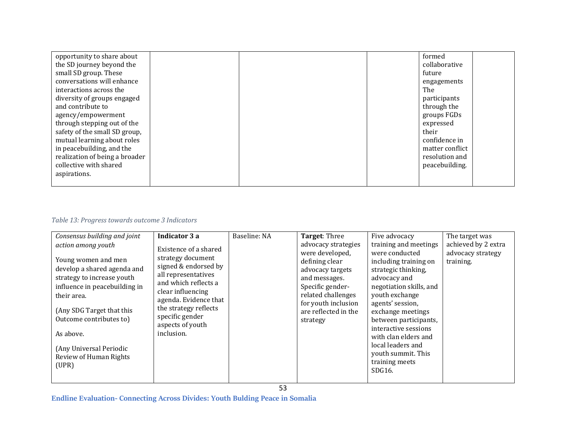| opportunity to share about     |  | formed          |  |
|--------------------------------|--|-----------------|--|
| the SD journey beyond the      |  | collaborative   |  |
| small SD group. These          |  | future          |  |
|                                |  |                 |  |
| conversations will enhance     |  | engagements     |  |
| interactions across the        |  | The             |  |
| diversity of groups engaged    |  | participants    |  |
| and contribute to              |  | through the     |  |
| agency/empowerment             |  | groups FGDs     |  |
| through stepping out of the    |  | expressed       |  |
| safety of the small SD group,  |  | their           |  |
| mutual learning about roles    |  | confidence in   |  |
| in peacebuilding, and the      |  | matter conflict |  |
| realization of being a broader |  | resolution and  |  |
| collective with shared         |  | peacebuilding.  |  |
| aspirations.                   |  |                 |  |
|                                |  |                 |  |

## *Table 13: Progress towards outcome 3 Indicators*

| Consensus building and joint<br>action among youth<br>Young women and men<br>develop a shared agenda and<br>strategy to increase youth<br>influence in peacebuilding in<br>their area.<br>(Any SDG Target that this<br>Outcome contributes to)<br>As above.<br>(Any Universal Periodic<br>Review of Human Rights<br>(UPR) | Indicator 3 a<br>Existence of a shared<br>strategy document<br>signed & endorsed by<br>all representatives<br>and which reflects a<br>clear influencing<br>agenda. Evidence that<br>the strategy reflects<br>specific gender<br>aspects of youth<br>inclusion. | Baseline: NA | Target: Three<br>advocacy strategies<br>were developed,<br>defining clear<br>advocacy targets<br>and messages.<br>Specific gender-<br>related challenges<br>for youth inclusion<br>are reflected in the<br>strategy | Five advocacy<br>training and meetings<br>were conducted<br>including training on<br>strategic thinking,<br>advocacy and<br>negotiation skills, and<br>youth exchange<br>agents' session,<br>exchange meetings<br>between participants,<br>interactive sessions<br>with clan elders and<br>local leaders and<br>youth summit. This<br>training meets<br>SDG16. | The target was<br>achieved by 2 extra<br>advocacy strategy<br>training. |
|---------------------------------------------------------------------------------------------------------------------------------------------------------------------------------------------------------------------------------------------------------------------------------------------------------------------------|----------------------------------------------------------------------------------------------------------------------------------------------------------------------------------------------------------------------------------------------------------------|--------------|---------------------------------------------------------------------------------------------------------------------------------------------------------------------------------------------------------------------|----------------------------------------------------------------------------------------------------------------------------------------------------------------------------------------------------------------------------------------------------------------------------------------------------------------------------------------------------------------|-------------------------------------------------------------------------|
|---------------------------------------------------------------------------------------------------------------------------------------------------------------------------------------------------------------------------------------------------------------------------------------------------------------------------|----------------------------------------------------------------------------------------------------------------------------------------------------------------------------------------------------------------------------------------------------------------|--------------|---------------------------------------------------------------------------------------------------------------------------------------------------------------------------------------------------------------------|----------------------------------------------------------------------------------------------------------------------------------------------------------------------------------------------------------------------------------------------------------------------------------------------------------------------------------------------------------------|-------------------------------------------------------------------------|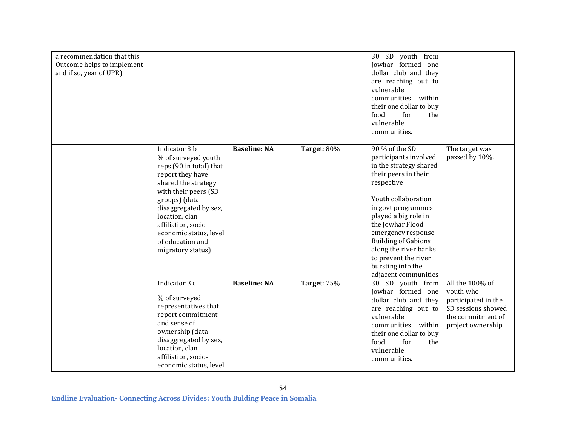| a recommendation that this<br>Outcome helps to implement<br>and if so, year of UPR) |                                                                                                                                                                                                                                                                                          |                     |             | 30 SD youth from<br>Jowhar formed one<br>dollar club and they<br>are reaching out to<br>vulnerable<br>communities within<br>their one dollar to buy<br>food<br>for<br>the<br>vulnerable<br>communities.                                                                                                                                             |                                                                                                                      |
|-------------------------------------------------------------------------------------|------------------------------------------------------------------------------------------------------------------------------------------------------------------------------------------------------------------------------------------------------------------------------------------|---------------------|-------------|-----------------------------------------------------------------------------------------------------------------------------------------------------------------------------------------------------------------------------------------------------------------------------------------------------------------------------------------------------|----------------------------------------------------------------------------------------------------------------------|
|                                                                                     | Indicator 3 b<br>% of surveyed youth<br>reps (90 in total) that<br>report they have<br>shared the strategy<br>with their peers (SD<br>groups) (data<br>disaggregated by sex,<br>location, clan<br>affiliation, socio-<br>economic status, level<br>of education and<br>migratory status) | <b>Baseline: NA</b> | Target: 80% | 90 % of the SD<br>participants involved<br>in the strategy shared<br>their peers in their<br>respective<br>Youth collaboration<br>in govt programmes<br>played a big role in<br>the Jowhar Flood<br>emergency response.<br><b>Building of Gabions</b><br>along the river banks<br>to prevent the river<br>bursting into the<br>adjacent communities | The target was<br>passed by 10%.                                                                                     |
|                                                                                     | Indicator 3 c<br>% of surveyed<br>representatives that<br>report commitment<br>and sense of<br>ownership (data<br>disaggregated by sex,<br>location, clan<br>affiliation, socio-<br>economic status, level                                                                               | <b>Baseline: NA</b> | Target: 75% | 30 SD youth from<br>Jowhar formed one<br>dollar club and they<br>are reaching out to<br>vulnerable<br>communities within<br>their one dollar to buy<br>food<br>for<br>the<br>vulnerable<br>communities.                                                                                                                                             | All the 100% of<br>youth who<br>participated in the<br>SD sessions showed<br>the commitment of<br>project ownership. |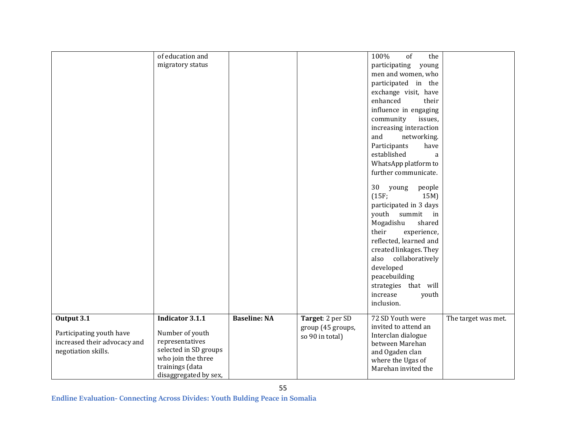|                              | of education and       |                     |                   | 100%<br>of<br>the                |                     |
|------------------------------|------------------------|---------------------|-------------------|----------------------------------|---------------------|
|                              | migratory status       |                     |                   | participating<br>young           |                     |
|                              |                        |                     |                   | men and women, who               |                     |
|                              |                        |                     |                   | participated in the              |                     |
|                              |                        |                     |                   | exchange visit, have             |                     |
|                              |                        |                     |                   | enhanced<br>their                |                     |
|                              |                        |                     |                   | influence in engaging            |                     |
|                              |                        |                     |                   | issues,<br>community             |                     |
|                              |                        |                     |                   | increasing interaction           |                     |
|                              |                        |                     |                   | and<br>networking.               |                     |
|                              |                        |                     |                   | have<br>Participants             |                     |
|                              |                        |                     |                   | established<br>a                 |                     |
|                              |                        |                     |                   | WhatsApp platform to             |                     |
|                              |                        |                     |                   | further communicate.             |                     |
|                              |                        |                     |                   |                                  |                     |
|                              |                        |                     |                   | 30<br>people<br>young            |                     |
|                              |                        |                     |                   | (15F;<br>15M)                    |                     |
|                              |                        |                     |                   | participated in 3 days           |                     |
|                              |                        |                     |                   | youth<br>summit<br>$\mathbf{in}$ |                     |
|                              |                        |                     |                   | Mogadishu<br>shared              |                     |
|                              |                        |                     |                   | their<br>experience,             |                     |
|                              |                        |                     |                   | reflected, learned and           |                     |
|                              |                        |                     |                   | created linkages. They           |                     |
|                              |                        |                     |                   | collaboratively<br>also          |                     |
|                              |                        |                     |                   | developed                        |                     |
|                              |                        |                     |                   | peacebuilding                    |                     |
|                              |                        |                     |                   |                                  |                     |
|                              |                        |                     |                   | strategies that will             |                     |
|                              |                        |                     |                   | increase<br>youth                |                     |
|                              |                        |                     |                   | inclusion.                       |                     |
| Output 3.1                   | <b>Indicator 3.1.1</b> | <b>Baseline: NA</b> | Target: 2 per SD  | 72 SD Youth were                 | The target was met. |
|                              |                        |                     | group (45 groups, | invited to attend an             |                     |
| Participating youth have     | Number of youth        |                     | so 90 in total)   | Interclan dialogue               |                     |
| increased their advocacy and | representatives        |                     |                   | between Marehan                  |                     |
| negotiation skills.          | selected in SD groups  |                     |                   | and Ogaden clan                  |                     |
|                              | who join the three     |                     |                   | where the Ugas of                |                     |
|                              | trainings (data        |                     |                   | Marehan invited the              |                     |
|                              | disaggregated by sex,  |                     |                   |                                  |                     |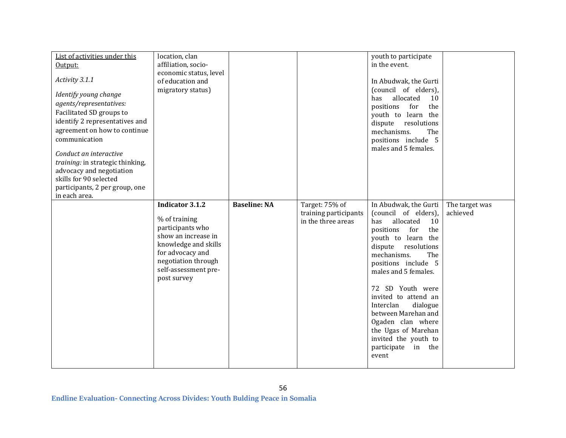| List of activities under this<br>Output:<br>Activity 3.1.1<br>Identify young change<br>agents/representatives:<br>Facilitated SD groups to<br>identify 2 representatives and<br>agreement on how to continue<br>communication<br>Conduct an interactive<br>training: in strategic thinking,<br>advocacy and negotiation<br>skills for 90 selected<br>participants, 2 per group, one | location, clan<br>affiliation, socio-<br>economic status, level<br>of education and<br>migratory status)                                                                                     |                     |                                                               | youth to participate<br>in the event.<br>In Abudwak, the Gurti<br>(council of elders),<br>allocated<br>has<br>10<br>positions<br>for<br>the<br>youth to learn the<br>dispute resolutions<br>mechanisms.<br>The<br>positions include 5<br>males and 5 females.                                                                                                                                                          |                            |
|-------------------------------------------------------------------------------------------------------------------------------------------------------------------------------------------------------------------------------------------------------------------------------------------------------------------------------------------------------------------------------------|----------------------------------------------------------------------------------------------------------------------------------------------------------------------------------------------|---------------------|---------------------------------------------------------------|------------------------------------------------------------------------------------------------------------------------------------------------------------------------------------------------------------------------------------------------------------------------------------------------------------------------------------------------------------------------------------------------------------------------|----------------------------|
| in each area.                                                                                                                                                                                                                                                                                                                                                                       | <b>Indicator 3.1.2</b><br>% of training<br>participants who<br>show an increase in<br>knowledge and skills<br>for advocacy and<br>negotiation through<br>self-assessment pre-<br>post survey | <b>Baseline: NA</b> | Target: 75% of<br>training participants<br>in the three areas | In Abudwak, the Gurti<br>(council of elders),<br>allocated<br>10<br>has<br>for<br>the<br>positions<br>youth to learn the<br>dispute<br>resolutions<br>mechanisms.<br>The<br>positions include 5<br>males and 5 females.<br>72 SD Youth were<br>invited to attend an<br>Interclan<br>dialogue<br>between Marehan and<br>Ogaden clan where<br>the Ugas of Marehan<br>invited the youth to<br>participate in the<br>event | The target was<br>achieved |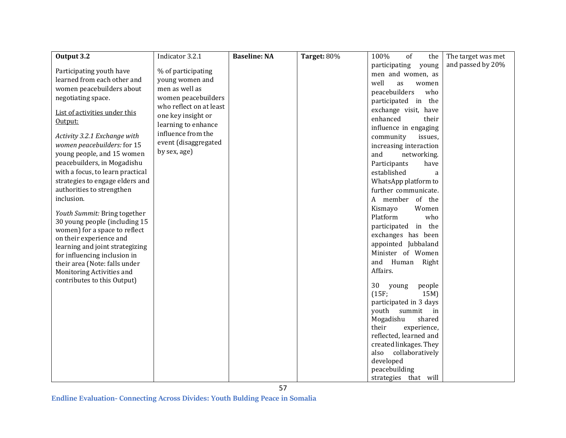| <b>Baseline: NA</b> | Target: 80%                                                            | 100%<br>of<br>the      | The target was met                                                                                                                                                                                                                                                                                                                                                                                                                                                                                                                                                                                                                                                                                         |
|---------------------|------------------------------------------------------------------------|------------------------|------------------------------------------------------------------------------------------------------------------------------------------------------------------------------------------------------------------------------------------------------------------------------------------------------------------------------------------------------------------------------------------------------------------------------------------------------------------------------------------------------------------------------------------------------------------------------------------------------------------------------------------------------------------------------------------------------------|
|                     |                                                                        | participating<br>young | and passed by 20%                                                                                                                                                                                                                                                                                                                                                                                                                                                                                                                                                                                                                                                                                          |
|                     |                                                                        | men and women, as      |                                                                                                                                                                                                                                                                                                                                                                                                                                                                                                                                                                                                                                                                                                            |
|                     |                                                                        | well<br>as<br>women    |                                                                                                                                                                                                                                                                                                                                                                                                                                                                                                                                                                                                                                                                                                            |
|                     |                                                                        | who                    |                                                                                                                                                                                                                                                                                                                                                                                                                                                                                                                                                                                                                                                                                                            |
|                     |                                                                        |                        |                                                                                                                                                                                                                                                                                                                                                                                                                                                                                                                                                                                                                                                                                                            |
|                     |                                                                        |                        |                                                                                                                                                                                                                                                                                                                                                                                                                                                                                                                                                                                                                                                                                                            |
|                     |                                                                        |                        |                                                                                                                                                                                                                                                                                                                                                                                                                                                                                                                                                                                                                                                                                                            |
|                     |                                                                        |                        |                                                                                                                                                                                                                                                                                                                                                                                                                                                                                                                                                                                                                                                                                                            |
|                     |                                                                        |                        |                                                                                                                                                                                                                                                                                                                                                                                                                                                                                                                                                                                                                                                                                                            |
|                     |                                                                        |                        |                                                                                                                                                                                                                                                                                                                                                                                                                                                                                                                                                                                                                                                                                                            |
|                     |                                                                        |                        |                                                                                                                                                                                                                                                                                                                                                                                                                                                                                                                                                                                                                                                                                                            |
|                     |                                                                        |                        |                                                                                                                                                                                                                                                                                                                                                                                                                                                                                                                                                                                                                                                                                                            |
|                     |                                                                        | a                      |                                                                                                                                                                                                                                                                                                                                                                                                                                                                                                                                                                                                                                                                                                            |
|                     |                                                                        |                        |                                                                                                                                                                                                                                                                                                                                                                                                                                                                                                                                                                                                                                                                                                            |
|                     |                                                                        |                        |                                                                                                                                                                                                                                                                                                                                                                                                                                                                                                                                                                                                                                                                                                            |
|                     |                                                                        |                        |                                                                                                                                                                                                                                                                                                                                                                                                                                                                                                                                                                                                                                                                                                            |
|                     |                                                                        |                        |                                                                                                                                                                                                                                                                                                                                                                                                                                                                                                                                                                                                                                                                                                            |
|                     |                                                                        |                        |                                                                                                                                                                                                                                                                                                                                                                                                                                                                                                                                                                                                                                                                                                            |
|                     |                                                                        |                        |                                                                                                                                                                                                                                                                                                                                                                                                                                                                                                                                                                                                                                                                                                            |
|                     |                                                                        |                        |                                                                                                                                                                                                                                                                                                                                                                                                                                                                                                                                                                                                                                                                                                            |
|                     |                                                                        |                        |                                                                                                                                                                                                                                                                                                                                                                                                                                                                                                                                                                                                                                                                                                            |
|                     |                                                                        |                        |                                                                                                                                                                                                                                                                                                                                                                                                                                                                                                                                                                                                                                                                                                            |
|                     |                                                                        |                        |                                                                                                                                                                                                                                                                                                                                                                                                                                                                                                                                                                                                                                                                                                            |
|                     |                                                                        |                        |                                                                                                                                                                                                                                                                                                                                                                                                                                                                                                                                                                                                                                                                                                            |
|                     |                                                                        |                        |                                                                                                                                                                                                                                                                                                                                                                                                                                                                                                                                                                                                                                                                                                            |
|                     |                                                                        | 30<br>people<br>young  |                                                                                                                                                                                                                                                                                                                                                                                                                                                                                                                                                                                                                                                                                                            |
|                     |                                                                        |                        |                                                                                                                                                                                                                                                                                                                                                                                                                                                                                                                                                                                                                                                                                                            |
|                     |                                                                        |                        |                                                                                                                                                                                                                                                                                                                                                                                                                                                                                                                                                                                                                                                                                                            |
|                     |                                                                        | in                     |                                                                                                                                                                                                                                                                                                                                                                                                                                                                                                                                                                                                                                                                                                            |
|                     |                                                                        |                        |                                                                                                                                                                                                                                                                                                                                                                                                                                                                                                                                                                                                                                                                                                            |
|                     |                                                                        |                        |                                                                                                                                                                                                                                                                                                                                                                                                                                                                                                                                                                                                                                                                                                            |
|                     |                                                                        |                        |                                                                                                                                                                                                                                                                                                                                                                                                                                                                                                                                                                                                                                                                                                            |
|                     |                                                                        |                        |                                                                                                                                                                                                                                                                                                                                                                                                                                                                                                                                                                                                                                                                                                            |
|                     |                                                                        |                        |                                                                                                                                                                                                                                                                                                                                                                                                                                                                                                                                                                                                                                                                                                            |
|                     |                                                                        |                        |                                                                                                                                                                                                                                                                                                                                                                                                                                                                                                                                                                                                                                                                                                            |
|                     |                                                                        |                        |                                                                                                                                                                                                                                                                                                                                                                                                                                                                                                                                                                                                                                                                                                            |
| learning to enhance | women peacebuilders<br>who reflect on at least<br>event (disaggregated |                        | peacebuilders<br>participated in the<br>exchange visit, have<br>enhanced<br>their<br>influence in engaging<br>community<br>issues,<br>increasing interaction<br>and<br>networking.<br>Participants<br>have<br>established<br>WhatsApp platform to<br>further communicate.<br>A member of the<br>Kismayo<br>Women<br>Platform<br>who<br>participated in the<br>exchanges has been<br>appointed Jubbaland<br>Minister of Women<br>and Human Right<br>Affairs.<br>(15F;<br>15M)<br>participated in 3 days<br>youth summit<br>Mogadishu<br>shared<br>their<br>experience,<br>reflected, learned and<br>created linkages. They<br>collaboratively<br>also<br>developed<br>peacebuilding<br>strategies that will |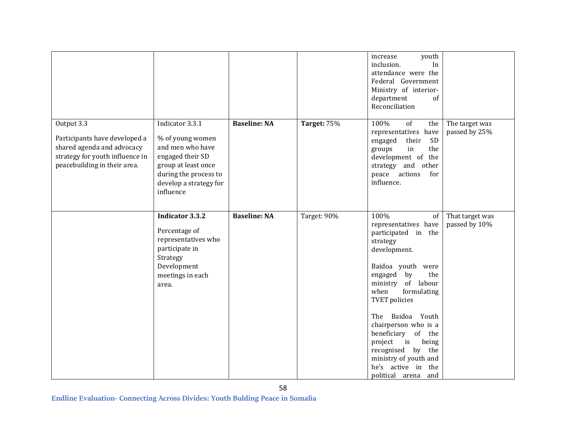|                                                                                                                                              |                                                                                                                                                                                 |                     |                    | increase<br>youth<br>inclusion.<br>In<br>attendance were the<br>Federal Government<br>Ministry of interior-<br>department<br>of<br>Reconciliation                                                                                                                                                                                                                                                                |                                  |
|----------------------------------------------------------------------------------------------------------------------------------------------|---------------------------------------------------------------------------------------------------------------------------------------------------------------------------------|---------------------|--------------------|------------------------------------------------------------------------------------------------------------------------------------------------------------------------------------------------------------------------------------------------------------------------------------------------------------------------------------------------------------------------------------------------------------------|----------------------------------|
| Output 3.3<br>Participants have developed a<br>shared agenda and advocacy<br>strategy for youth influence in<br>peacebuilding in their area. | Indicator $3.\overline{3.1}$<br>% of young women<br>and men who have<br>engaged their SD<br>group at least once<br>during the process to<br>develop a strategy for<br>influence | <b>Baseline: NA</b> | <b>Target: 75%</b> | 100%<br>of<br>the<br>representatives have<br>SD<br>their<br>engaged<br>in<br>the<br>groups<br>development of the<br>strategy and other<br>actions<br>peace<br>for<br>influence.                                                                                                                                                                                                                                  | The target was<br>passed by 25%  |
|                                                                                                                                              | <b>Indicator 3.3.2</b><br>Percentage of<br>representatives who<br>participate in<br>Strategy<br>Development<br>meetings in each<br>area.                                        | <b>Baseline: NA</b> | Target: 90%        | 100%<br>of<br>representatives have<br>participated in the<br>strategy<br>development.<br>Baidoa youth were<br>engaged<br>by<br>the<br>ministry of labour<br>formulating<br>when<br><b>TVET</b> policies<br>Baidoa Youth<br>The<br>chairperson who is a<br>beneficiary<br>of the<br>i <sub>S</sub><br>project<br>being<br>recognised by the<br>ministry of youth and<br>he's active in the<br>political arena and | That target was<br>passed by 10% |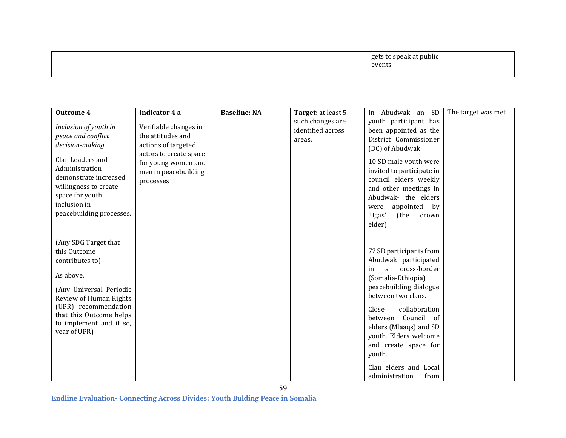|  |  |  |  | .<br>σet<br>cnool<br>t nublic.<br>. .<br>events. |  |
|--|--|--|--|--------------------------------------------------|--|
|--|--|--|--|--------------------------------------------------|--|

| <b>Outcome 4</b>                                                                                                                                                                                                        | Indicator 4 a                                                                      | <b>Baseline: NA</b> | Target: at least 5 | In Abudwak an SD                                                                                                                                                                                                                                                                                                                            | The target was met |
|-------------------------------------------------------------------------------------------------------------------------------------------------------------------------------------------------------------------------|------------------------------------------------------------------------------------|---------------------|--------------------|---------------------------------------------------------------------------------------------------------------------------------------------------------------------------------------------------------------------------------------------------------------------------------------------------------------------------------------------|--------------------|
|                                                                                                                                                                                                                         |                                                                                    |                     | such changes are   | youth participant has                                                                                                                                                                                                                                                                                                                       |                    |
| Inclusion of youth in                                                                                                                                                                                                   | Verifiable changes in                                                              |                     | identified across  | been appointed as the                                                                                                                                                                                                                                                                                                                       |                    |
| peace and conflict                                                                                                                                                                                                      | the attitudes and                                                                  |                     | areas.             | District Commissioner                                                                                                                                                                                                                                                                                                                       |                    |
| decision-making                                                                                                                                                                                                         | actions of targeted                                                                |                     |                    | (DC) of Abudwak.                                                                                                                                                                                                                                                                                                                            |                    |
| Clan Leaders and<br>Administration<br>demonstrate increased<br>willingness to create<br>space for youth<br>inclusion in<br>peacebuilding processes.                                                                     | actors to create space<br>for young women and<br>men in peacebuilding<br>processes |                     |                    | 10 SD male youth were<br>invited to participate in<br>council elders weekly<br>and other meetings in<br>Abudwak- the elders<br>appointed by<br>were<br>'Ugas'<br>(the<br>crown                                                                                                                                                              |                    |
|                                                                                                                                                                                                                         |                                                                                    |                     |                    | elder)                                                                                                                                                                                                                                                                                                                                      |                    |
| (Any SDG Target that<br>this Outcome<br>contributes to)<br>As above.<br>(Any Universal Periodic<br>Review of Human Rights<br>(UPR) recommendation<br>that this Outcome helps<br>to implement and if so,<br>year of UPR) |                                                                                    |                     |                    | 72 SD participants from<br>Abudwak participated<br>cross-border<br>in<br>a<br>(Somalia-Ethiopia)<br>peacebuilding dialogue<br>between two clans.<br>collaboration<br>Close<br>Council of<br>between<br>elders (Mlaaqs) and SD<br>youth. Elders welcome<br>and create space for<br>youth.<br>Clan elders and Local<br>administration<br>from |                    |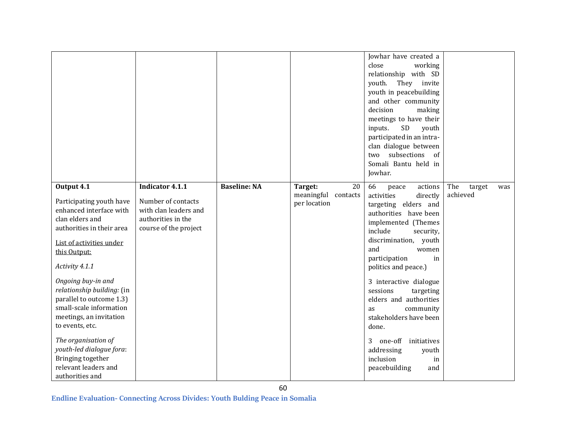|                                                                                                                                                                                                                                                                                                                                                                                                                                                             |                                                                                                               |                     |                                                      | Jowhar have created a<br>close<br>working<br>relationship with SD<br>youth.<br>They invite<br>youth in peacebuilding<br>and other community<br>decision<br>making<br>meetings to have their<br>SD<br>inputs.<br>youth<br>participated in an intra-<br>clan dialogue between<br>two subsections of<br>Somali Bantu held in<br>Jowhar.                                                                                                                                         |                                  |
|-------------------------------------------------------------------------------------------------------------------------------------------------------------------------------------------------------------------------------------------------------------------------------------------------------------------------------------------------------------------------------------------------------------------------------------------------------------|---------------------------------------------------------------------------------------------------------------|---------------------|------------------------------------------------------|------------------------------------------------------------------------------------------------------------------------------------------------------------------------------------------------------------------------------------------------------------------------------------------------------------------------------------------------------------------------------------------------------------------------------------------------------------------------------|----------------------------------|
| Output 4.1<br>Participating youth have<br>enhanced interface with<br>clan elders and<br>authorities in their area<br>List of activities under<br>this Output:<br>Activity 4.1.1<br>Ongoing buy-in and<br>relationship building: (in<br>parallel to outcome 1.3)<br>small-scale information<br>meetings, an invitation<br>to events, etc.<br>The organisation of<br>youth-led dialogue fora:<br>Bringing together<br>relevant leaders and<br>authorities and | Indicator 4.1.1<br>Number of contacts<br>with clan leaders and<br>authorities in the<br>course of the project | <b>Baseline: NA</b> | 20<br>Target:<br>meaningful contacts<br>per location | 66<br>actions<br>peace<br>activities<br>directly<br>targeting elders and<br>authorities have been<br>implemented (Themes<br>include<br>security,<br>discrimination, youth<br>and<br>women<br>participation<br>in<br>politics and peace.)<br>3 interactive dialogue<br>sessions<br>targeting<br>elders and authorities<br>community<br>as<br>stakeholders have been<br>done.<br>3<br>one-off<br>initiatives<br>addressing<br>youth<br>inclusion<br>in<br>peacebuilding<br>and | The<br>target<br>was<br>achieved |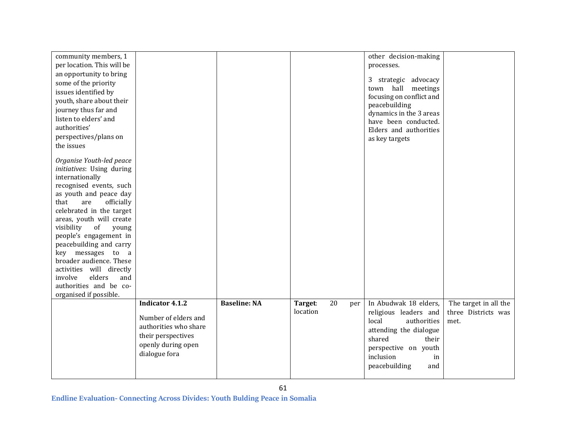| community members, 1<br>per location. This will be<br>an opportunity to bring<br>some of the priority<br>issues identified by<br>youth, share about their<br>journey thus far and<br>listen to elders' and<br>authorities'<br>perspectives/plans on<br>the issues                                                                                                                                                                                                |                                                                                                                                      |                     |                     |           | other decision-making<br>processes.<br>3 strategic advocacy<br>town hall meetings<br>focusing on conflict and<br>peacebuilding<br>dynamics in the 3 areas<br>have been conducted.<br>Elders and authorities<br>as key targets |                                                      |
|------------------------------------------------------------------------------------------------------------------------------------------------------------------------------------------------------------------------------------------------------------------------------------------------------------------------------------------------------------------------------------------------------------------------------------------------------------------|--------------------------------------------------------------------------------------------------------------------------------------|---------------------|---------------------|-----------|-------------------------------------------------------------------------------------------------------------------------------------------------------------------------------------------------------------------------------|------------------------------------------------------|
| Organise Youth-led peace<br>initiatives: Using during<br>internationally<br>recognised events, such<br>as youth and peace day<br>that<br>officially<br>are<br>celebrated in the target<br>areas, youth will create<br>of<br>visibility<br>young<br>people's engagement in<br>peacebuilding and carry<br>key messages to a<br>broader audience. These<br>activities will directly<br>elders<br>involve<br>and<br>authorities and be co-<br>organised if possible. |                                                                                                                                      |                     |                     |           |                                                                                                                                                                                                                               |                                                      |
|                                                                                                                                                                                                                                                                                                                                                                                                                                                                  | <b>Indicator 4.1.2</b><br>Number of elders and<br>authorities who share<br>their perspectives<br>openly during open<br>dialogue fora | <b>Baseline: NA</b> | Target:<br>location | 20<br>per | In Abudwak 18 elders,<br>religious leaders and<br>local<br>authorities<br>attending the dialogue<br>shared<br>their<br>perspective on youth<br>inclusion<br>in<br>peacebuilding<br>and                                        | The target in all the<br>three Districts was<br>met. |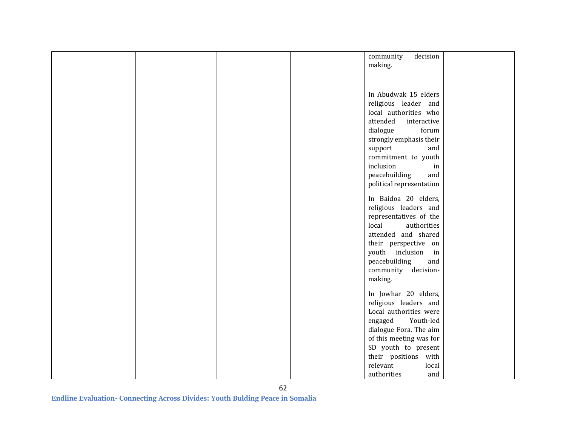|  | decision<br>community    |  |
|--|--------------------------|--|
|  | making.                  |  |
|  |                          |  |
|  |                          |  |
|  |                          |  |
|  | In Abudwak 15 elders     |  |
|  |                          |  |
|  | religious leader and     |  |
|  | local authorities who    |  |
|  | attended<br>interactive  |  |
|  | dialogue<br>forum        |  |
|  |                          |  |
|  | strongly emphasis their  |  |
|  | support<br>and           |  |
|  | commitment to youth      |  |
|  | inclusion<br>in          |  |
|  |                          |  |
|  | peacebuilding<br>and     |  |
|  | political representation |  |
|  |                          |  |
|  | In Baidoa 20 elders,     |  |
|  | religious leaders and    |  |
|  | representatives of the   |  |
|  | local<br>authorities     |  |
|  |                          |  |
|  | attended and shared      |  |
|  | their perspective on     |  |
|  | youth inclusion<br>in    |  |
|  | peacebuilding<br>and     |  |
|  |                          |  |
|  | community decision-      |  |
|  | making.                  |  |
|  |                          |  |
|  | In Jowhar 20 elders,     |  |
|  | religious leaders and    |  |
|  | Local authorities were   |  |
|  | engaged<br>Youth-led     |  |
|  |                          |  |
|  | dialogue Fora. The aim   |  |
|  | of this meeting was for  |  |
|  | SD youth to present      |  |
|  | their positions with     |  |
|  | relevant                 |  |
|  | local                    |  |
|  | and<br>authorities       |  |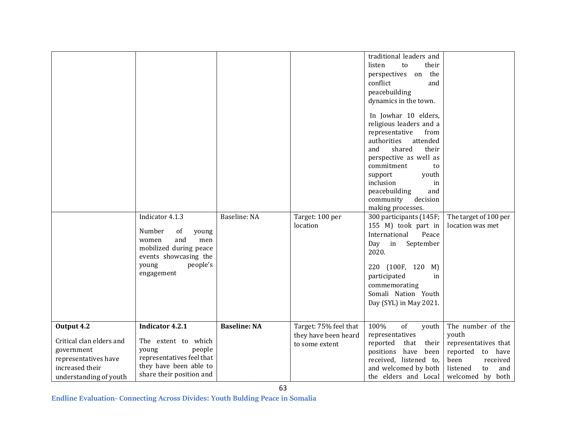|                                                                                                                           | Indicator 4.1.3<br>Number<br>of<br>young<br>and<br>men<br>women<br>mobilized during peace<br>events showcasing the<br>people's<br>young<br>engagement | Baseline: NA        | Target: 100 per<br>location                                     | traditional leaders and<br>listen<br>their<br>to<br>the<br>perspectives on<br>conflict<br>and<br>peacebuilding<br>dynamics in the town.<br>In Jowhar 10 elders,<br>religious leaders and a<br>representative<br>from<br>authorities<br>attended<br>shared<br>their<br>and<br>perspective as well as<br>commitment<br>to<br>youth<br>support<br>inclusion<br>in<br>peacebuilding<br>and<br>community<br>decision<br>making processes.<br>300 participants (145F;<br>155 M) took part in<br>International<br>Peace<br>Day in<br>September<br>2020.<br>220 (100F, 120 M)<br>participated<br>in<br>commemorating<br>Somali Nation Youth<br>Day (SYL) in May 2021. | The target of 100 per<br>location was met                                                                                               |
|---------------------------------------------------------------------------------------------------------------------------|-------------------------------------------------------------------------------------------------------------------------------------------------------|---------------------|-----------------------------------------------------------------|---------------------------------------------------------------------------------------------------------------------------------------------------------------------------------------------------------------------------------------------------------------------------------------------------------------------------------------------------------------------------------------------------------------------------------------------------------------------------------------------------------------------------------------------------------------------------------------------------------------------------------------------------------------|-----------------------------------------------------------------------------------------------------------------------------------------|
| Output 4.2<br>Critical clan elders and<br>government<br>representatives have<br>increased their<br>understanding of youth | <b>Indicator 4.2.1</b><br>The extent to which<br>people<br>young<br>representatives feel that<br>they have been able to<br>share their position and   | <b>Baseline: NA</b> | Target: 75% feel that<br>they have been heard<br>to some extent | 100%<br>$\overline{\text{of}}$<br>youth<br>representatives<br>reported<br>that<br>their<br>positions have been<br>received, listened to,<br>and welcomed by both<br>the elders and Local                                                                                                                                                                                                                                                                                                                                                                                                                                                                      | The number of the<br>youth<br>representatives that<br>reported to have<br>been<br>received<br>listened<br>and<br>to<br>welcomed by both |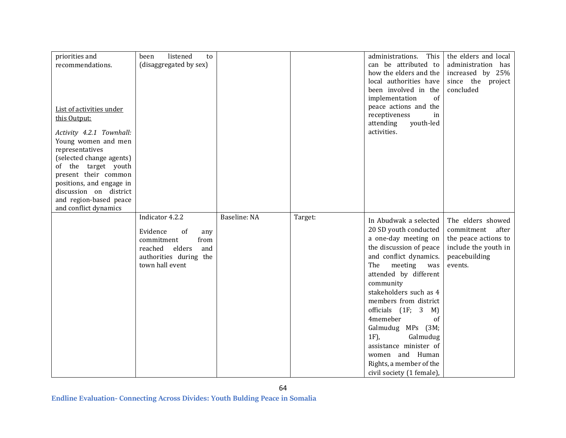| priorities and<br>recommendations.<br>List of activities under<br>this Output:<br>Activity 4.2.1 Townhall:<br>Young women and men<br>representatives<br>(selected change agents)<br>of the target youth | listened<br>been<br>to<br>(disaggregated by sex)                                                                                        |              |         | This<br>administrations.<br>can be attributed to<br>how the elders and the<br>local authorities have<br>been involved in the<br>implementation<br>$\sigma$ f<br>peace actions and the<br>receptiveness<br>in<br>youth-led<br>attending<br>activities.                                                                                                                                                                                      | the elders and local<br>administration has<br>increased by 25%<br>since the project<br>concluded                  |
|---------------------------------------------------------------------------------------------------------------------------------------------------------------------------------------------------------|-----------------------------------------------------------------------------------------------------------------------------------------|--------------|---------|--------------------------------------------------------------------------------------------------------------------------------------------------------------------------------------------------------------------------------------------------------------------------------------------------------------------------------------------------------------------------------------------------------------------------------------------|-------------------------------------------------------------------------------------------------------------------|
| present their common<br>positions, and engage in<br>discussion on district<br>and region-based peace<br>and conflict dynamics                                                                           |                                                                                                                                         |              |         |                                                                                                                                                                                                                                                                                                                                                                                                                                            |                                                                                                                   |
|                                                                                                                                                                                                         | Indicator 4.2.2<br>Evidence<br>of<br>any<br>from<br>commitment<br>reached<br>elders<br>and<br>authorities during the<br>town hall event | Baseline: NA | Target: | In Abudwak a selected<br>20 SD youth conducted<br>a one-day meeting on<br>the discussion of peace<br>and conflict dynamics.<br>The<br>meeting<br>was<br>attended by different<br>community<br>stakeholders such as 4<br>members from district<br>officials (1F; 3<br>M)<br>4memeber<br>of<br>Galmudug MPs (3M;<br>$1F$ ),<br>Galmudug<br>assistance minister of<br>women and Human<br>Rights, a member of the<br>civil society (1 female), | The elders showed<br>commitment after<br>the peace actions to<br>include the youth in<br>peacebuilding<br>events. |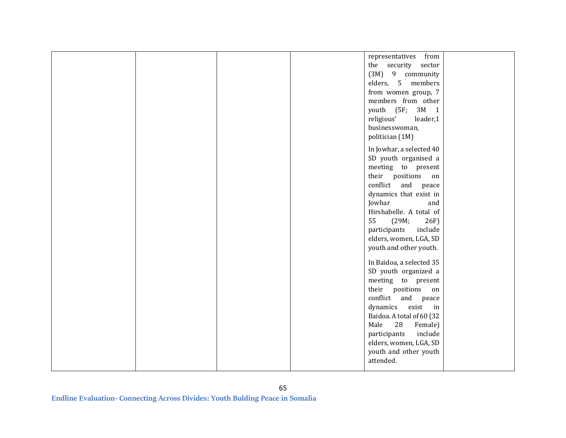|  |  | representatives from      |  |
|--|--|---------------------------|--|
|  |  | the security sector       |  |
|  |  | (3M) 9 community          |  |
|  |  | elders, 5 members         |  |
|  |  |                           |  |
|  |  | from women group, 7       |  |
|  |  | members from other        |  |
|  |  | youth (5F; 3M 1           |  |
|  |  | religious'<br>leader,1    |  |
|  |  | businesswoman,            |  |
|  |  | politician (1M)           |  |
|  |  |                           |  |
|  |  | In Jowhar, a selected 40  |  |
|  |  | SD youth organised a      |  |
|  |  | meeting to present        |  |
|  |  | their positions<br>on     |  |
|  |  | conflict and peace        |  |
|  |  | dynamics that exist in    |  |
|  |  | Jowhar<br>and             |  |
|  |  | Hirshabelle. A total of   |  |
|  |  | 55<br>(29M;<br>26F        |  |
|  |  | participants<br>include   |  |
|  |  |                           |  |
|  |  | elders, women, LGA, SD    |  |
|  |  | youth and other youth.    |  |
|  |  | In Baidoa, a selected 35  |  |
|  |  | SD youth organized a      |  |
|  |  |                           |  |
|  |  | meeting to present        |  |
|  |  | their positions<br>on     |  |
|  |  | conflict and peace        |  |
|  |  | dynamics<br>exist<br>in   |  |
|  |  | Baidoa. A total of 60 (32 |  |
|  |  | Male<br>28<br>Female)     |  |
|  |  | include<br>participants   |  |
|  |  | elders, women, LGA, SD    |  |
|  |  | youth and other youth     |  |
|  |  | attended.                 |  |
|  |  |                           |  |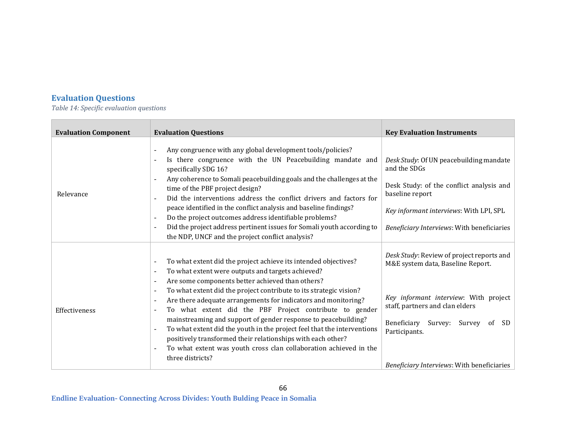## **Evaluation Questions**

*Table 14: Specific evaluation questions*

| <b>Evaluation Component</b> | <b>Evaluation Questions</b>                                                                                                                                                                                                                                                                                                                                                                                                                                                                                                                                                                                                                                                      | <b>Key Evaluation Instruments</b>                                                                                                                                                                                                                                                  |
|-----------------------------|----------------------------------------------------------------------------------------------------------------------------------------------------------------------------------------------------------------------------------------------------------------------------------------------------------------------------------------------------------------------------------------------------------------------------------------------------------------------------------------------------------------------------------------------------------------------------------------------------------------------------------------------------------------------------------|------------------------------------------------------------------------------------------------------------------------------------------------------------------------------------------------------------------------------------------------------------------------------------|
| Relevance                   | Any congruence with any global development tools/policies?<br>Is there congruence with the UN Peacebuilding mandate and<br>specifically SDG 16?<br>Any coherence to Somali peacebuilding goals and the challenges at the<br>time of the PBF project design?<br>Did the interventions address the conflict drivers and factors for<br>peace identified in the conflict analysis and baseline findings?<br>Do the project outcomes address identifiable problems?<br>Did the project address pertinent issues for Somali youth according to<br>the NDP, UNCF and the project conflict analysis?                                                                                    | Desk Study: Of UN peacebuilding mandate<br>and the SDGs<br>Desk Study: of the conflict analysis and<br>baseline report<br>Key informant interviews: With LPI, SPL<br>Beneficiary Interviews: With beneficiaries                                                                    |
| Effectiveness               | To what extent did the project achieve its intended objectives?<br>To what extent were outputs and targets achieved?<br>Are some components better achieved than others?<br>To what extent did the project contribute to its strategic vision?<br>Are there adequate arrangements for indicators and monitoring?<br>To what extent did the PBF Project contribute to gender<br>mainstreaming and support of gender response to peacebuilding?<br>To what extent did the youth in the project feel that the interventions<br>positively transformed their relationships with each other?<br>To what extent was youth cross clan collaboration achieved in the<br>three districts? | Desk Study: Review of project reports and<br>M&E system data, Baseline Report.<br>Key informant interview: With project<br>staff, partners and clan elders<br>Beneficiary<br>Survey: Survey<br><sub>of</sub><br>SD.<br>Participants.<br>Beneficiary Interviews: With beneficiaries |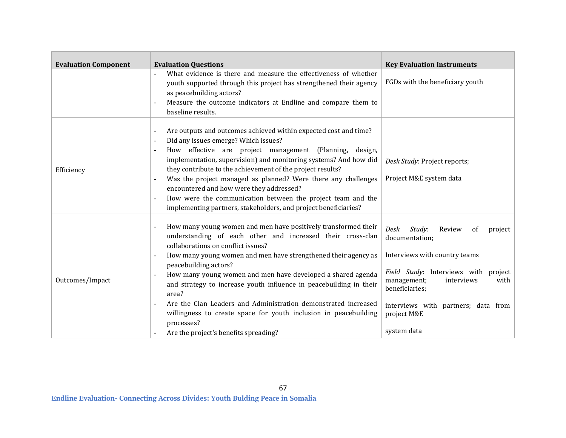| <b>Evaluation Component</b> | <b>Evaluation Questions</b>                                                                                                                                                                                                                                                                                                                                                                                                                                                                                                                                                                              |                                                                                                                                                                                                                                                                  |
|-----------------------------|----------------------------------------------------------------------------------------------------------------------------------------------------------------------------------------------------------------------------------------------------------------------------------------------------------------------------------------------------------------------------------------------------------------------------------------------------------------------------------------------------------------------------------------------------------------------------------------------------------|------------------------------------------------------------------------------------------------------------------------------------------------------------------------------------------------------------------------------------------------------------------|
|                             | What evidence is there and measure the effectiveness of whether<br>youth supported through this project has strengthened their agency<br>as peacebuilding actors?<br>Measure the outcome indicators at Endline and compare them to<br>baseline results.                                                                                                                                                                                                                                                                                                                                                  | <b>Key Evaluation Instruments</b><br>FGDs with the beneficiary youth                                                                                                                                                                                             |
| Efficiency                  | Are outputs and outcomes achieved within expected cost and time?<br>Did any issues emerge? Which issues?<br>How effective are project management (Planning, design,<br>implementation, supervision) and monitoring systems? And how did<br>they contribute to the achievement of the project results?<br>Was the project managed as planned? Were there any challenges<br>encountered and how were they addressed?<br>How were the communication between the project team and the<br>implementing partners, stakeholders, and project beneficiaries?                                                     | Desk Study: Project reports;<br>Project M&E system data                                                                                                                                                                                                          |
| Outcomes/Impact             | How many young women and men have positively transformed their<br>understanding of each other and increased their cross-clan<br>collaborations on conflict issues?<br>How many young women and men have strengthened their agency as<br>peacebuilding actors?<br>How many young women and men have developed a shared agenda<br>and strategy to increase youth influence in peacebuilding in their<br>area?<br>Are the Clan Leaders and Administration demonstrated increased<br>willingness to create space for youth inclusion in peacebuilding<br>processes?<br>Are the project's benefits spreading? | Study:<br>Review<br>of<br>Desk<br>project<br>documentation;<br>Interviews with country teams<br>Field Study: Interviews with project<br>management;<br>with<br>interviews<br>beneficiaries;<br>interviews with partners; data from<br>project M&E<br>system data |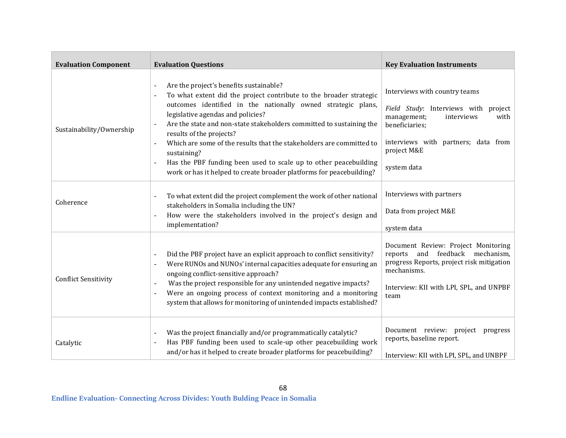| <b>Evaluation Component</b> | <b>Evaluation Questions</b>                                                                                                                                                                                                                                                                                                                                                                                                                                                                                                                               | <b>Key Evaluation Instruments</b>                                                                                                                                                                 |
|-----------------------------|-----------------------------------------------------------------------------------------------------------------------------------------------------------------------------------------------------------------------------------------------------------------------------------------------------------------------------------------------------------------------------------------------------------------------------------------------------------------------------------------------------------------------------------------------------------|---------------------------------------------------------------------------------------------------------------------------------------------------------------------------------------------------|
| Sustainability/Ownership    | Are the project's benefits sustainable?<br>To what extent did the project contribute to the broader strategic<br>outcomes identified in the nationally owned strategic plans,<br>legislative agendas and policies?<br>Are the state and non-state stakeholders committed to sustaining the<br>results of the projects?<br>Which are some of the results that the stakeholders are committed to<br>sustaining?<br>Has the PBF funding been used to scale up to other peacebuilding<br>work or has it helped to create broader platforms for peacebuilding? | Interviews with country teams<br>Field Study: Interviews with project<br>management;<br>interviews<br>with<br>beneficiaries;<br>interviews with partners; data from<br>project M&E<br>system data |
| Coherence                   | To what extent did the project complement the work of other national<br>stakeholders in Somalia including the UN?<br>How were the stakeholders involved in the project's design and<br>$\sim$<br>implementation?                                                                                                                                                                                                                                                                                                                                          | Interviews with partners<br>Data from project M&E<br>system data                                                                                                                                  |
| <b>Conflict Sensitivity</b> | Did the PBF project have an explicit approach to conflict sensitivity?<br>Were RUNOs and NUNOs' internal capacities adequate for ensuring an<br>ongoing conflict-sensitive approach?<br>Was the project responsible for any unintended negative impacts?<br>Were an ongoing process of context monitoring and a monitoring<br>system that allows for monitoring of unintended impacts established?                                                                                                                                                        | Document Review: Project Monitoring<br>reports and feedback mechanism,<br>progress Reports, project risk mitigation<br>mechanisms.<br>Interview: KII with LPI, SPL, and UNPBF<br>team             |
| Catalytic                   | Was the project financially and/or programmatically catalytic?<br>Has PBF funding been used to scale-up other peacebuilding work<br>and/or has it helped to create broader platforms for peacebuilding?                                                                                                                                                                                                                                                                                                                                                   | Document review: project<br>progress<br>reports, baseline report.<br>Interview: KII with LPI, SPL, and UNBPF                                                                                      |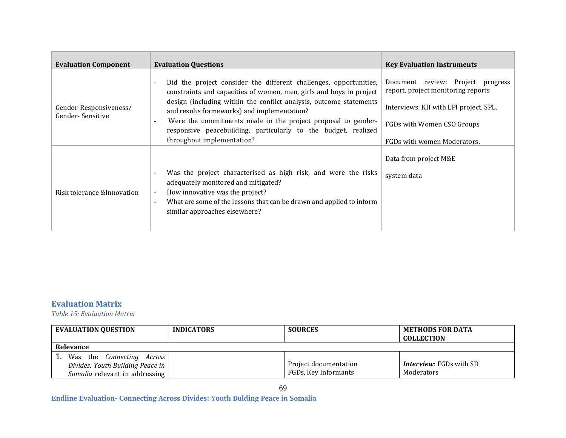| <b>Evaluation Component</b>                | <b>Evaluation Questions</b>                                                                                                                                                                                                                                                                                                                                                                                                   | <b>Key Evaluation Instruments</b>                                                                                                                                              |
|--------------------------------------------|-------------------------------------------------------------------------------------------------------------------------------------------------------------------------------------------------------------------------------------------------------------------------------------------------------------------------------------------------------------------------------------------------------------------------------|--------------------------------------------------------------------------------------------------------------------------------------------------------------------------------|
| Gender-Responsiveness/<br>Gender-Sensitive | Did the project consider the different challenges, opportunities,<br>constraints and capacities of women, men, girls and boys in project<br>design (including within the conflict analysis, outcome statements<br>and results frameworks) and implementation?<br>Were the commitments made in the project proposal to gender-<br>responsive peacebuilding, particularly to the budget, realized<br>throughout implementation? | Document review: Project progress<br>report, project monitoring reports<br>Interviews: KII with LPI project, SPL.<br>FGDs with Women CSO Groups<br>FGDs with women Moderators. |
| Risk tolerance & Innovation                | Was the project characterised as high risk, and were the risks<br>adequately monitored and mitigated?<br>How innovative was the project?<br>What are some of the lessons that can be drawn and applied to inform<br>similar approaches elsewhere?                                                                                                                                                                             | Data from project M&E<br>system data                                                                                                                                           |

## **Evaluation Matrix**

*Table 15: Evaluation Matrix*

| <b>EVALUATION QUESTION</b>                                                                      | <b>INDICATORS</b> | <b>SOURCES</b>                                | <b>METHODS FOR DATA</b><br><b>COLLECTION</b> |  |  |
|-------------------------------------------------------------------------------------------------|-------------------|-----------------------------------------------|----------------------------------------------|--|--|
| Relevance                                                                                       |                   |                                               |                                              |  |  |
| Was the Connecting Across<br>Divides: Youth Building Peace in<br>Somalia relevant in addressing |                   | Project documentation<br>FGDs, Key Informants | <b>Interview:</b> FGDs with SD<br>Moderators |  |  |

69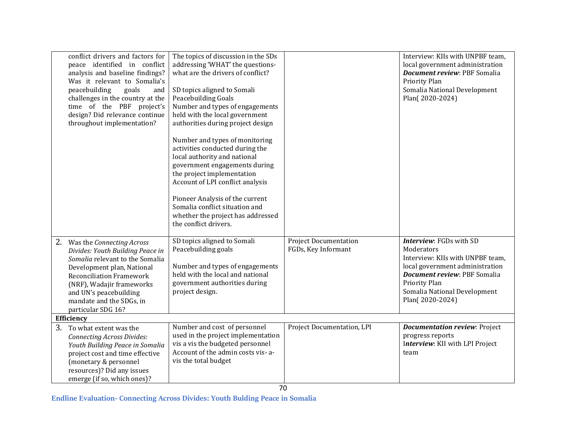|    | conflict drivers and factors for<br>peace identified in conflict<br>analysis and baseline findings?<br>Was it relevant to Somalia's<br>peacebuilding<br>goals<br>and<br>challenges in the country at the<br>time of the PBF project's<br>design? Did relevance continue<br>throughout implementation? | The topics of discussion in the SDs<br>addressing 'WHAT' the questions-<br>what are the drivers of conflict?<br>SD topics aligned to Somali<br>Peacebuilding Goals<br>Number and types of engagements<br>held with the local government<br>authorities during project design<br>Number and types of monitoring<br>activities conducted during the<br>local authority and national<br>government engagements during<br>the project implementation<br>Account of LPI conflict analysis<br>Pioneer Analysis of the current<br>Somalia conflict situation and<br>whether the project has addressed<br>the conflict drivers. |                                                     | Interview: KIIs with UNPBF team,<br>local government administration<br>Document review: PBF Somalia<br>Priority Plan<br>Somalia National Development<br>Plan(2020-2024)                                                        |  |
|----|-------------------------------------------------------------------------------------------------------------------------------------------------------------------------------------------------------------------------------------------------------------------------------------------------------|-------------------------------------------------------------------------------------------------------------------------------------------------------------------------------------------------------------------------------------------------------------------------------------------------------------------------------------------------------------------------------------------------------------------------------------------------------------------------------------------------------------------------------------------------------------------------------------------------------------------------|-----------------------------------------------------|--------------------------------------------------------------------------------------------------------------------------------------------------------------------------------------------------------------------------------|--|
| 2. | Was the Connecting Across<br>Divides: Youth Building Peace in<br>Somalia relevant to the Somalia<br>Development plan, National<br><b>Reconciliation Framework</b><br>(NRF), Wadajir frameworks<br>and UN's peacebuilding<br>mandate and the SDGs, in<br>particular SDG 16?                            | SD topics aligned to Somali<br>Peacebuilding goals<br>Number and types of engagements<br>held with the local and national<br>government authorities during<br>project design.                                                                                                                                                                                                                                                                                                                                                                                                                                           | <b>Project Documentation</b><br>FGDs, Key Informant | Interview: FGDs with SD<br>Moderators<br>Interview: KIIs with UNPBF team,<br>local government administration<br><b>Document review: PBF Somalia</b><br><b>Priority Plan</b><br>Somalia National Development<br>Plan(2020-2024) |  |
|    | <b>Efficiency</b>                                                                                                                                                                                                                                                                                     |                                                                                                                                                                                                                                                                                                                                                                                                                                                                                                                                                                                                                         |                                                     |                                                                                                                                                                                                                                |  |
| 3. | To what extent was the<br><b>Connecting Across Divides:</b><br>Youth Building Peace in Somalia<br>project cost and time effective<br>(monetary & personnel<br>resources)? Did any issues<br>emerge (if so, which ones)?                                                                               | Number and cost of personnel<br>used in the project implementation<br>vis a vis the budgeted personnel<br>Account of the admin costs vis-a-<br>vis the total budget                                                                                                                                                                                                                                                                                                                                                                                                                                                     | Project Documentation, LPI                          | <b>Documentation review: Project</b><br>progress reports<br>Interview: KII with LPI Project<br>team                                                                                                                            |  |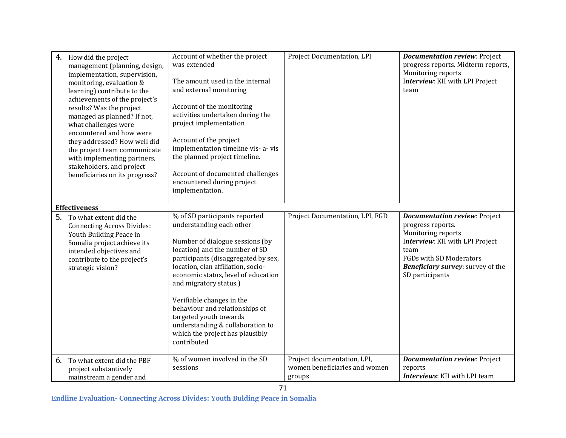| 4. | How did the project<br>management (planning, design,<br>implementation, supervision,<br>monitoring, evaluation &<br>learning) contribute to the<br>achievements of the project's<br>results? Was the project<br>managed as planned? If not,<br>what challenges were<br>encountered and how were<br>they addressed? How well did<br>the project team communicate<br>with implementing partners,<br>stakeholders, and project<br>beneficiaries on its progress? | Account of whether the project<br>was extended<br>The amount used in the internal<br>and external monitoring<br>Account of the monitoring<br>activities undertaken during the<br>project implementation<br>Account of the project<br>implementation timeline vis- a-vis<br>the planned project timeline.<br>Account of documented challenges<br>encountered during project<br>implementation.                                                               | Project Documentation, LPI                                             | <b>Documentation review: Project</b><br>progress reports. Midterm reports,<br>Monitoring reports<br>Interview: KII with LPI Project<br>team                                                                                 |
|----|---------------------------------------------------------------------------------------------------------------------------------------------------------------------------------------------------------------------------------------------------------------------------------------------------------------------------------------------------------------------------------------------------------------------------------------------------------------|-------------------------------------------------------------------------------------------------------------------------------------------------------------------------------------------------------------------------------------------------------------------------------------------------------------------------------------------------------------------------------------------------------------------------------------------------------------|------------------------------------------------------------------------|-----------------------------------------------------------------------------------------------------------------------------------------------------------------------------------------------------------------------------|
|    | <b>Effectiveness</b>                                                                                                                                                                                                                                                                                                                                                                                                                                          |                                                                                                                                                                                                                                                                                                                                                                                                                                                             |                                                                        |                                                                                                                                                                                                                             |
| 5. | To what extent did the<br><b>Connecting Across Divides:</b><br>Youth Building Peace in<br>Somalia project achieve its<br>intended objectives and<br>contribute to the project's<br>strategic vision?                                                                                                                                                                                                                                                          | % of SD participants reported<br>understanding each other<br>Number of dialogue sessions (by<br>location) and the number of SD<br>participants (disaggregated by sex,<br>location, clan affiliation, socio-<br>economic status, level of education<br>and migratory status.)<br>Verifiable changes in the<br>behaviour and relationships of<br>targeted youth towards<br>understanding & collaboration to<br>which the project has plausibly<br>contributed | Project Documentation, LPI, FGD                                        | <b>Documentation review: Project</b><br>progress reports.<br>Monitoring reports<br>Interview: KII with LPI Project<br>team<br><b>FGDs with SD Moderators</b><br><b>Beneficiary survey:</b> survey of the<br>SD participants |
| 6. | To what extent did the PBF<br>project substantively<br>mainstream a gender and                                                                                                                                                                                                                                                                                                                                                                                | % of women involved in the SD<br>sessions                                                                                                                                                                                                                                                                                                                                                                                                                   | Project documentation, LPI,<br>women beneficiaries and women<br>groups | <b>Documentation review: Project</b><br>reports<br>Interviews: KII with LPI team                                                                                                                                            |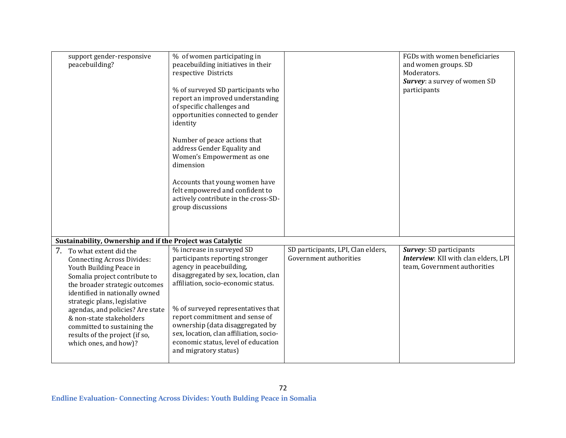| support gender-responsive<br>peacebuilding?                                                                                                                                                                                                                                                                                                                                              | % of women participating in<br>peacebuilding initiatives in their<br>respective Districts<br>% of surveyed SD participants who<br>report an improved understanding<br>of specific challenges and<br>opportunities connected to gender<br>identity<br>Number of peace actions that<br>address Gender Equality and<br>Women's Empowerment as one<br>dimension<br>Accounts that young women have<br>felt empowered and confident to<br>actively contribute in the cross-SD-<br>group discussions |                                                              | FGDs with women beneficiaries<br>and women groups. SD<br>Moderators.<br>Survey: a survey of women SD<br>participants |
|------------------------------------------------------------------------------------------------------------------------------------------------------------------------------------------------------------------------------------------------------------------------------------------------------------------------------------------------------------------------------------------|-----------------------------------------------------------------------------------------------------------------------------------------------------------------------------------------------------------------------------------------------------------------------------------------------------------------------------------------------------------------------------------------------------------------------------------------------------------------------------------------------|--------------------------------------------------------------|----------------------------------------------------------------------------------------------------------------------|
| Sustainability, Ownership and if the Project was Catalytic                                                                                                                                                                                                                                                                                                                               |                                                                                                                                                                                                                                                                                                                                                                                                                                                                                               |                                                              |                                                                                                                      |
| 7. To what extent did the<br><b>Connecting Across Divides:</b><br>Youth Building Peace in<br>Somalia project contribute to<br>the broader strategic outcomes<br>identified in nationally owned<br>strategic plans, legislative<br>agendas, and policies? Are state<br>& non-state stakeholders<br>committed to sustaining the<br>results of the project (if so,<br>which ones, and how)? | % increase in surveyed SD<br>participants reporting stronger<br>agency in peacebuilding,<br>disaggregated by sex, location, clan<br>affiliation, socio-economic status.<br>% of surveyed representatives that<br>report commitment and sense of<br>ownership (data disaggregated by<br>sex, location, clan affiliation, socio-<br>economic status, level of education<br>and migratory status)                                                                                                | SD participants, LPI, Clan elders,<br>Government authorities | Survey: SD participants<br>Interview: KII with clan elders, LPI<br>team, Government authorities                      |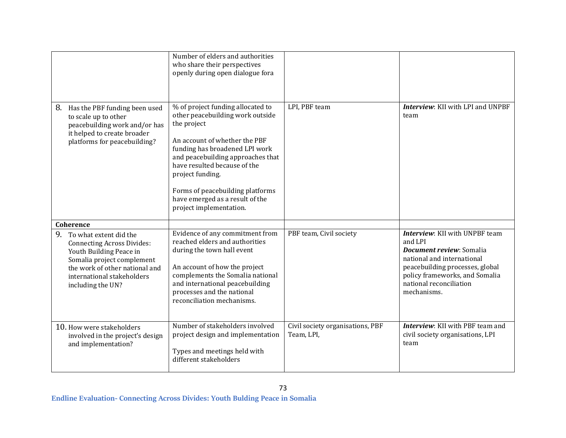|                                                                                                                                                                                                                 | Number of elders and authorities<br>who share their perspectives<br>openly during open dialogue fora                                                                                                                                                                                                                                               |                                                |                                                                                                                                                                                                                                  |
|-----------------------------------------------------------------------------------------------------------------------------------------------------------------------------------------------------------------|----------------------------------------------------------------------------------------------------------------------------------------------------------------------------------------------------------------------------------------------------------------------------------------------------------------------------------------------------|------------------------------------------------|----------------------------------------------------------------------------------------------------------------------------------------------------------------------------------------------------------------------------------|
| Has the PBF funding been used<br>8.<br>to scale up to other<br>peacebuilding work and/or has<br>it helped to create broader<br>platforms for peacebuilding?                                                     | % of project funding allocated to<br>other peacebuilding work outside<br>the project<br>An account of whether the PBF<br>funding has broadened LPI work<br>and peacebuilding approaches that<br>have resulted because of the<br>project funding.<br>Forms of peacebuilding platforms<br>have emerged as a result of the<br>project implementation. | LPI, PBF team                                  | Interview: KII with LPI and UNPBF<br>team                                                                                                                                                                                        |
| <b>Coherence</b>                                                                                                                                                                                                |                                                                                                                                                                                                                                                                                                                                                    |                                                |                                                                                                                                                                                                                                  |
| 9.<br>To what extent did the<br><b>Connecting Across Divides:</b><br>Youth Building Peace in<br>Somalia project complement<br>the work of other national and<br>international stakeholders<br>including the UN? | Evidence of any commitment from<br>reached elders and authorities<br>during the town hall event<br>An account of how the project<br>complements the Somalia national<br>and international peacebuilding<br>processes and the national<br>reconciliation mechanisms.                                                                                | PBF team, Civil society                        | <b>Interview:</b> KII with UNPBF team<br>and LPI<br><b>Document review: Somalia</b><br>national and international<br>peacebuilding processes, global<br>policy frameworks, and Somalia<br>national reconciliation<br>mechanisms. |
| 10. How were stakeholders<br>involved in the project's design<br>and implementation?                                                                                                                            | Number of stakeholders involved<br>project design and implementation<br>Types and meetings held with<br>different stakeholders                                                                                                                                                                                                                     | Civil society organisations, PBF<br>Team, LPI, | <b>Interview:</b> KII with PBF team and<br>civil society organisations, LPI<br>team                                                                                                                                              |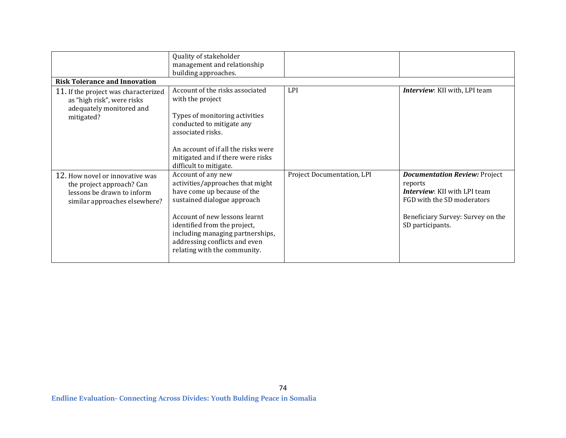|                                      | Quality of stakeholder              |                            |                                      |  |  |
|--------------------------------------|-------------------------------------|----------------------------|--------------------------------------|--|--|
|                                      | management and relationship         |                            |                                      |  |  |
|                                      | building approaches.                |                            |                                      |  |  |
| <b>Risk Tolerance and Innovation</b> |                                     |                            |                                      |  |  |
| 11. If the project was characterized | Account of the risks associated     | LPI                        | <b>Interview:</b> KII with, LPI team |  |  |
| as "high risk", were risks           | with the project                    |                            |                                      |  |  |
| adequately monitored and             |                                     |                            |                                      |  |  |
| mitigated?                           | Types of monitoring activities      |                            |                                      |  |  |
|                                      | conducted to mitigate any           |                            |                                      |  |  |
|                                      | associated risks.                   |                            |                                      |  |  |
|                                      |                                     |                            |                                      |  |  |
|                                      | An account of if all the risks were |                            |                                      |  |  |
|                                      | mitigated and if there were risks   |                            |                                      |  |  |
|                                      | difficult to mitigate.              |                            |                                      |  |  |
| 12. How novel or innovative was      | Account of any new                  | Project Documentation, LPI | <b>Documentation Review: Project</b> |  |  |
| the project approach? Can            | activities/approaches that might    |                            | reports                              |  |  |
| lessons be drawn to inform           | have come up because of the         |                            | <b>Interview:</b> KII with LPI team  |  |  |
| similar approaches elsewhere?        | sustained dialogue approach         |                            | FGD with the SD moderators           |  |  |
|                                      |                                     |                            |                                      |  |  |
|                                      | Account of new lessons learnt       |                            | Beneficiary Survey: Survey on the    |  |  |
|                                      | identified from the project,        |                            | SD participants.                     |  |  |
|                                      | including managing partnerships,    |                            |                                      |  |  |
|                                      | addressing conflicts and even       |                            |                                      |  |  |
|                                      | relating with the community.        |                            |                                      |  |  |
|                                      |                                     |                            |                                      |  |  |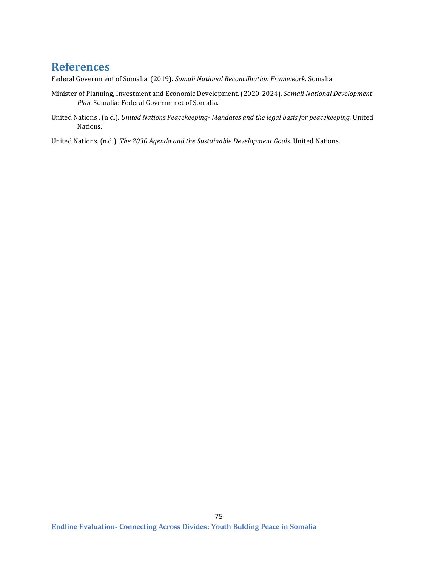## **References**

Federal Government of Somalia. (2019). *Somali National Reconcilliation Framweork.* Somalia.

- Minister of Planning, Investment and Economic Development. (2020-2024). *Somali National Development Plan.* Somalia: Federal Governmnet of Somalia.
- United Nations . (n.d.). *United Nations Peacekeeping- Mandates and the legal basis for peacekeeping.* United Nations.

United Nations. (n.d.). *The 2030 Agenda and the Sustainable Development Goals.* United Nations.